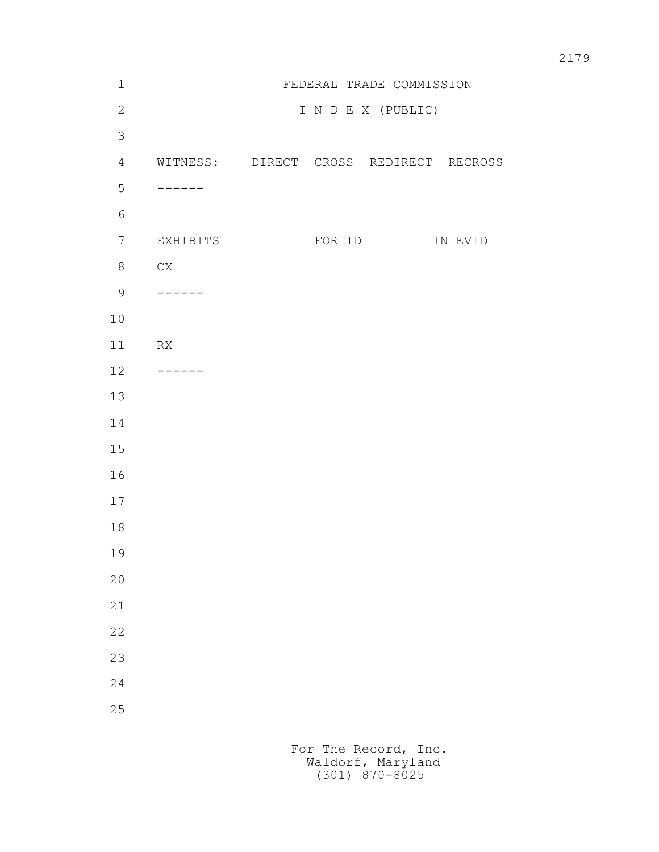| $\mathbbm{1}$  |                           |                    | FEDERAL TRADE COMMISSION               |
|----------------|---------------------------|--------------------|----------------------------------------|
| $\mathbf{2}$   |                           | I N D E X (PUBLIC) |                                        |
| $\mathfrak{Z}$ |                           |                    |                                        |
| $\overline{4}$ |                           |                    | WITNESS: DIRECT CROSS REDIRECT RECROSS |
| 5              | ------                    |                    |                                        |
| $\sqrt{6}$     |                           |                    |                                        |
| $\overline{7}$ | EXHIBITS                  |                    | FOR ID IN EVID                         |
| $8\,$          | CX                        |                    |                                        |
| $\mathcal{G}$  | -------                   |                    |                                        |
| $10$           |                           |                    |                                        |
| 11             | RX                        |                    |                                        |
| 12             | $\qquad \qquad - - - - -$ |                    |                                        |
| 13             |                           |                    |                                        |
| 14             |                           |                    |                                        |
| 15             |                           |                    |                                        |
| 16             |                           |                    |                                        |
| 17             |                           |                    |                                        |
| 18             |                           |                    |                                        |
| 19             |                           |                    |                                        |
| 20             |                           |                    |                                        |
| 21             |                           |                    |                                        |
| 22             |                           |                    |                                        |
| 23             |                           |                    |                                        |
| 24             |                           |                    |                                        |
| 25             |                           |                    |                                        |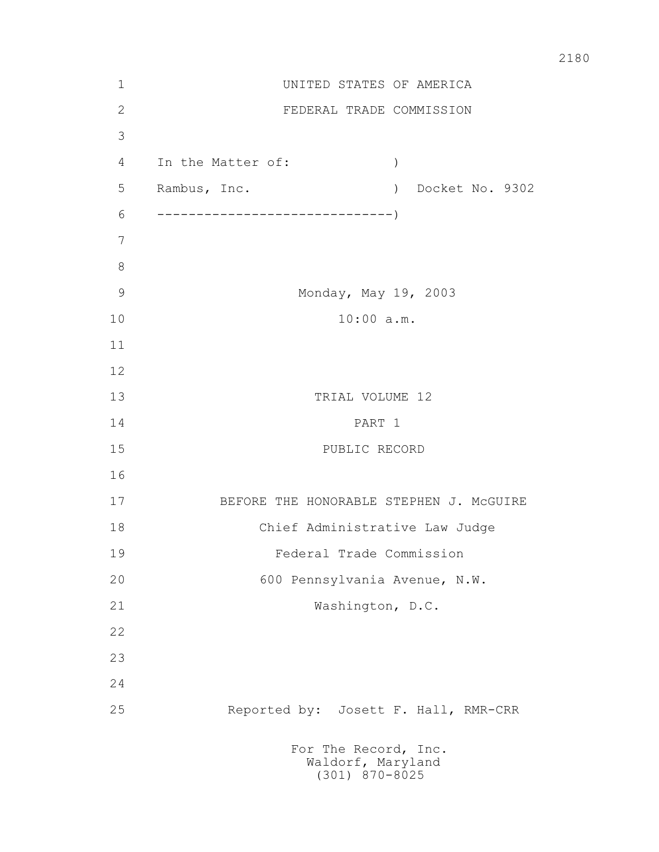| $\mathbf 1$   |                                         | UNITED STATES OF AMERICA             |  |  |  |
|---------------|-----------------------------------------|--------------------------------------|--|--|--|
| $\sqrt{2}$    |                                         | FEDERAL TRADE COMMISSION             |  |  |  |
| 3             |                                         |                                      |  |  |  |
| 4             | In the Matter of:                       | $\big)$                              |  |  |  |
| 5             | Rambus, Inc.                            | Docket No. 9302<br>$\left( \right)$  |  |  |  |
| 6             |                                         |                                      |  |  |  |
| 7             |                                         |                                      |  |  |  |
| $8\,$         |                                         |                                      |  |  |  |
| $\mathcal{G}$ |                                         | Monday, May 19, 2003                 |  |  |  |
| 10            | $10:00$ a.m.                            |                                      |  |  |  |
| 11            |                                         |                                      |  |  |  |
| 12            |                                         |                                      |  |  |  |
| 13            | TRIAL VOLUME 12                         |                                      |  |  |  |
| 14            | PART 1                                  |                                      |  |  |  |
| 15            | PUBLIC RECORD                           |                                      |  |  |  |
| 16            |                                         |                                      |  |  |  |
| 17            | BEFORE THE HONORABLE STEPHEN J. MCGUIRE |                                      |  |  |  |
| 18            | Chief Administrative Law Judge          |                                      |  |  |  |
| 19            | Federal Trade Commission                |                                      |  |  |  |
| 20            | 600 Pennsylvania Avenue, N.W.           |                                      |  |  |  |
| 21            |                                         | Washington, D.C.                     |  |  |  |
| 22            |                                         |                                      |  |  |  |
| 23            |                                         |                                      |  |  |  |
| 24            |                                         |                                      |  |  |  |
| 25            |                                         | Reported by: Josett F. Hall, RMR-CRR |  |  |  |
|               | For The Record, Inc.                    | Waldorf, Maryland                    |  |  |  |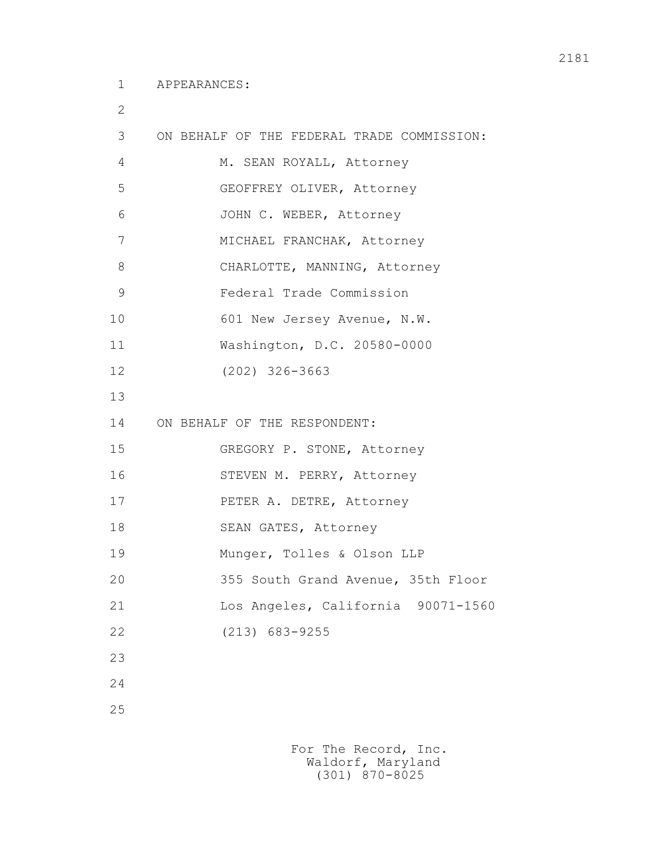2

| 3  | ON BEHALF OF THE FEDERAL TRADE COMMISSION: |
|----|--------------------------------------------|
| 4  | M. SEAN ROYALL, Attorney                   |
| 5  | GEOFFREY OLIVER, Attorney                  |
| 6  | JOHN C. WEBER, Attorney                    |
| 7  | MICHAEL FRANCHAK, Attorney                 |
| 8  | CHARLOTTE, MANNING, Attorney               |
| 9  | Federal Trade Commission                   |
| 10 | 601 New Jersey Avenue, N.W.                |
| 11 | Washington, D.C. 20580-0000                |
| 12 | $(202)$ 326-3663                           |
| 13 |                                            |
| 14 | ON BEHALF OF THE RESPONDENT:               |
| 15 | GREGORY P. STONE, Attorney                 |
| 16 | STEVEN M. PERRY, Attorney                  |
| 17 | PETER A. DETRE, Attorney                   |
| 18 | SEAN GATES, Attorney                       |
| 19 | Munger, Tolles & Olson LLP                 |
| 20 | 355 South Grand Avenue, 35th Floor         |
| 21 | Los Angeles, California 90071-1560         |
| 22 | $(213) 683 - 9255$                         |
| 23 |                                            |
| 24 |                                            |
|    |                                            |

25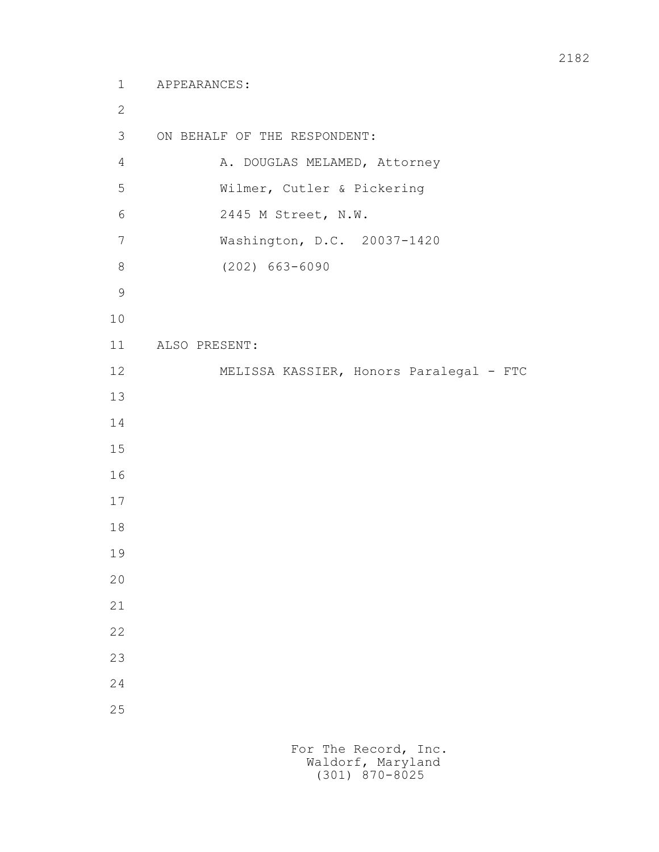```
 1 APPEARANCES:
2
        3 ON BEHALF OF THE RESPONDENT:
       4 A. DOUGLAS MELAMED, Attorney
        5 Wilmer, Cutler & Pickering
        6 2445 M Street, N.W.
        7 Washington, D.C. 20037-1420
        8 (202) 663-6090
9
       10
       11 ALSO PRESENT:
       12 MELISSA KASSIER, Honors Paralegal - FTC
       13
       14
       15
       16
       17
       18
       19
       20
       21
       22
       23
       24
       25
```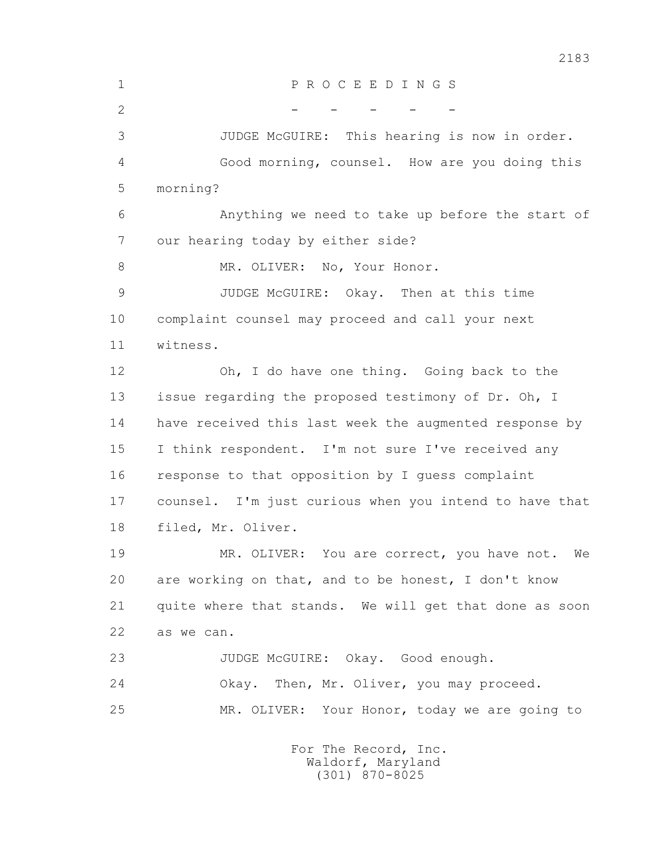1 P R O C E E D I N G S  $2$  - - - - - 3 JUDGE McGUIRE: This hearing is now in order. 4 Good morning, counsel. How are you doing this 5 morning? 6 Anything we need to take up before the start of 7 our hearing today by either side? 8 MR. OLIVER: No, Your Honor. 9 JUDGE McGUIRE: Okay. Then at this time 10 complaint counsel may proceed and call your next 11 witness. 12 Oh, I do have one thing. Going back to the 13 issue regarding the proposed testimony of Dr. Oh, I 14 have received this last week the augmented response by 15 I think respondent. I'm not sure I've received any 16 response to that opposition by I guess complaint 17 counsel. I'm just curious when you intend to have that 18 filed, Mr. Oliver. 19 MR. OLIVER: You are correct, you have not. We 20 are working on that, and to be honest, I don't know 21 quite where that stands. We will get that done as soon 22 as we can. 23 JUDGE McGUIRE: Okay. Good enough. 24 Okay. Then, Mr. Oliver, you may proceed. 25 MR. OLIVER: Your Honor, today we are going to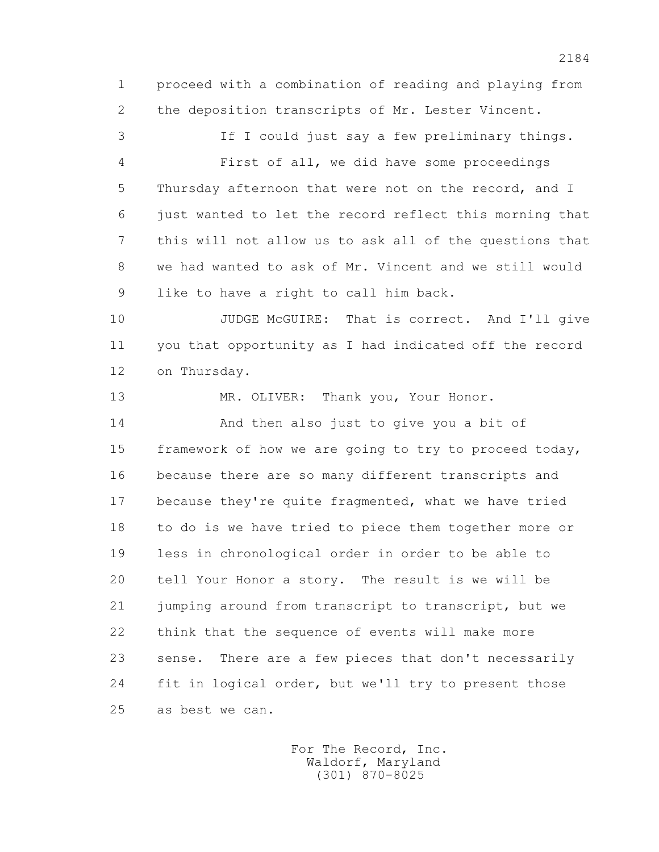1 proceed with a combination of reading and playing from 2 the deposition transcripts of Mr. Lester Vincent.

 3 If I could just say a few preliminary things. 4 First of all, we did have some proceedings 5 Thursday afternoon that were not on the record, and I 6 just wanted to let the record reflect this morning that 7 this will not allow us to ask all of the questions that 8 we had wanted to ask of Mr. Vincent and we still would 9 like to have a right to call him back.

10 JUDGE McGUIRE: That is correct. And I'll give 11 you that opportunity as I had indicated off the record 12 on Thursday.

13 MR. OLIVER: Thank you, Your Honor.

 14 And then also just to give you a bit of 15 framework of how we are going to try to proceed today, 16 because there are so many different transcripts and 17 because they're quite fragmented, what we have tried 18 to do is we have tried to piece them together more or 19 less in chronological order in order to be able to 20 tell Your Honor a story. The result is we will be 21 jumping around from transcript to transcript, but we 22 think that the sequence of events will make more 23 sense. There are a few pieces that don't necessarily 24 fit in logical order, but we'll try to present those 25 as best we can.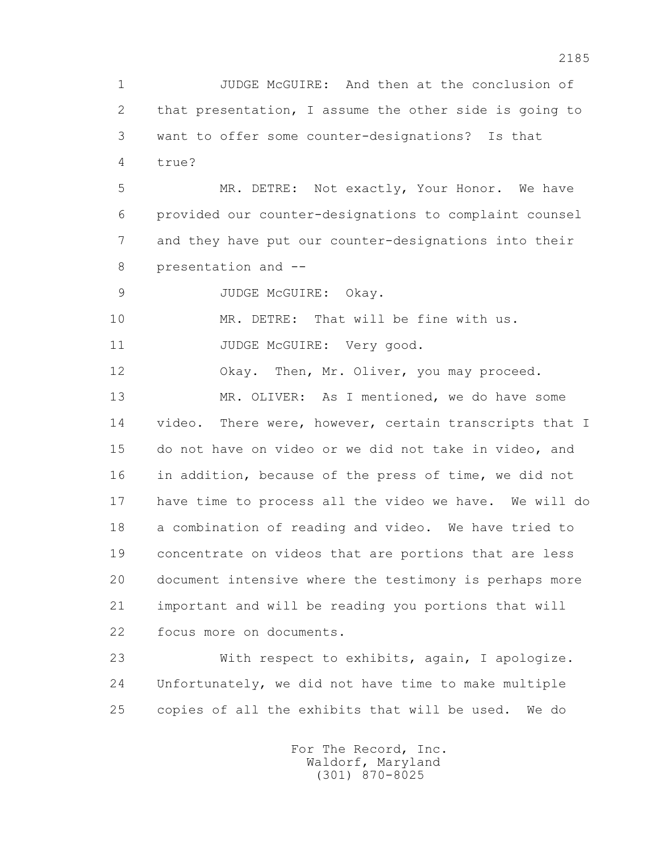1 JUDGE McGUIRE: And then at the conclusion of 2 that presentation, I assume the other side is going to 3 want to offer some counter-designations? Is that 4 true?

 5 MR. DETRE: Not exactly, Your Honor. We have 6 provided our counter-designations to complaint counsel 7 and they have put our counter-designations into their 8 presentation and --

9 JUDGE McGUIRE: Okay.

10 MR. DETRE: That will be fine with us.

11 JUDGE McGUIRE: Very good.

12 Okay. Then, Mr. Oliver, you may proceed.

 13 MR. OLIVER: As I mentioned, we do have some 14 video. There were, however, certain transcripts that I 15 do not have on video or we did not take in video, and 16 in addition, because of the press of time, we did not 17 have time to process all the video we have. We will do 18 a combination of reading and video. We have tried to 19 concentrate on videos that are portions that are less 20 document intensive where the testimony is perhaps more 21 important and will be reading you portions that will 22 focus more on documents.

 23 With respect to exhibits, again, I apologize. 24 Unfortunately, we did not have time to make multiple 25 copies of all the exhibits that will be used. We do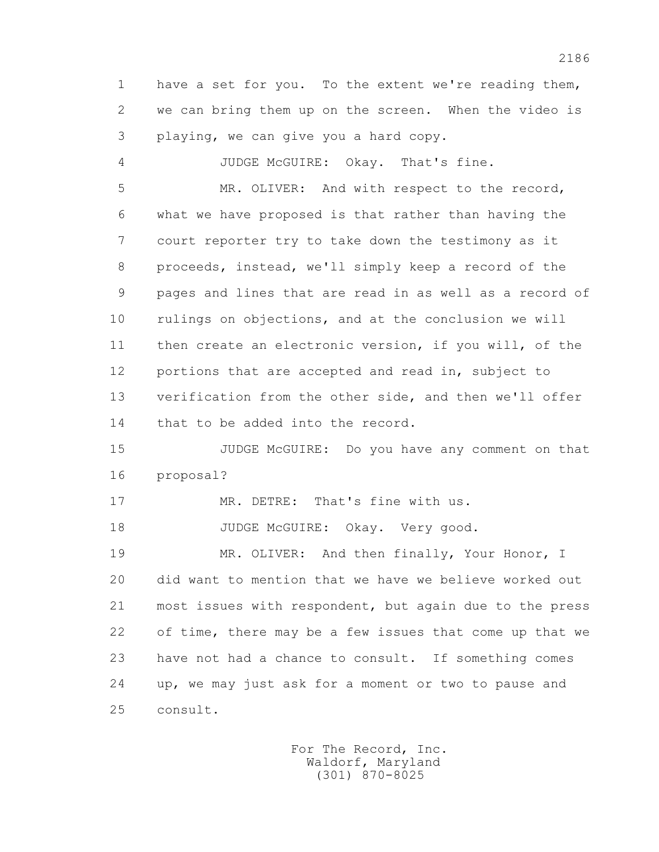1 have a set for you. To the extent we're reading them, 2 we can bring them up on the screen. When the video is 3 playing, we can give you a hard copy.

 4 JUDGE McGUIRE: Okay. That's fine. 5 MR. OLIVER: And with respect to the record, 6 what we have proposed is that rather than having the 7 court reporter try to take down the testimony as it 8 proceeds, instead, we'll simply keep a record of the 9 pages and lines that are read in as well as a record of 10 rulings on objections, and at the conclusion we will 11 then create an electronic version, if you will, of the 12 portions that are accepted and read in, subject to 13 verification from the other side, and then we'll offer 14 that to be added into the record.

 15 JUDGE McGUIRE: Do you have any comment on that 16 proposal?

17 MR. DETRE: That's fine with us.

18 JUDGE McGUIRE: Okay. Very good.

 19 MR. OLIVER: And then finally, Your Honor, I 20 did want to mention that we have we believe worked out 21 most issues with respondent, but again due to the press 22 of time, there may be a few issues that come up that we 23 have not had a chance to consult. If something comes 24 up, we may just ask for a moment or two to pause and 25 consult.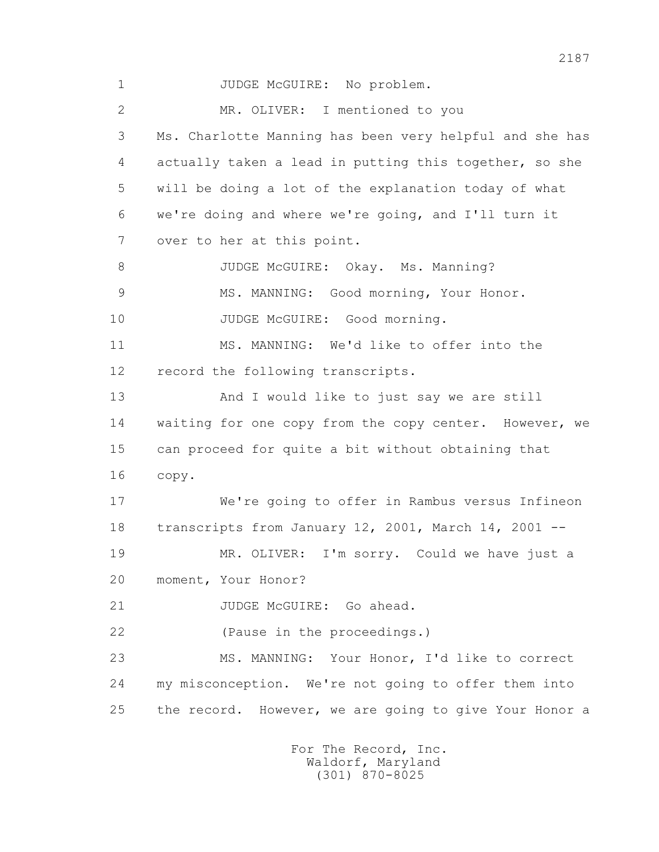1 JUDGE McGUIRE: No problem. 2 MR. OLIVER: I mentioned to you 3 Ms. Charlotte Manning has been very helpful and she has 4 actually taken a lead in putting this together, so she 5 will be doing a lot of the explanation today of what 6 we're doing and where we're going, and I'll turn it 7 over to her at this point. 8 JUDGE McGUIRE: Okay. Ms. Manning? 9 MS. MANNING: Good morning, Your Honor. 10 JUDGE McGUIRE: Good morning. 11 MS. MANNING: We'd like to offer into the 12 record the following transcripts. 13 And I would like to just say we are still 14 waiting for one copy from the copy center. However, we 15 can proceed for quite a bit without obtaining that 16 copy. 17 We're going to offer in Rambus versus Infineon 18 transcripts from January 12, 2001, March 14, 2001 -- 19 MR. OLIVER: I'm sorry. Could we have just a 20 moment, Your Honor? 21 JUDGE McGUIRE: Go ahead. 22 (Pause in the proceedings.) 23 MS. MANNING: Your Honor, I'd like to correct 24 my misconception. We're not going to offer them into 25 the record. However, we are going to give Your Honor a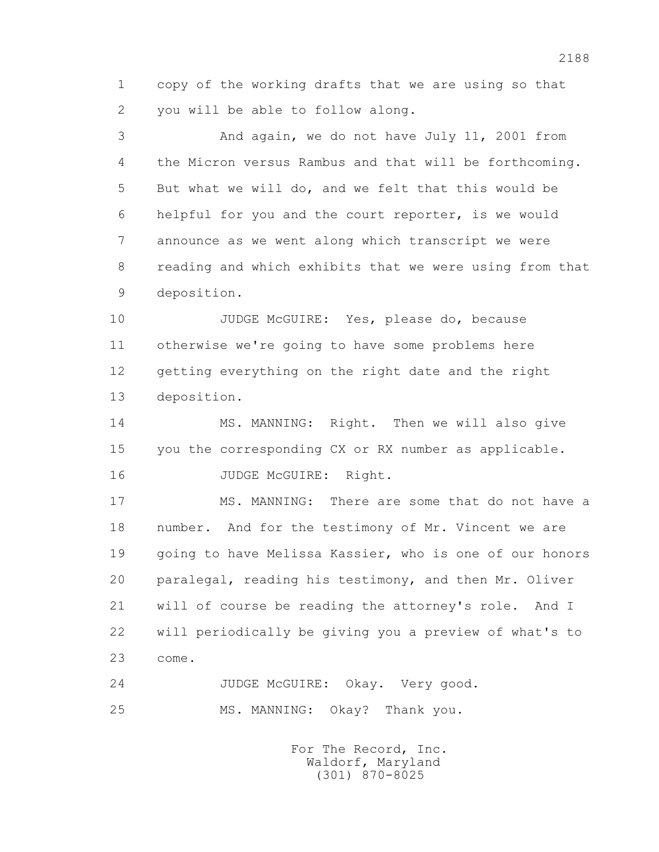1 copy of the working drafts that we are using so that 2 you will be able to follow along.

 3 And again, we do not have July 11, 2001 from 4 the Micron versus Rambus and that will be forthcoming. 5 But what we will do, and we felt that this would be 6 helpful for you and the court reporter, is we would 7 announce as we went along which transcript we were 8 reading and which exhibits that we were using from that 9 deposition.

 10 JUDGE McGUIRE: Yes, please do, because 11 otherwise we're going to have some problems here 12 getting everything on the right date and the right 13 deposition.

14 MS. MANNING: Right. Then we will also give 15 you the corresponding CX or RX number as applicable. 16 JUDGE McGUIRE: Right.

17 MS. MANNING: There are some that do not have a 18 number. And for the testimony of Mr. Vincent we are 19 going to have Melissa Kassier, who is one of our honors 20 paralegal, reading his testimony, and then Mr. Oliver 21 will of course be reading the attorney's role. And I 22 will periodically be giving you a preview of what's to 23 come.

 24 JUDGE McGUIRE: Okay. Very good. 25 MS. MANNING: Okay? Thank you.

> For The Record, Inc. Waldorf, Maryland (301) 870-8025

2188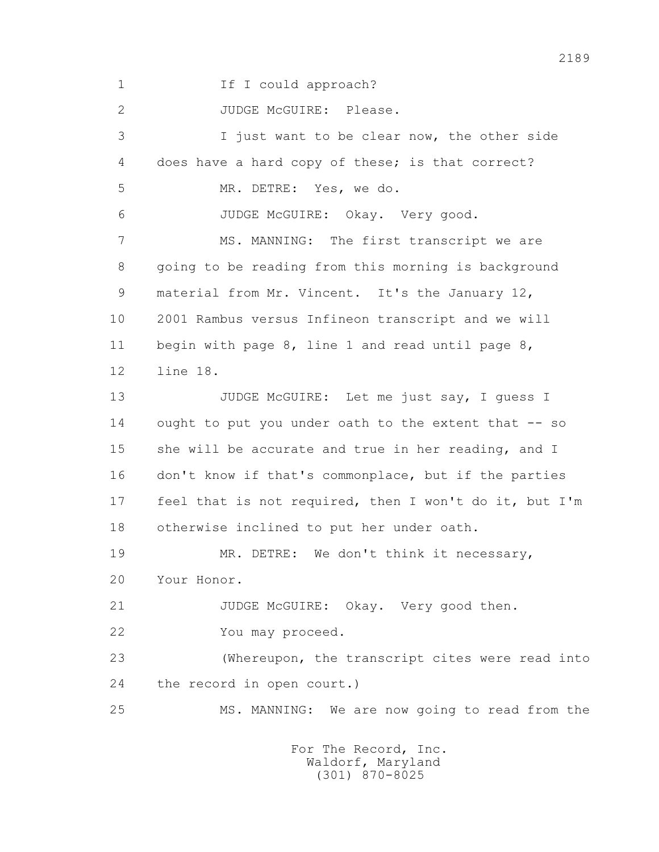1 If I could approach?

2 JUDGE McGUIRE: Please.

 3 I just want to be clear now, the other side 4 does have a hard copy of these; is that correct? 5 MR. DETRE: Yes, we do. 6 JUDGE McGUIRE: Okay. Very good. 7 MS. MANNING: The first transcript we are 8 going to be reading from this morning is background 9 material from Mr. Vincent. It's the January 12, 10 2001 Rambus versus Infineon transcript and we will 11 begin with page 8, line 1 and read until page 8, 12 line 18. 13 JUDGE McGUIRE: Let me just say, I quess I 14 ought to put you under oath to the extent that -- so 15 she will be accurate and true in her reading, and I 16 don't know if that's commonplace, but if the parties 17 feel that is not required, then I won't do it, but I'm 18 otherwise inclined to put her under oath. 19 MR. DETRE: We don't think it necessary, 20 Your Honor. 21 JUDGE McGUIRE: Okay. Very good then. 22 You may proceed. 23 (Whereupon, the transcript cites were read into 24 the record in open court.) 25 MS. MANNING: We are now going to read from the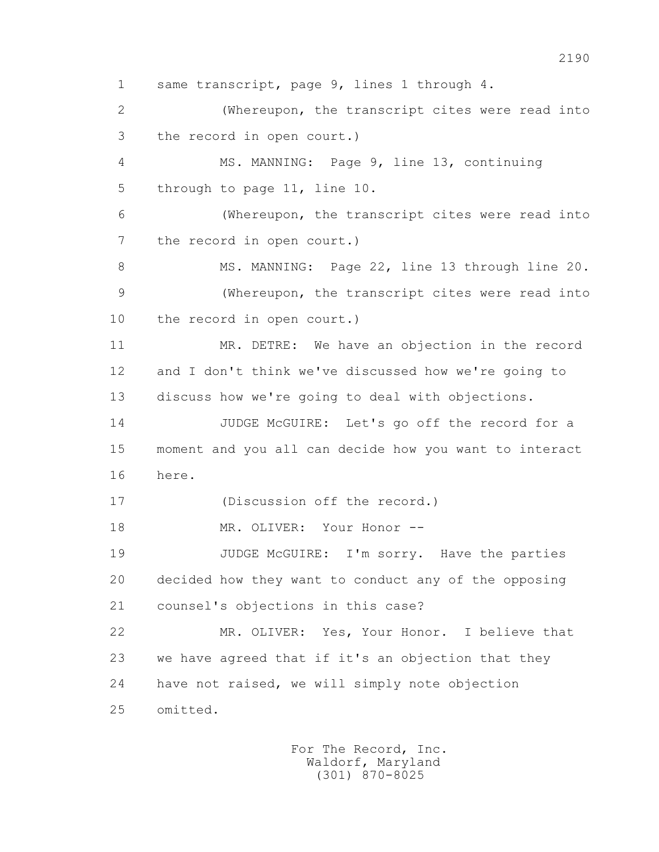1 same transcript, page 9, lines 1 through 4. 2 (Whereupon, the transcript cites were read into 3 the record in open court.) 4 MS. MANNING: Page 9, line 13, continuing 5 through to page 11, line 10. 6 (Whereupon, the transcript cites were read into 7 the record in open court.) 8 MS. MANNING: Page 22, line 13 through line 20. 9 (Whereupon, the transcript cites were read into 10 the record in open court.) 11 MR. DETRE: We have an objection in the record 12 and I don't think we've discussed how we're going to 13 discuss how we're going to deal with objections. 14 JUDGE McGUIRE: Let's go off the record for a 15 moment and you all can decide how you want to interact 16 here. 17 (Discussion off the record.) 18 MR. OLIVER: Your Honor --19 JUDGE McGUIRE: I'm sorry. Have the parties 20 decided how they want to conduct any of the opposing 21 counsel's objections in this case? 22 MR. OLIVER: Yes, Your Honor. I believe that 23 we have agreed that if it's an objection that they 24 have not raised, we will simply note objection 25 omitted.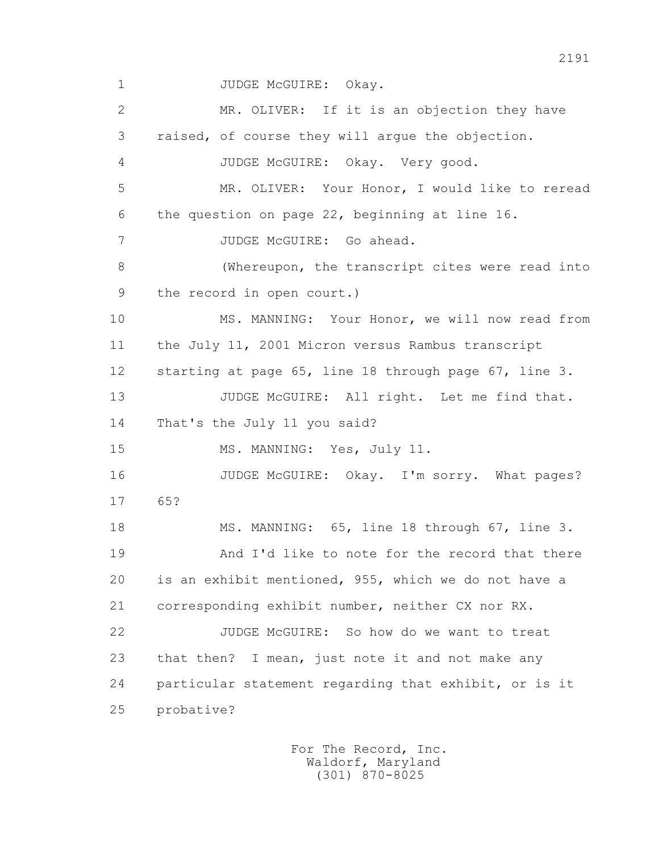1 JUDGE McGUIRE: Okay.

 2 MR. OLIVER: If it is an objection they have 3 raised, of course they will argue the objection. 4 JUDGE McGUIRE: Okay. Very good. 5 MR. OLIVER: Your Honor, I would like to reread 6 the question on page 22, beginning at line 16. 7 JUDGE McGUIRE: Go ahead. 8 (Whereupon, the transcript cites were read into 9 the record in open court.) 10 MS. MANNING: Your Honor, we will now read from 11 the July 11, 2001 Micron versus Rambus transcript 12 starting at page 65, line 18 through page 67, line 3. 13 JUDGE McGUIRE: All right. Let me find that. 14 That's the July 11 you said? 15 MS. MANNING: Yes, July 11. 16 JUDGE McGUIRE: Okay. I'm sorry. What pages? 17 65? 18 MS. MANNING: 65, line 18 through 67, line 3. 19 And I'd like to note for the record that there 20 is an exhibit mentioned, 955, which we do not have a 21 corresponding exhibit number, neither CX nor RX. 22 JUDGE McGUIRE: So how do we want to treat 23 that then? I mean, just note it and not make any 24 particular statement regarding that exhibit, or is it 25 probative?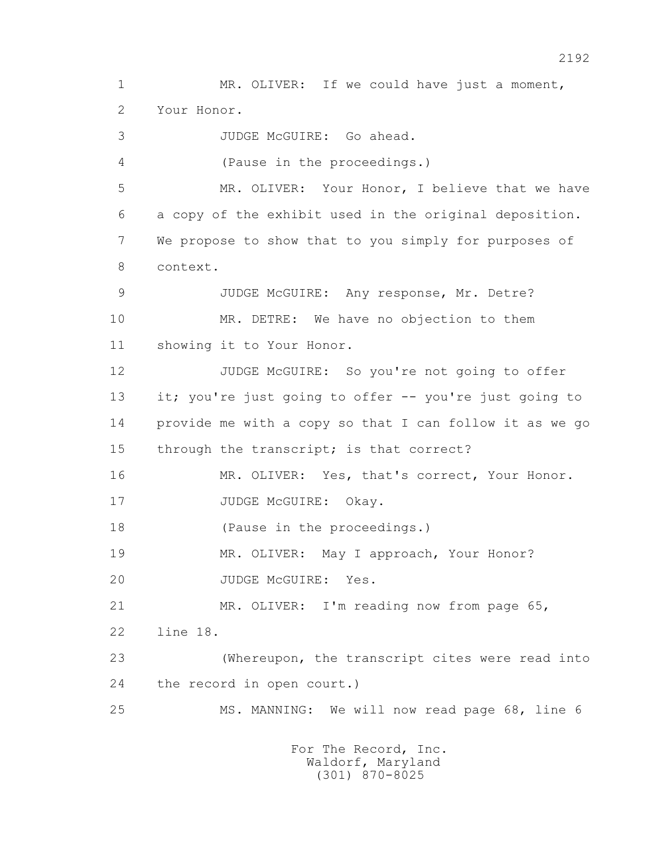1 MR. OLIVER: If we could have just a moment, 2 Your Honor. 3 JUDGE McGUIRE: Go ahead. 4 (Pause in the proceedings.) 5 MR. OLIVER: Your Honor, I believe that we have 6 a copy of the exhibit used in the original deposition. 7 We propose to show that to you simply for purposes of 8 context. 9 JUDGE McGUIRE: Any response, Mr. Detre? 10 MR. DETRE: We have no objection to them 11 showing it to Your Honor. 12 JUDGE McGUIRE: So you're not going to offer 13 it; you're just going to offer -- you're just going to 14 provide me with a copy so that I can follow it as we go 15 through the transcript; is that correct? 16 MR. OLIVER: Yes, that's correct, Your Honor. 17 JUDGE McGUIRE: Okay. 18 (Pause in the proceedings.) 19 MR. OLIVER: May I approach, Your Honor? 20 JUDGE McGUIRE: Yes. 21 MR. OLIVER: I'm reading now from page 65, 22 line 18. 23 (Whereupon, the transcript cites were read into 24 the record in open court.) 25 MS. MANNING: We will now read page 68, line 6 For The Record, Inc. Waldorf, Maryland (301) 870-8025

2192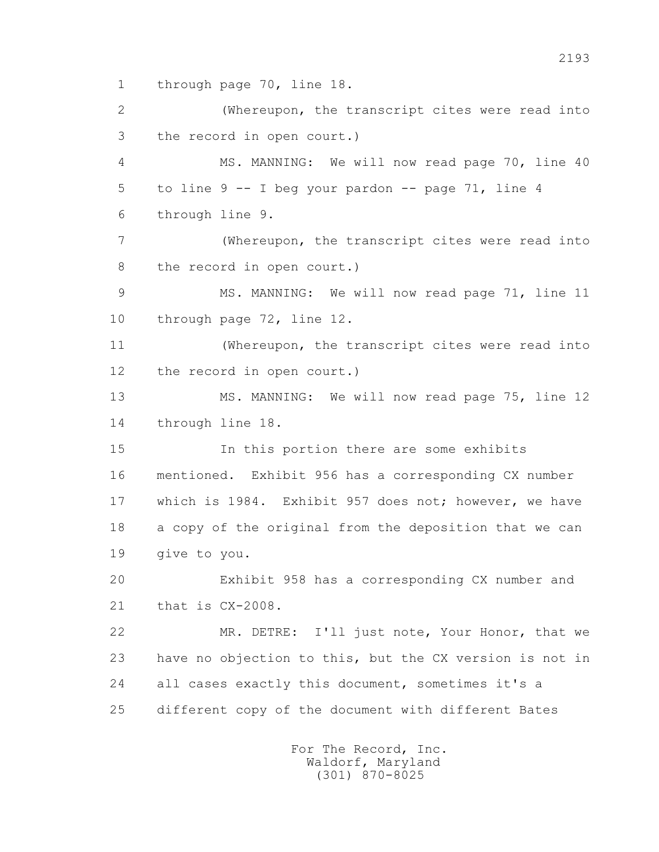1 through page 70, line 18.

 2 (Whereupon, the transcript cites were read into 3 the record in open court.) 4 MS. MANNING: We will now read page 70, line 40 5 to line  $9 - - 1$  beg your pardon  $- -$  page 71, line 4 6 through line 9. 7 (Whereupon, the transcript cites were read into 8 the record in open court.) 9 MS. MANNING: We will now read page 71, line 11 10 through page 72, line 12. 11 (Whereupon, the transcript cites were read into 12 the record in open court.) 13 MS. MANNING: We will now read page 75, line 12 14 through line 18. 15 In this portion there are some exhibits 16 mentioned. Exhibit 956 has a corresponding CX number 17 which is 1984. Exhibit 957 does not; however, we have 18 a copy of the original from the deposition that we can 19 give to you. 20 Exhibit 958 has a corresponding CX number and 21 that is CX-2008. 22 MR. DETRE: I'll just note, Your Honor, that we 23 have no objection to this, but the CX version is not in 24 all cases exactly this document, sometimes it's a 25 different copy of the document with different Bates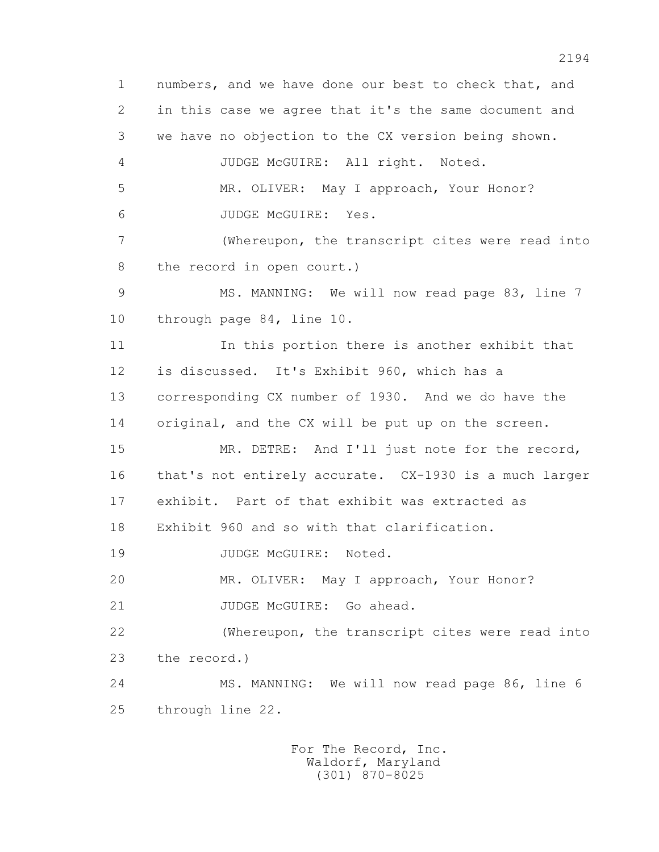1 numbers, and we have done our best to check that, and 2 in this case we agree that it's the same document and 3 we have no objection to the CX version being shown. 4 JUDGE McGUIRE: All right. Noted. 5 MR. OLIVER: May I approach, Your Honor? 6 JUDGE McGUIRE: Yes. 7 (Whereupon, the transcript cites were read into 8 the record in open court.) 9 MS. MANNING: We will now read page 83, line 7 10 through page 84, line 10. 11 In this portion there is another exhibit that 12 is discussed. It's Exhibit 960, which has a 13 corresponding CX number of 1930. And we do have the 14 original, and the CX will be put up on the screen. 15 MR. DETRE: And I'll just note for the record, 16 that's not entirely accurate. CX-1930 is a much larger 17 exhibit. Part of that exhibit was extracted as 18 Exhibit 960 and so with that clarification. 19 JUDGE McGUIRE: Noted. 20 MR. OLIVER: May I approach, Your Honor? 21 JUDGE McGUIRE: Go ahead. 22 (Whereupon, the transcript cites were read into 23 the record.) 24 MS. MANNING: We will now read page 86, line 6 25 through line 22.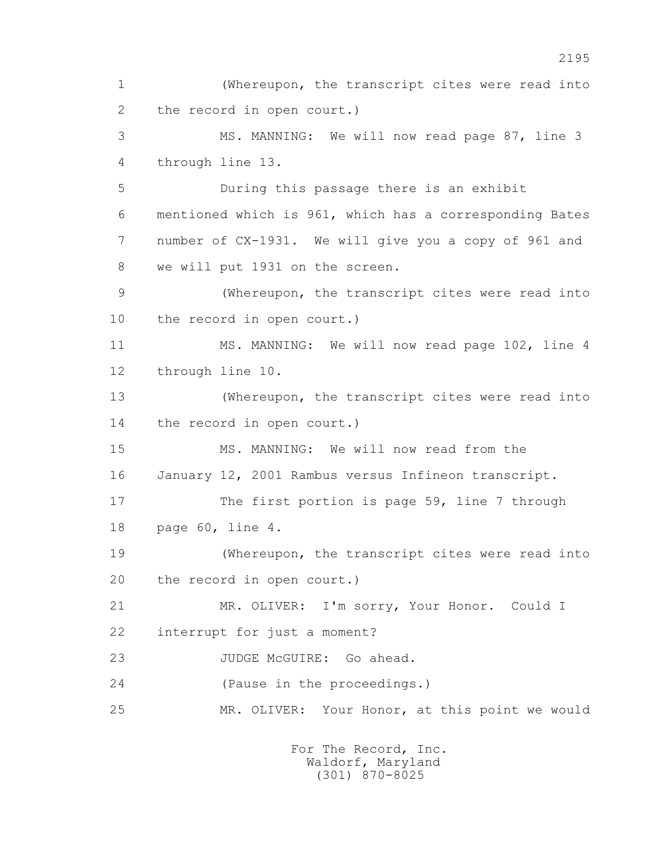1 (Whereupon, the transcript cites were read into 2 the record in open court.) 3 MS. MANNING: We will now read page 87, line 3 4 through line 13. 5 During this passage there is an exhibit 6 mentioned which is 961, which has a corresponding Bates 7 number of CX-1931. We will give you a copy of 961 and 8 we will put 1931 on the screen. 9 (Whereupon, the transcript cites were read into 10 the record in open court.) 11 MS. MANNING: We will now read page 102, line 4 12 through line 10. 13 (Whereupon, the transcript cites were read into 14 the record in open court.) 15 MS. MANNING: We will now read from the 16 January 12, 2001 Rambus versus Infineon transcript. 17 The first portion is page 59, line 7 through 18 page 60, line 4. 19 (Whereupon, the transcript cites were read into 20 the record in open court.) 21 MR. OLIVER: I'm sorry, Your Honor. Could I 22 interrupt for just a moment? 23 JUDGE McGUIRE: Go ahead. 24 (Pause in the proceedings.) 25 MR. OLIVER: Your Honor, at this point we would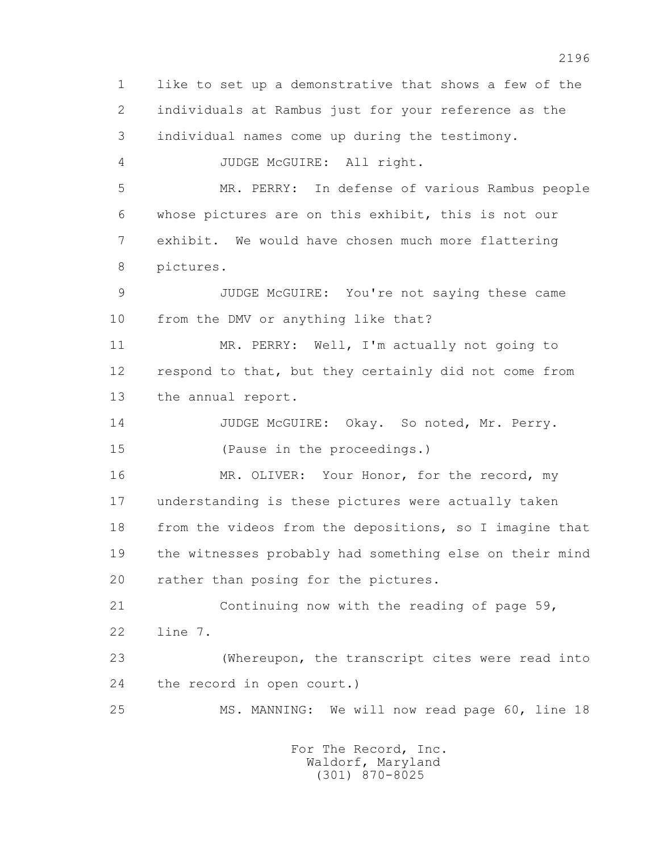1 like to set up a demonstrative that shows a few of the 2 individuals at Rambus just for your reference as the 3 individual names come up during the testimony. 4 JUDGE McGUIRE: All right. 5 MR. PERRY: In defense of various Rambus people 6 whose pictures are on this exhibit, this is not our 7 exhibit. We would have chosen much more flattering 8 pictures. 9 JUDGE McGUIRE: You're not saying these came 10 from the DMV or anything like that? 11 MR. PERRY: Well, I'm actually not going to 12 respond to that, but they certainly did not come from 13 the annual report. 14 JUDGE McGUIRE: Okay. So noted, Mr. Perry. 15 (Pause in the proceedings.) 16 MR. OLIVER: Your Honor, for the record, my 17 understanding is these pictures were actually taken 18 from the videos from the depositions, so I imagine that 19 the witnesses probably had something else on their mind 20 rather than posing for the pictures. 21 Continuing now with the reading of page 59, 22 line 7. 23 (Whereupon, the transcript cites were read into 24 the record in open court.) 25 MS. MANNING: We will now read page 60, line 18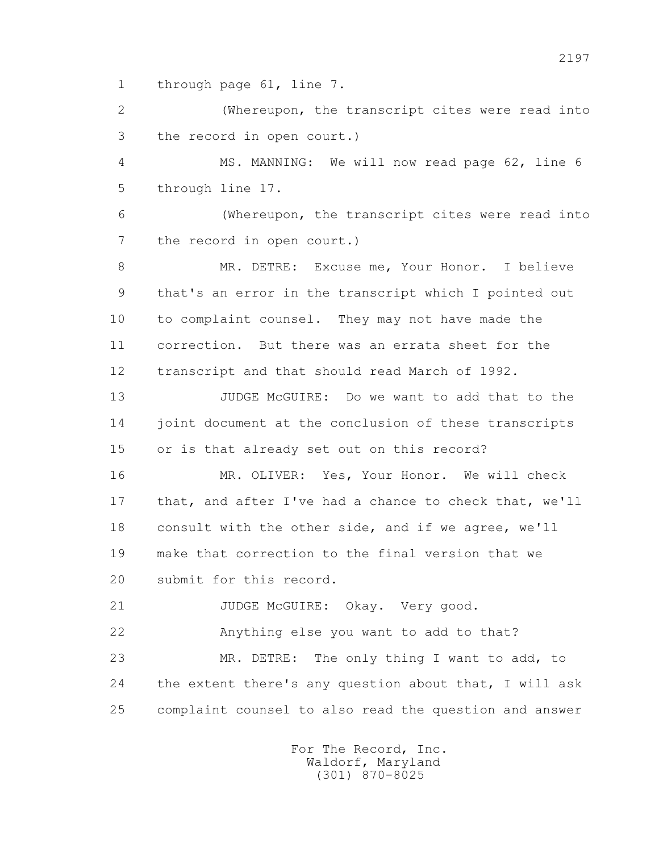1 through page 61, line 7.

 2 (Whereupon, the transcript cites were read into 3 the record in open court.)

 4 MS. MANNING: We will now read page 62, line 6 5 through line 17.

 6 (Whereupon, the transcript cites were read into 7 the record in open court.)

8 MR. DETRE: Excuse me, Your Honor. I believe 9 that's an error in the transcript which I pointed out 10 to complaint counsel. They may not have made the 11 correction. But there was an errata sheet for the 12 transcript and that should read March of 1992.

 13 JUDGE McGUIRE: Do we want to add that to the 14 joint document at the conclusion of these transcripts 15 or is that already set out on this record?

 16 MR. OLIVER: Yes, Your Honor. We will check 17 that, and after I've had a chance to check that, we'll 18 consult with the other side, and if we agree, we'll 19 make that correction to the final version that we 20 submit for this record.

21 JUDGE McGUIRE: Okay. Very good.

22 Anything else you want to add to that?

 23 MR. DETRE: The only thing I want to add, to 24 the extent there's any question about that, I will ask 25 complaint counsel to also read the question and answer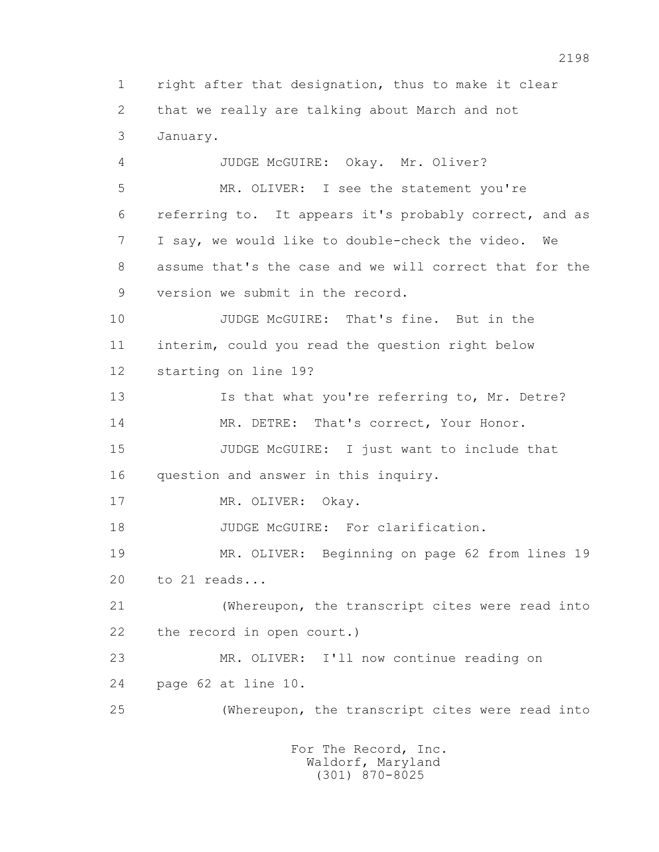1 right after that designation, thus to make it clear 2 that we really are talking about March and not 3 January.

 4 JUDGE McGUIRE: Okay. Mr. Oliver? 5 MR. OLIVER: I see the statement you're 6 referring to. It appears it's probably correct, and as 7 I say, we would like to double-check the video. We 8 assume that's the case and we will correct that for the 9 version we submit in the record. 10 JUDGE McGUIRE: That's fine. But in the 11 interim, could you read the question right below 12 starting on line 19? 13 Is that what you're referring to, Mr. Detre? 14 MR. DETRE: That's correct, Your Honor. 15 JUDGE McGUIRE: I just want to include that 16 question and answer in this inquiry. 17 MR. OLIVER: Okay. 18 JUDGE McGUIRE: For clarification. 19 MR. OLIVER: Beginning on page 62 from lines 19 20 to 21 reads... 21 (Whereupon, the transcript cites were read into 22 the record in open court.) 23 MR. OLIVER: I'll now continue reading on 24 page 62 at line 10. 25 (Whereupon, the transcript cites were read into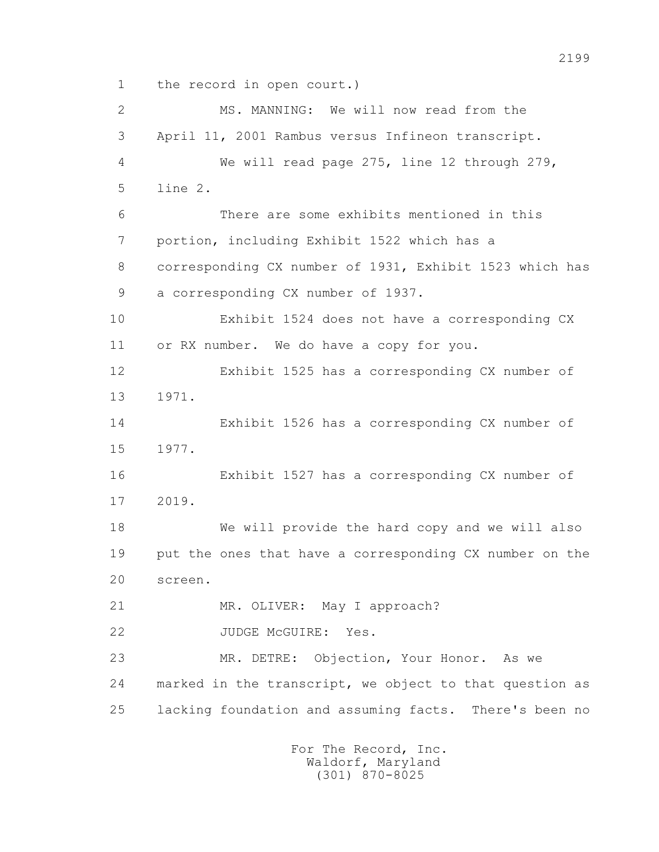1 the record in open court.)

 2 MS. MANNING: We will now read from the 3 April 11, 2001 Rambus versus Infineon transcript. 4 We will read page 275, line 12 through 279, 5 line 2. 6 There are some exhibits mentioned in this 7 portion, including Exhibit 1522 which has a 8 corresponding CX number of 1931, Exhibit 1523 which has 9 a corresponding CX number of 1937. 10 Exhibit 1524 does not have a corresponding CX 11 or RX number. We do have a copy for you. 12 Exhibit 1525 has a corresponding CX number of 13 1971. 14 Exhibit 1526 has a corresponding CX number of 15 1977. 16 Exhibit 1527 has a corresponding CX number of 17 2019. 18 We will provide the hard copy and we will also 19 put the ones that have a corresponding CX number on the 20 screen. 21 MR. OLIVER: May I approach? 22 JUDGE McGUIRE: Yes. 23 MR. DETRE: Objection, Your Honor. As we 24 marked in the transcript, we object to that question as 25 lacking foundation and assuming facts. There's been no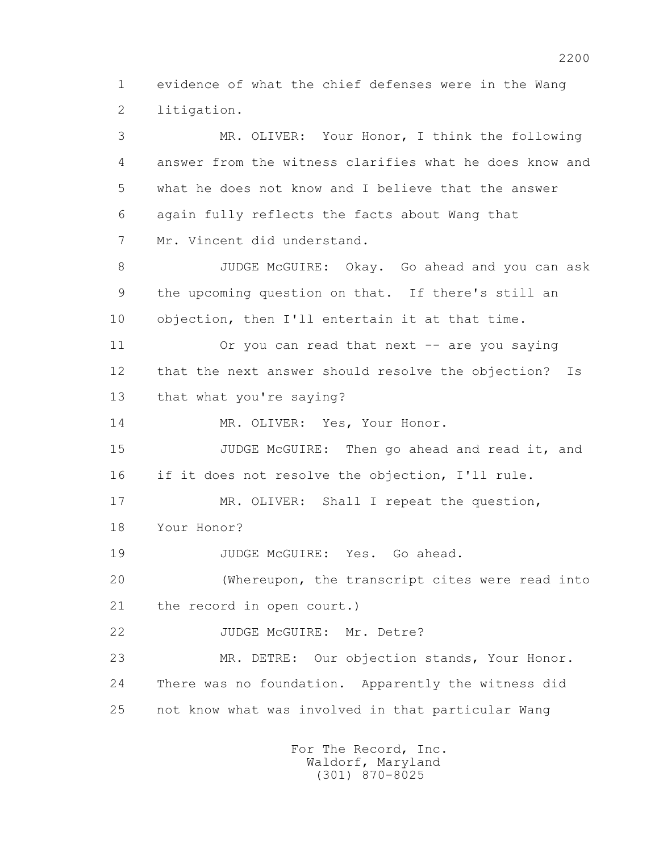1 evidence of what the chief defenses were in the Wang 2 litigation.

 3 MR. OLIVER: Your Honor, I think the following 4 answer from the witness clarifies what he does know and 5 what he does not know and I believe that the answer 6 again fully reflects the facts about Wang that 7 Mr. Vincent did understand. 8 JUDGE McGUIRE: Okay. Go ahead and you can ask 9 the upcoming question on that. If there's still an 10 objection, then I'll entertain it at that time. 11 Or you can read that next -- are you saying 12 that the next answer should resolve the objection? Is 13 that what you're saying? 14 MR. OLIVER: Yes, Your Honor. 15 JUDGE McGUIRE: Then go ahead and read it, and 16 if it does not resolve the objection, I'll rule. 17 MR. OLIVER: Shall I repeat the question, 18 Your Honor? 19 JUDGE McGUIRE: Yes. Go ahead. 20 (Whereupon, the transcript cites were read into 21 the record in open court.) 22 JUDGE McGUIRE: Mr. Detre? 23 MR. DETRE: Our objection stands, Your Honor. 24 There was no foundation. Apparently the witness did 25 not know what was involved in that particular Wang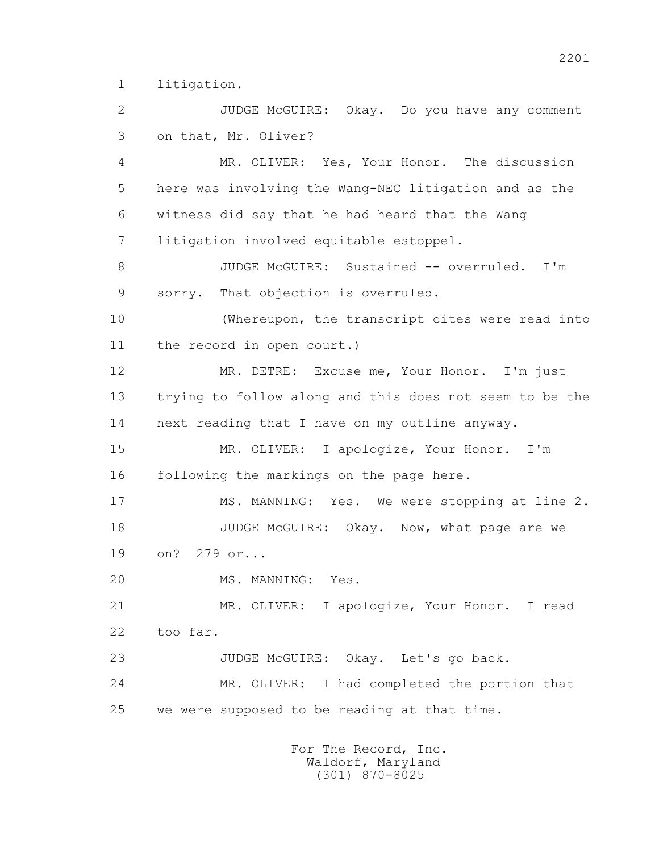1 litigation.

 2 JUDGE McGUIRE: Okay. Do you have any comment 3 on that, Mr. Oliver?

 4 MR. OLIVER: Yes, Your Honor. The discussion 5 here was involving the Wang-NEC litigation and as the 6 witness did say that he had heard that the Wang 7 litigation involved equitable estoppel.

8 JUDGE McGUIRE: Sustained -- overruled. I'm 9 sorry. That objection is overruled.

 10 (Whereupon, the transcript cites were read into 11 the record in open court.)

 12 MR. DETRE: Excuse me, Your Honor. I'm just 13 trying to follow along and this does not seem to be the 14 next reading that I have on my outline anyway.

 15 MR. OLIVER: I apologize, Your Honor. I'm 16 following the markings on the page here.

 17 MS. MANNING: Yes. We were stopping at line 2. 18 JUDGE McGUIRE: Okay. Now, what page are we 19 on? 279 or...

20 MS. MANNING: Yes.

 21 MR. OLIVER: I apologize, Your Honor. I read 22 too far.

 23 JUDGE McGUIRE: Okay. Let's go back. 24 MR. OLIVER: I had completed the portion that 25 we were supposed to be reading at that time.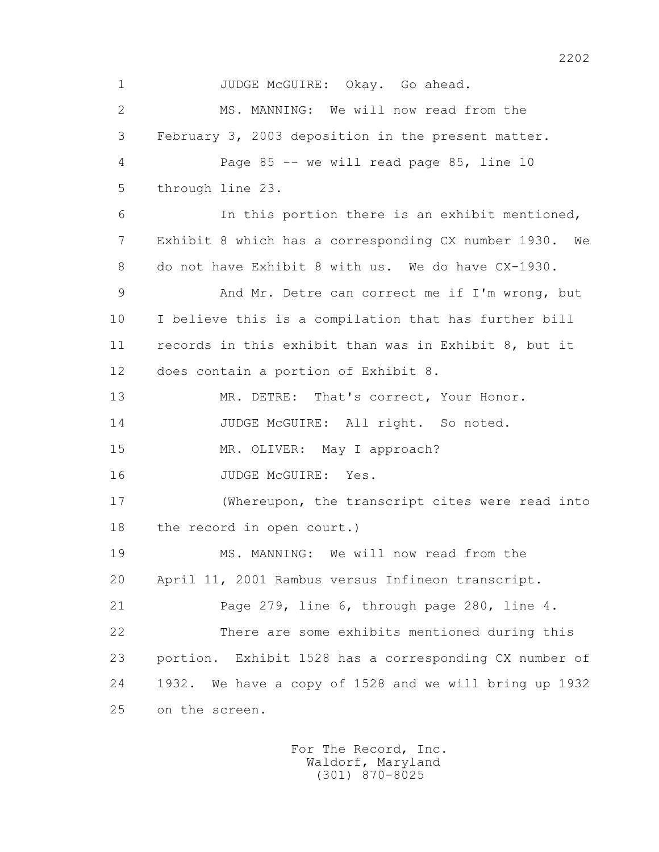1 JUDGE McGUIRE: Okay. Go ahead. 2 MS. MANNING: We will now read from the 3 February 3, 2003 deposition in the present matter. 4 Page 85 -- we will read page 85, line 10 5 through line 23. 6 In this portion there is an exhibit mentioned, 7 Exhibit 8 which has a corresponding CX number 1930. We 8 do not have Exhibit 8 with us. We do have CX-1930. 9 And Mr. Detre can correct me if I'm wrong, but 10 I believe this is a compilation that has further bill 11 records in this exhibit than was in Exhibit 8, but it 12 does contain a portion of Exhibit 8. 13 MR. DETRE: That's correct, Your Honor. 14 JUDGE McGUIRE: All right. So noted. 15 MR. OLIVER: May I approach? 16 JUDGE McGUIRE: Yes. 17 (Whereupon, the transcript cites were read into 18 the record in open court.) 19 MS. MANNING: We will now read from the 20 April 11, 2001 Rambus versus Infineon transcript. 21 Page 279, line 6, through page 280, line 4. 22 There are some exhibits mentioned during this 23 portion. Exhibit 1528 has a corresponding CX number of 24 1932. We have a copy of 1528 and we will bring up 1932 25 on the screen.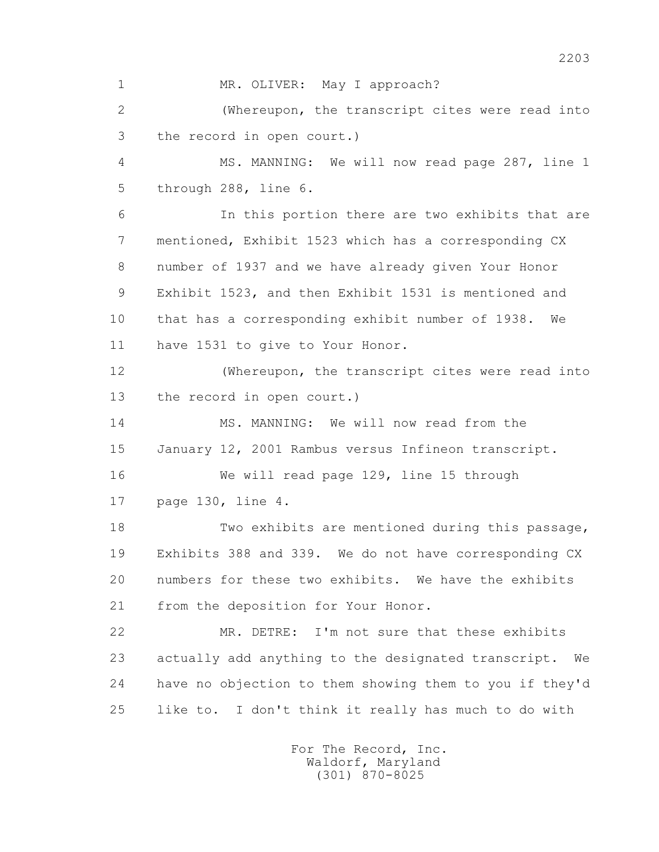1 MR. OLIVER: May I approach? 2 (Whereupon, the transcript cites were read into 3 the record in open court.) 4 MS. MANNING: We will now read page 287, line 1 5 through 288, line 6. 6 In this portion there are two exhibits that are 7 mentioned, Exhibit 1523 which has a corresponding CX 8 number of 1937 and we have already given Your Honor 9 Exhibit 1523, and then Exhibit 1531 is mentioned and 10 that has a corresponding exhibit number of 1938. We 11 have 1531 to give to Your Honor. 12 (Whereupon, the transcript cites were read into 13 the record in open court.) 14 MS. MANNING: We will now read from the 15 January 12, 2001 Rambus versus Infineon transcript. 16 We will read page 129, line 15 through 17 page 130, line 4. 18 Two exhibits are mentioned during this passage, 19 Exhibits 388 and 339. We do not have corresponding CX 20 numbers for these two exhibits. We have the exhibits 21 from the deposition for Your Honor. 22 MR. DETRE: I'm not sure that these exhibits 23 actually add anything to the designated transcript. We 24 have no objection to them showing them to you if they'd 25 like to. I don't think it really has much to do with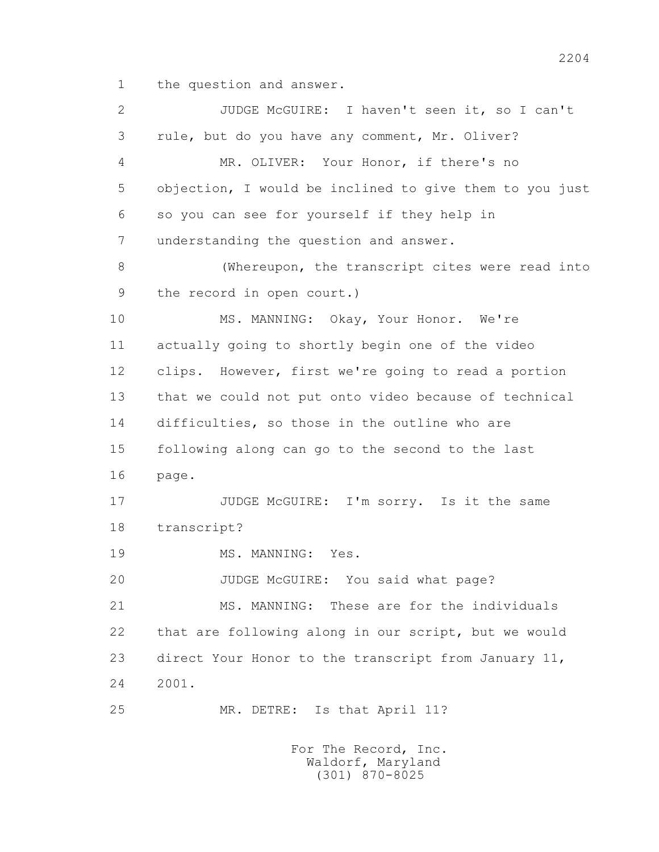1 the question and answer.

 2 JUDGE McGUIRE: I haven't seen it, so I can't 3 rule, but do you have any comment, Mr. Oliver? 4 MR. OLIVER: Your Honor, if there's no 5 objection, I would be inclined to give them to you just 6 so you can see for yourself if they help in 7 understanding the question and answer. 8 (Whereupon, the transcript cites were read into 9 the record in open court.) 10 MS. MANNING: Okay, Your Honor. We're 11 actually going to shortly begin one of the video 12 clips. However, first we're going to read a portion 13 that we could not put onto video because of technical 14 difficulties, so those in the outline who are 15 following along can go to the second to the last 16 page. 17 JUDGE McGUIRE: I'm sorry. Is it the same 18 transcript? 19 MS. MANNING: Yes. 20 JUDGE McGUIRE: You said what page? 21 MS. MANNING: These are for the individuals 22 that are following along in our script, but we would 23 direct Your Honor to the transcript from January 11, 24 2001. 25 MR. DETRE: Is that April 11?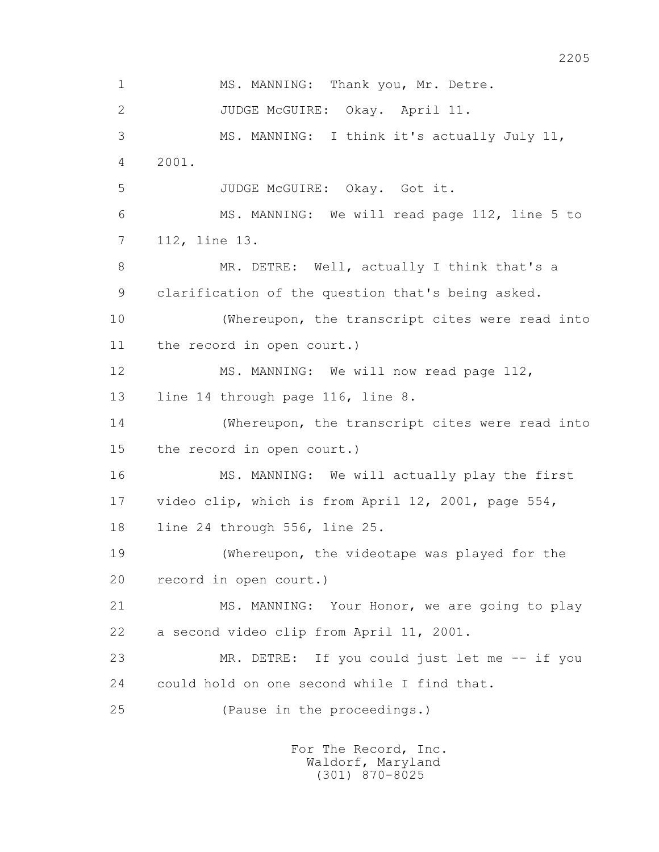1 MS. MANNING: Thank you, Mr. Detre. 2 JUDGE McGUIRE: Okay. April 11. 3 MS. MANNING: I think it's actually July 11, 4 2001. 5 JUDGE McGUIRE: Okay. Got it. 6 MS. MANNING: We will read page 112, line 5 to 7 112, line 13. 8 MR. DETRE: Well, actually I think that's a 9 clarification of the question that's being asked. 10 (Whereupon, the transcript cites were read into 11 the record in open court.) 12 MS. MANNING: We will now read page 112, 13 line 14 through page 116, line 8. 14 (Whereupon, the transcript cites were read into 15 the record in open court.) 16 MS. MANNING: We will actually play the first 17 video clip, which is from April 12, 2001, page 554, 18 line 24 through 556, line 25. 19 (Whereupon, the videotape was played for the 20 record in open court.) 21 MS. MANNING: Your Honor, we are going to play 22 a second video clip from April 11, 2001. 23 MR. DETRE: If you could just let me -- if you 24 could hold on one second while I find that. 25 (Pause in the proceedings.)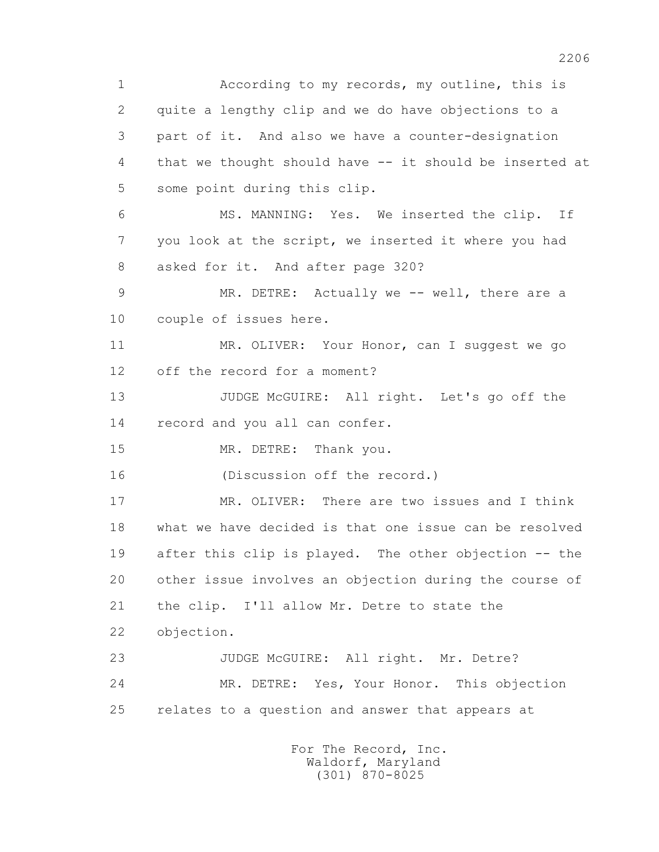1 According to my records, my outline, this is 2 quite a lengthy clip and we do have objections to a 3 part of it. And also we have a counter-designation 4 that we thought should have -- it should be inserted at 5 some point during this clip. 6 MS. MANNING: Yes. We inserted the clip. If 7 you look at the script, we inserted it where you had 8 asked for it. And after page 320? 9 MR. DETRE: Actually we -- well, there are a 10 couple of issues here. 11 MR. OLIVER: Your Honor, can I suggest we go 12 off the record for a moment? 13 JUDGE McGUIRE: All right. Let's go off the 14 record and you all can confer. 15 MR. DETRE: Thank you. 16 (Discussion off the record.) 17 MR. OLIVER: There are two issues and I think 18 what we have decided is that one issue can be resolved 19 after this clip is played. The other objection -- the 20 other issue involves an objection during the course of 21 the clip. I'll allow Mr. Detre to state the 22 objection. 23 JUDGE McGUIRE: All right. Mr. Detre? 24 MR. DETRE: Yes, Your Honor. This objection 25 relates to a question and answer that appears at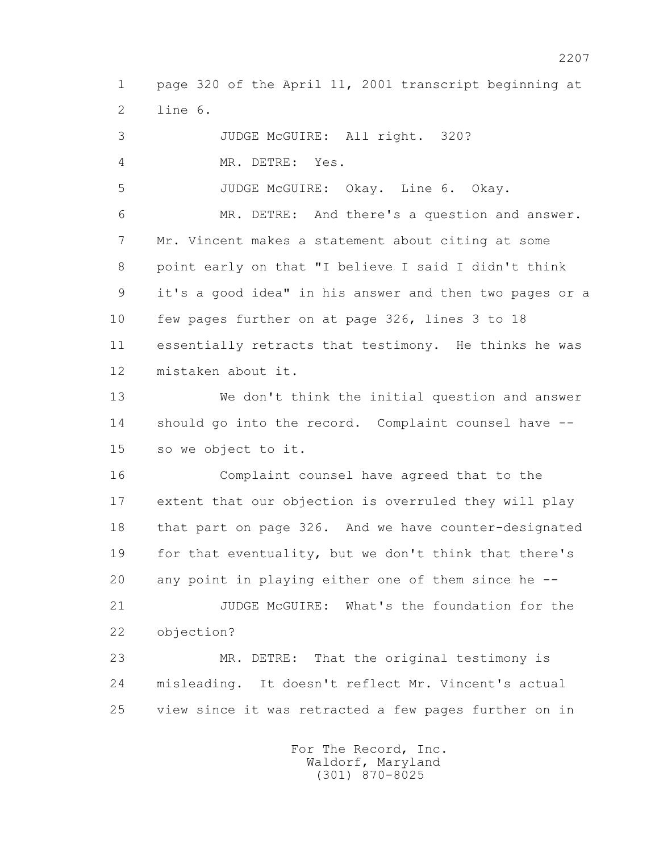1 page 320 of the April 11, 2001 transcript beginning at 2 line 6.

 3 JUDGE McGUIRE: All right. 320? 4 MR. DETRE: Yes. 5 JUDGE McGUIRE: Okay. Line 6. Okay. 6 MR. DETRE: And there's a question and answer. 7 Mr. Vincent makes a statement about citing at some 8 point early on that "I believe I said I didn't think 9 it's a good idea" in his answer and then two pages or a 10 few pages further on at page 326, lines 3 to 18 11 essentially retracts that testimony. He thinks he was 12 mistaken about it. 13 We don't think the initial question and answer 14 should go into the record. Complaint counsel have -- 15 so we object to it. 16 Complaint counsel have agreed that to the 17 extent that our objection is overruled they will play 18 that part on page 326. And we have counter-designated 19 for that eventuality, but we don't think that there's 20 any point in playing either one of them since he -- 21 JUDGE McGUIRE: What's the foundation for the 22 objection? 23 MR. DETRE: That the original testimony is 24 misleading. It doesn't reflect Mr. Vincent's actual 25 view since it was retracted a few pages further on in

> For The Record, Inc. Waldorf, Maryland (301) 870-8025

2207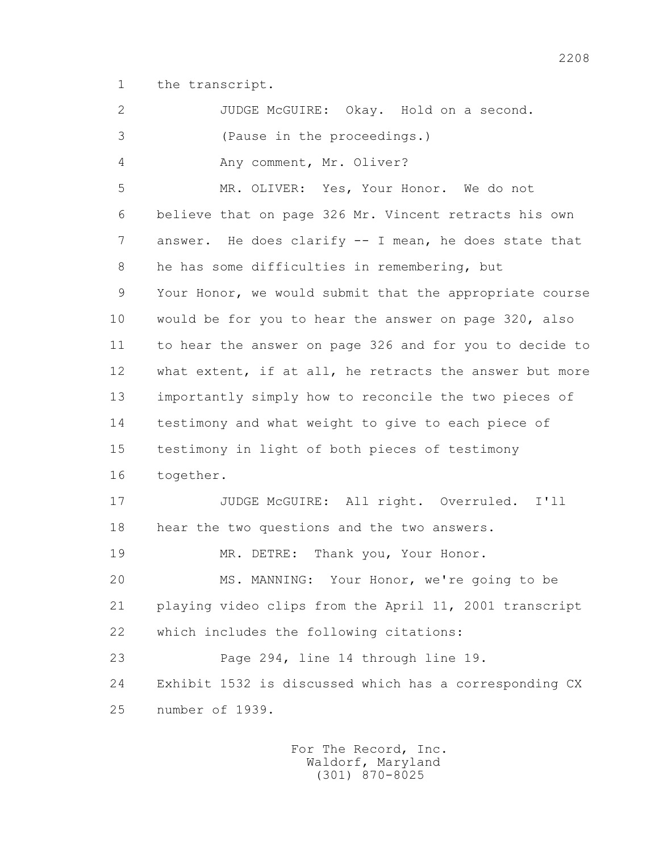1 the transcript.

 2 JUDGE McGUIRE: Okay. Hold on a second. 3 (Pause in the proceedings.) 4 Any comment, Mr. Oliver? 5 MR. OLIVER: Yes, Your Honor. We do not 6 believe that on page 326 Mr. Vincent retracts his own 7 answer. He does clarify -- I mean, he does state that 8 he has some difficulties in remembering, but 9 Your Honor, we would submit that the appropriate course 10 would be for you to hear the answer on page 320, also 11 to hear the answer on page 326 and for you to decide to 12 what extent, if at all, he retracts the answer but more 13 importantly simply how to reconcile the two pieces of 14 testimony and what weight to give to each piece of 15 testimony in light of both pieces of testimony 16 together. 17 JUDGE McGUIRE: All right. Overruled. I'll 18 hear the two questions and the two answers. 19 MR. DETRE: Thank you, Your Honor. 20 MS. MANNING: Your Honor, we're going to be 21 playing video clips from the April 11, 2001 transcript 22 which includes the following citations: 23 Page 294, line 14 through line 19. 24 Exhibit 1532 is discussed which has a corresponding CX 25 number of 1939.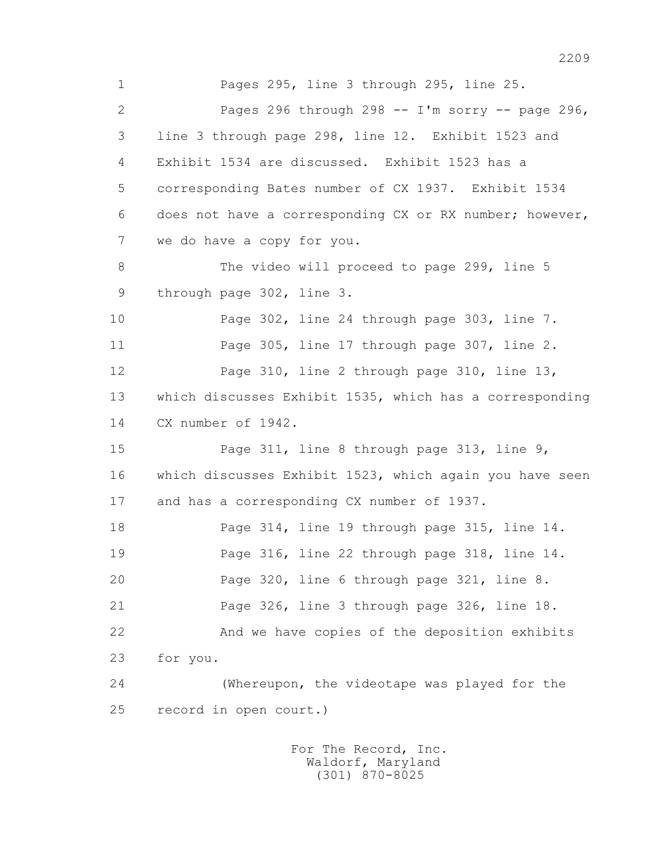1 Pages 295, line 3 through 295, line 25. 2 Pages 296 through 298 -- I'm sorry -- page 296, 3 line 3 through page 298, line 12. Exhibit 1523 and 4 Exhibit 1534 are discussed. Exhibit 1523 has a 5 corresponding Bates number of CX 1937. Exhibit 1534 6 does not have a corresponding CX or RX number; however, 7 we do have a copy for you. 8 The video will proceed to page 299, line 5 9 through page 302, line 3. 10 Page 302, line 24 through page 303, line 7. 11 Page 305, line 17 through page 307, line 2. 12 Page 310, line 2 through page 310, line 13, 13 which discusses Exhibit 1535, which has a corresponding 14 CX number of 1942. 15 Page 311, line 8 through page 313, line 9, 16 which discusses Exhibit 1523, which again you have seen 17 and has a corresponding CX number of 1937. 18 Page 314, line 19 through page 315, line 14. 19 Page 316, line 22 through page 318, line 14. 20 Page 320, line 6 through page 321, line 8. 21 Page 326, line 3 through page 326, line 18. 22 And we have copies of the deposition exhibits 23 for you. 24 (Whereupon, the videotape was played for the 25 record in open court.)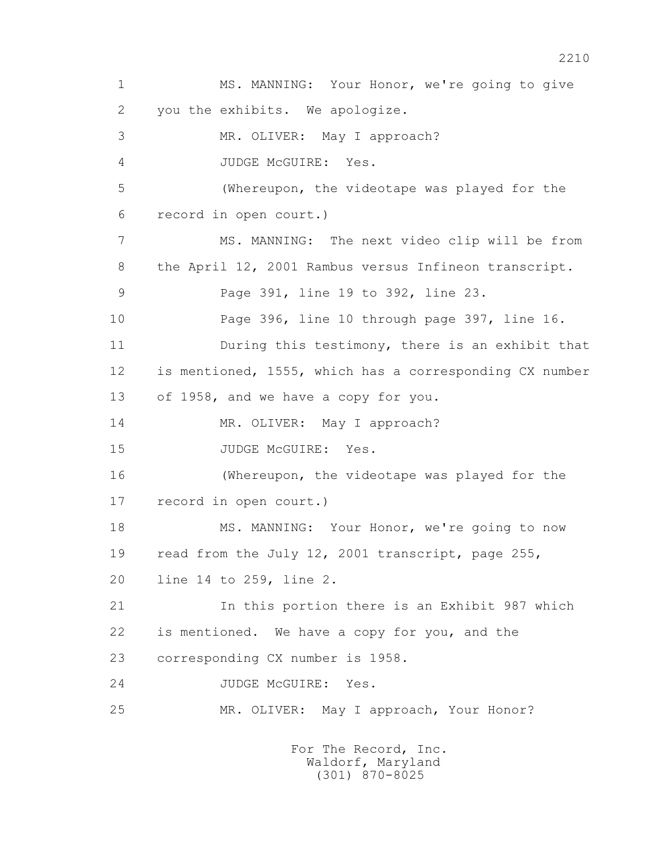1 MS. MANNING: Your Honor, we're going to give 2 you the exhibits. We apologize. 3 MR. OLIVER: May I approach? 4 JUDGE McGUIRE: Yes. 5 (Whereupon, the videotape was played for the 6 record in open court.) 7 MS. MANNING: The next video clip will be from 8 the April 12, 2001 Rambus versus Infineon transcript. 9 Page 391, line 19 to 392, line 23. 10 Page 396, line 10 through page 397, line 16. 11 During this testimony, there is an exhibit that 12 is mentioned, 1555, which has a corresponding CX number 13 of 1958, and we have a copy for you. 14 MR. OLIVER: May I approach? 15 JUDGE McGUIRE: Yes. 16 (Whereupon, the videotape was played for the 17 record in open court.) 18 MS. MANNING: Your Honor, we're going to now 19 read from the July 12, 2001 transcript, page 255, 20 line 14 to 259, line 2. 21 In this portion there is an Exhibit 987 which 22 is mentioned. We have a copy for you, and the 23 corresponding CX number is 1958. 24 JUDGE McGUIRE: Yes. 25 MR. OLIVER: May I approach, Your Honor? For The Record, Inc.

 Waldorf, Maryland (301) 870-8025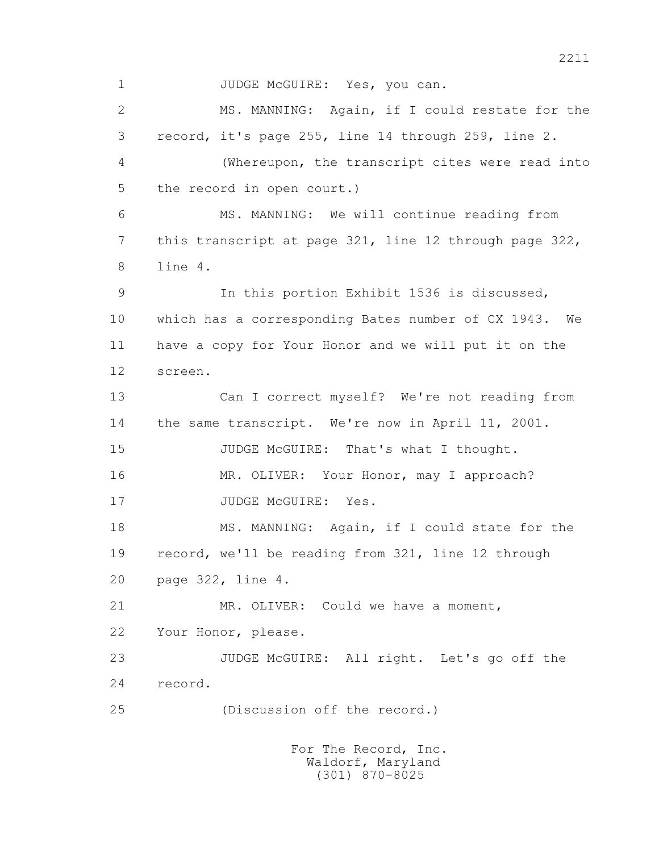1 JUDGE McGUIRE: Yes, you can. 2 MS. MANNING: Again, if I could restate for the 3 record, it's page 255, line 14 through 259, line 2. 4 (Whereupon, the transcript cites were read into 5 the record in open court.) 6 MS. MANNING: We will continue reading from 7 this transcript at page 321, line 12 through page 322, 8 line 4. 9 In this portion Exhibit 1536 is discussed, 10 which has a corresponding Bates number of CX 1943. We 11 have a copy for Your Honor and we will put it on the 12 screen. 13 Can I correct myself? We're not reading from 14 the same transcript. We're now in April 11, 2001. 15 JUDGE McGUIRE: That's what I thought. 16 MR. OLIVER: Your Honor, may I approach? 17 JUDGE McGUIRE: Yes. 18 MS. MANNING: Again, if I could state for the 19 record, we'll be reading from 321, line 12 through 20 page 322, line 4. 21 MR. OLIVER: Could we have a moment, 22 Your Honor, please. 23 JUDGE McGUIRE: All right. Let's go off the 24 record. 25 (Discussion off the record.) For The Record, Inc.

 Waldorf, Maryland (301) 870-8025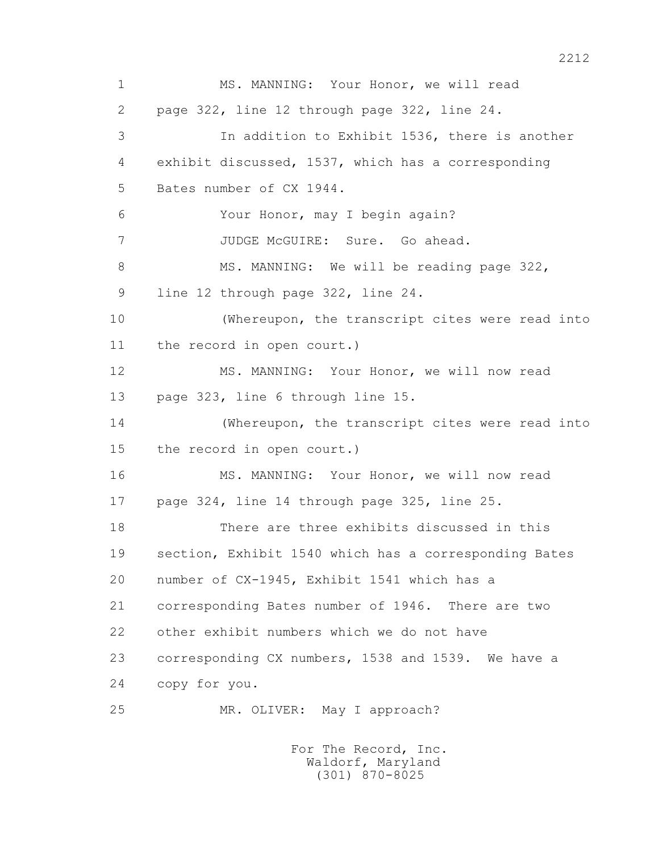1 MS. MANNING: Your Honor, we will read 2 page 322, line 12 through page 322, line 24. 3 In addition to Exhibit 1536, there is another 4 exhibit discussed, 1537, which has a corresponding 5 Bates number of CX 1944. 6 Your Honor, may I begin again? 7 JUDGE McGUIRE: Sure. Go ahead. 8 MS. MANNING: We will be reading page 322, 9 line 12 through page 322, line 24. 10 (Whereupon, the transcript cites were read into 11 the record in open court.) 12 MS. MANNING: Your Honor, we will now read 13 page 323, line 6 through line 15. 14 (Whereupon, the transcript cites were read into 15 the record in open court.) 16 MS. MANNING: Your Honor, we will now read 17 page 324, line 14 through page 325, line 25. 18 There are three exhibits discussed in this 19 section, Exhibit 1540 which has a corresponding Bates 20 number of CX-1945, Exhibit 1541 which has a 21 corresponding Bates number of 1946. There are two 22 other exhibit numbers which we do not have 23 corresponding CX numbers, 1538 and 1539. We have a 24 copy for you. 25 MR. OLIVER: May I approach?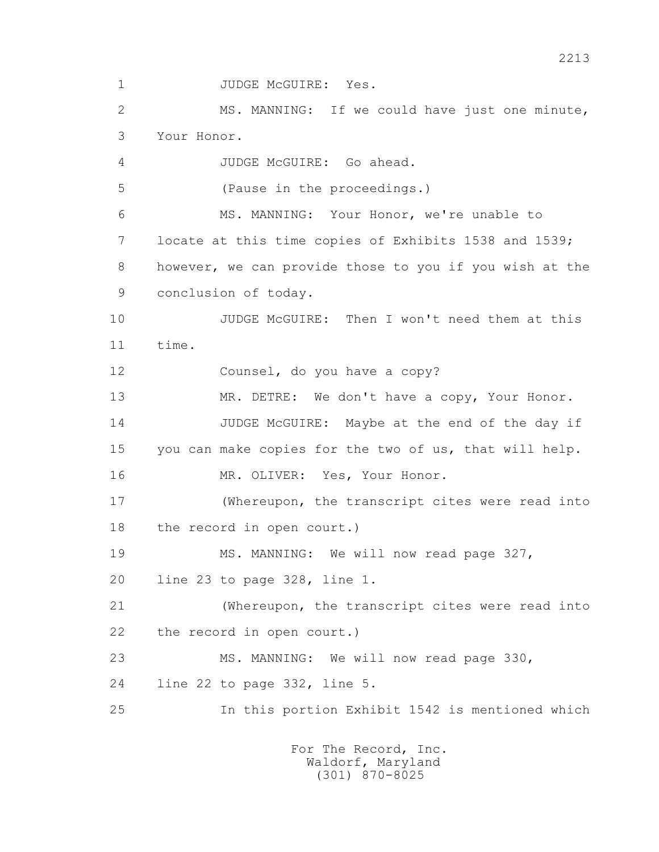1 JUDGE McGUIRE: Yes. 2 MS. MANNING: If we could have just one minute, 3 Your Honor. 4 JUDGE McGUIRE: Go ahead. 5 (Pause in the proceedings.) 6 MS. MANNING: Your Honor, we're unable to 7 locate at this time copies of Exhibits 1538 and 1539; 8 however, we can provide those to you if you wish at the 9 conclusion of today. 10 JUDGE McGUIRE: Then I won't need them at this 11 time. 12 Counsel, do you have a copy? 13 MR. DETRE: We don't have a copy, Your Honor. 14 JUDGE McGUIRE: Maybe at the end of the day if 15 you can make copies for the two of us, that will help. 16 MR. OLIVER: Yes, Your Honor. 17 (Whereupon, the transcript cites were read into 18 the record in open court.) 19 MS. MANNING: We will now read page 327, 20 line 23 to page 328, line 1. 21 (Whereupon, the transcript cites were read into 22 the record in open court.) 23 MS. MANNING: We will now read page 330, 24 line 22 to page 332, line 5. 25 In this portion Exhibit 1542 is mentioned which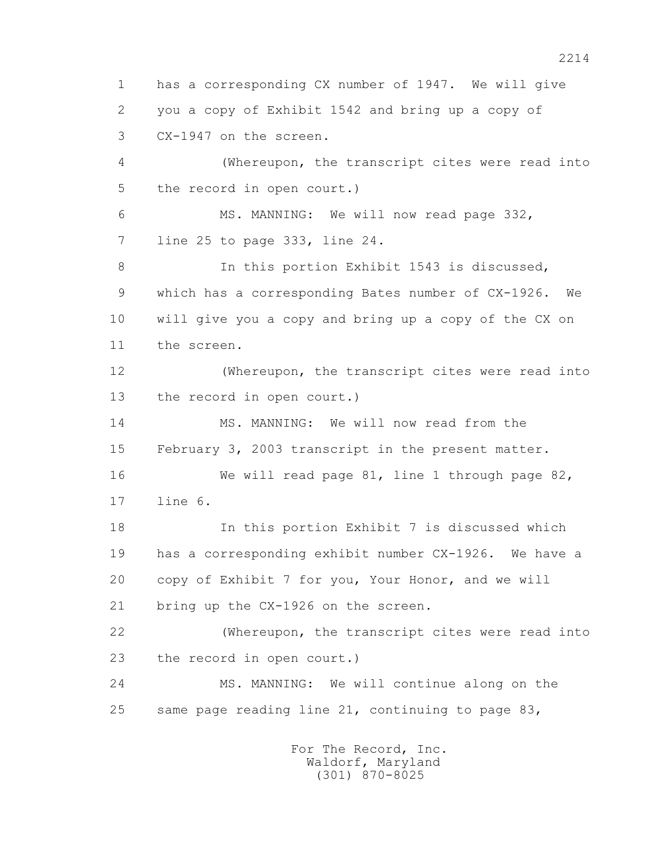1 has a corresponding CX number of 1947. We will give 2 you a copy of Exhibit 1542 and bring up a copy of 3 CX-1947 on the screen. 4 (Whereupon, the transcript cites were read into 5 the record in open court.) 6 MS. MANNING: We will now read page 332, 7 line 25 to page 333, line 24. 8 In this portion Exhibit 1543 is discussed, 9 which has a corresponding Bates number of CX-1926. We 10 will give you a copy and bring up a copy of the CX on 11 the screen. 12 (Whereupon, the transcript cites were read into 13 the record in open court.) 14 MS. MANNING: We will now read from the 15 February 3, 2003 transcript in the present matter. 16 We will read page 81, line 1 through page 82, 17 line 6. 18 In this portion Exhibit 7 is discussed which 19 has a corresponding exhibit number CX-1926. We have a 20 copy of Exhibit 7 for you, Your Honor, and we will 21 bring up the CX-1926 on the screen. 22 (Whereupon, the transcript cites were read into 23 the record in open court.) 24 MS. MANNING: We will continue along on the 25 same page reading line 21, continuing to page 83,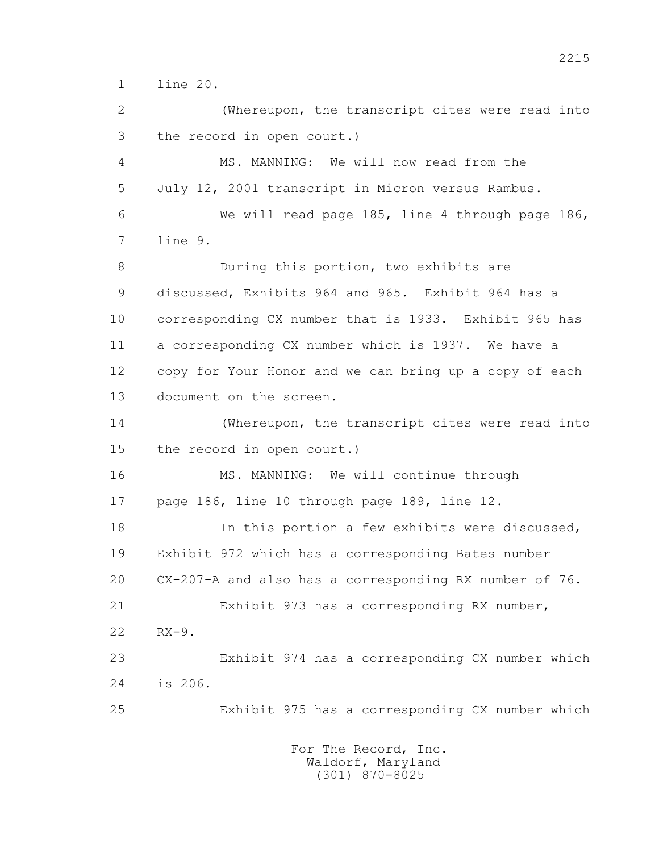1 line 20.

 2 (Whereupon, the transcript cites were read into 3 the record in open court.) 4 MS. MANNING: We will now read from the 5 July 12, 2001 transcript in Micron versus Rambus. 6 We will read page 185, line 4 through page 186, 7 line 9. 8 During this portion, two exhibits are 9 discussed, Exhibits 964 and 965. Exhibit 964 has a 10 corresponding CX number that is 1933. Exhibit 965 has 11 a corresponding CX number which is 1937. We have a 12 copy for Your Honor and we can bring up a copy of each 13 document on the screen. 14 (Whereupon, the transcript cites were read into 15 the record in open court.) 16 MS. MANNING: We will continue through 17 page 186, line 10 through page 189, line 12. 18 In this portion a few exhibits were discussed, 19 Exhibit 972 which has a corresponding Bates number 20 CX-207-A and also has a corresponding RX number of 76. 21 Exhibit 973 has a corresponding RX number, 22 RX-9. 23 Exhibit 974 has a corresponding CX number which 24 is 206. 25 Exhibit 975 has a corresponding CX number which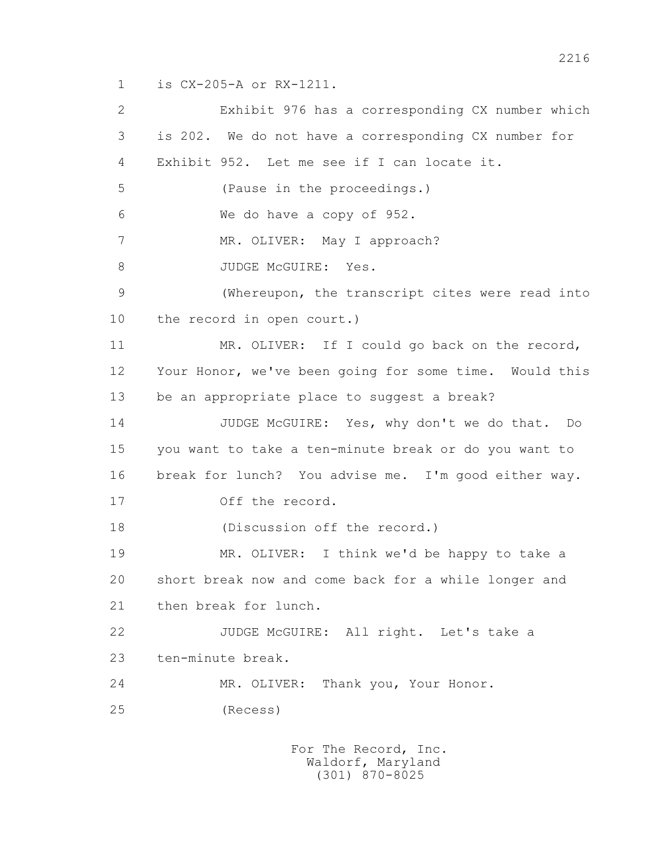1 is CX-205-A or RX-1211.

 2 Exhibit 976 has a corresponding CX number which 3 is 202. We do not have a corresponding CX number for 4 Exhibit 952. Let me see if I can locate it. 5 (Pause in the proceedings.) 6 We do have a copy of 952. 7 MR. OLIVER: May I approach? 8 JUDGE McGUIRE: Yes. 9 (Whereupon, the transcript cites were read into 10 the record in open court.) 11 MR. OLIVER: If I could go back on the record, 12 Your Honor, we've been going for some time. Would this 13 be an appropriate place to suggest a break? 14 JUDGE McGUIRE: Yes, why don't we do that. Do 15 you want to take a ten-minute break or do you want to 16 break for lunch? You advise me. I'm good either way. 17 Off the record. 18 (Discussion off the record.) 19 MR. OLIVER: I think we'd be happy to take a 20 short break now and come back for a while longer and 21 then break for lunch. 22 JUDGE McGUIRE: All right. Let's take a 23 ten-minute break. 24 MR. OLIVER: Thank you, Your Honor. 25 (Recess)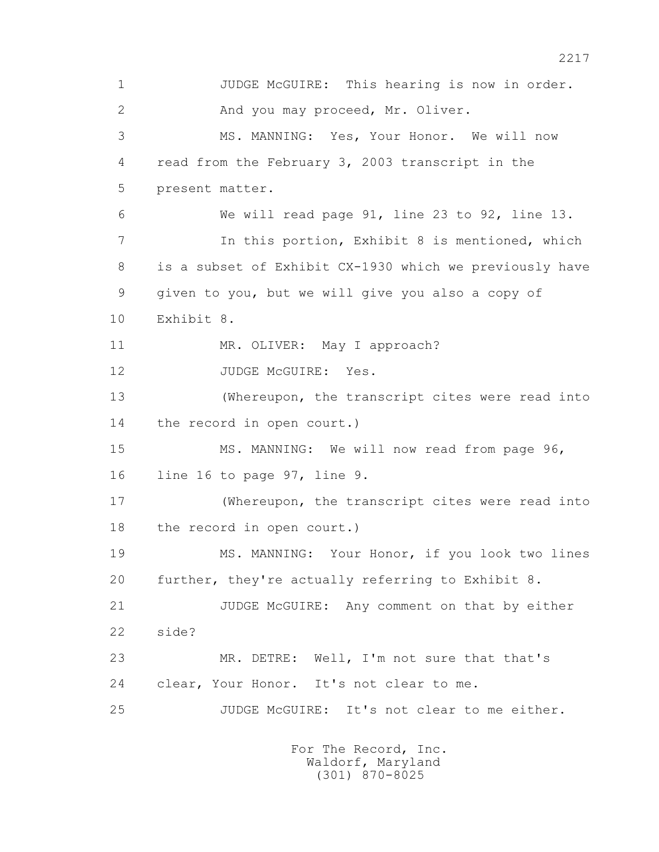1 JUDGE McGUIRE: This hearing is now in order. 2 And you may proceed, Mr. Oliver. 3 MS. MANNING: Yes, Your Honor. We will now 4 read from the February 3, 2003 transcript in the 5 present matter. 6 We will read page 91, line 23 to 92, line 13. 7 In this portion, Exhibit 8 is mentioned, which 8 is a subset of Exhibit CX-1930 which we previously have 9 given to you, but we will give you also a copy of 10 Exhibit 8. 11 MR. OLIVER: May I approach? 12 JUDGE McGUIRE: Yes. 13 (Whereupon, the transcript cites were read into 14 the record in open court.) 15 MS. MANNING: We will now read from page 96, 16 line 16 to page 97, line 9. 17 (Whereupon, the transcript cites were read into 18 the record in open court.) 19 MS. MANNING: Your Honor, if you look two lines 20 further, they're actually referring to Exhibit 8. 21 JUDGE McGUIRE: Any comment on that by either 22 side? 23 MR. DETRE: Well, I'm not sure that that's 24 clear, Your Honor. It's not clear to me. 25 JUDGE McGUIRE: It's not clear to me either.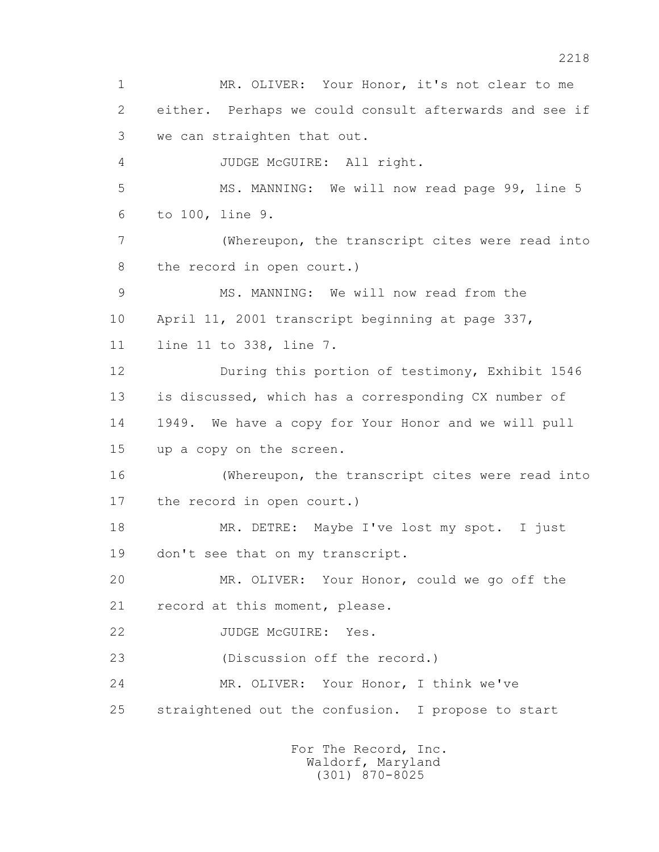1 MR. OLIVER: Your Honor, it's not clear to me 2 either. Perhaps we could consult afterwards and see if 3 we can straighten that out. 4 JUDGE McGUIRE: All right. 5 MS. MANNING: We will now read page 99, line 5 6 to 100, line 9. 7 (Whereupon, the transcript cites were read into 8 the record in open court.) 9 MS. MANNING: We will now read from the 10 April 11, 2001 transcript beginning at page 337, 11 line 11 to 338, line 7. 12 During this portion of testimony, Exhibit 1546 13 is discussed, which has a corresponding CX number of 14 1949. We have a copy for Your Honor and we will pull 15 up a copy on the screen. 16 (Whereupon, the transcript cites were read into 17 the record in open court.) 18 MR. DETRE: Maybe I've lost my spot. I just 19 don't see that on my transcript. 20 MR. OLIVER: Your Honor, could we go off the 21 record at this moment, please. 22 JUDGE McGUIRE: Yes. 23 (Discussion off the record.) 24 MR. OLIVER: Your Honor, I think we've 25 straightened out the confusion. I propose to start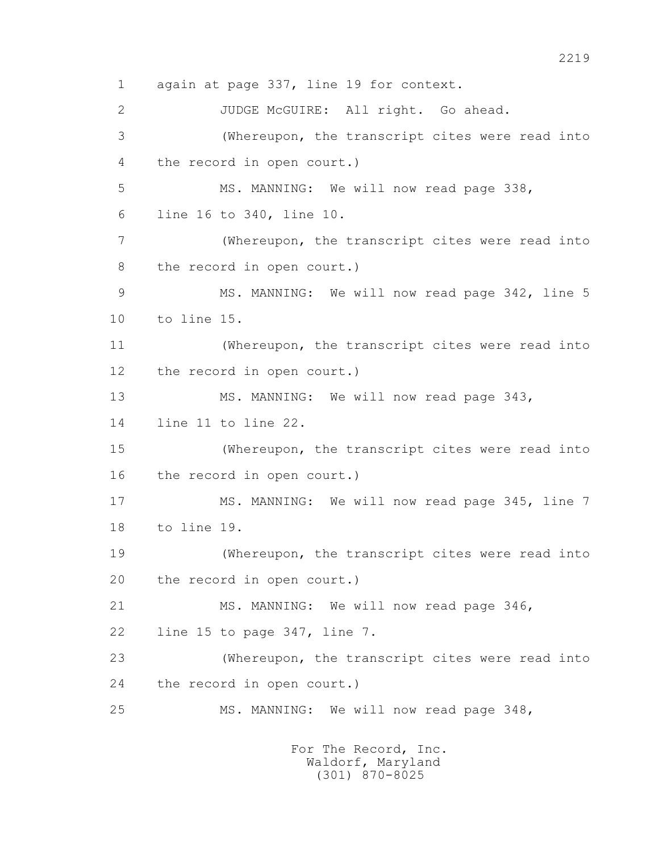1 again at page 337, line 19 for context. 2 JUDGE McGUIRE: All right. Go ahead. 3 (Whereupon, the transcript cites were read into 4 the record in open court.) 5 MS. MANNING: We will now read page 338, 6 line 16 to 340, line 10. 7 (Whereupon, the transcript cites were read into 8 the record in open court.) 9 MS. MANNING: We will now read page 342, line 5 10 to line 15. 11 (Whereupon, the transcript cites were read into 12 the record in open court.) 13 MS. MANNING: We will now read page 343, 14 line 11 to line 22. 15 (Whereupon, the transcript cites were read into 16 the record in open court.) 17 MS. MANNING: We will now read page 345, line 7 18 to line 19. 19 (Whereupon, the transcript cites were read into 20 the record in open court.) 21 MS. MANNING: We will now read page 346, 22 line 15 to page 347, line 7. 23 (Whereupon, the transcript cites were read into 24 the record in open court.) 25 MS. MANNING: We will now read page 348,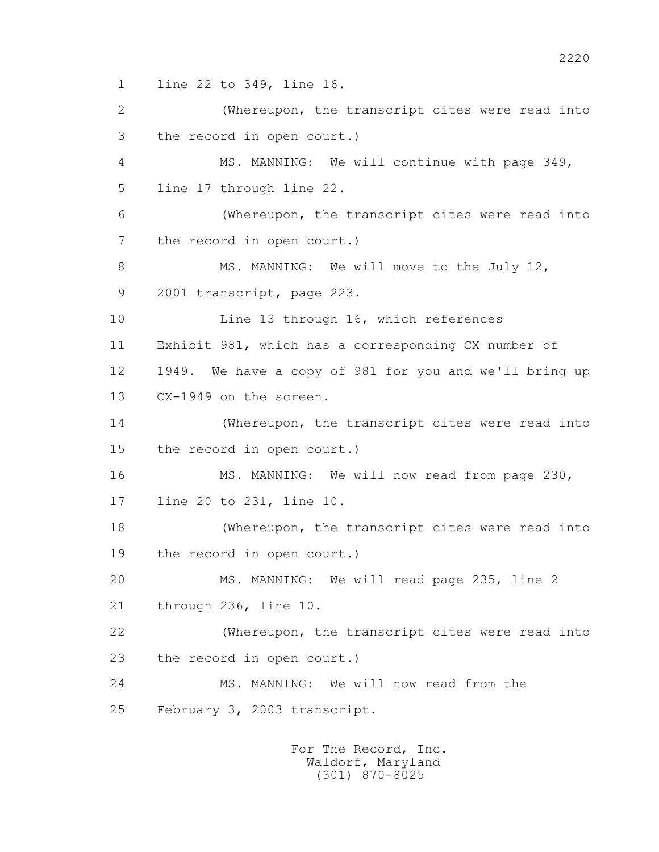1 line 22 to 349, line 16.

 2 (Whereupon, the transcript cites were read into 3 the record in open court.) 4 MS. MANNING: We will continue with page 349, 5 line 17 through line 22. 6 (Whereupon, the transcript cites were read into 7 the record in open court.) 8 MS. MANNING: We will move to the July 12, 9 2001 transcript, page 223. 10 Line 13 through 16, which references 11 Exhibit 981, which has a corresponding CX number of 12 1949. We have a copy of 981 for you and we'll bring up 13 CX-1949 on the screen. 14 (Whereupon, the transcript cites were read into 15 the record in open court.) 16 MS. MANNING: We will now read from page 230, 17 line 20 to 231, line 10. 18 (Whereupon, the transcript cites were read into 19 the record in open court.) 20 MS. MANNING: We will read page 235, line 2 21 through 236, line 10. 22 (Whereupon, the transcript cites were read into 23 the record in open court.) 24 MS. MANNING: We will now read from the 25 February 3, 2003 transcript.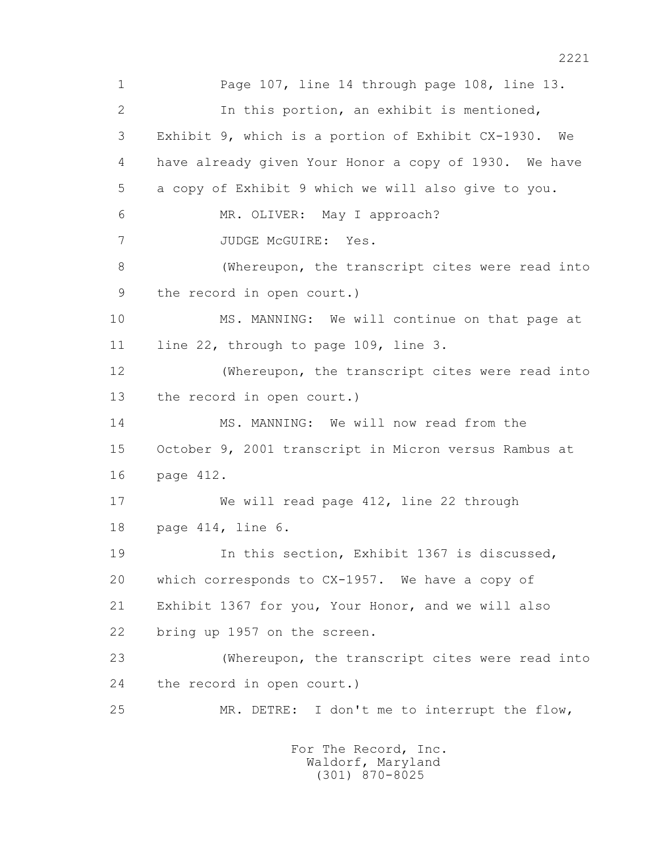1 Page 107, line 14 through page 108, line 13. 2 In this portion, an exhibit is mentioned, 3 Exhibit 9, which is a portion of Exhibit CX-1930. We 4 have already given Your Honor a copy of 1930. We have 5 a copy of Exhibit 9 which we will also give to you. 6 MR. OLIVER: May I approach? 7 JUDGE McGUIRE: Yes. 8 (Whereupon, the transcript cites were read into 9 the record in open court.) 10 MS. MANNING: We will continue on that page at 11 line 22, through to page 109, line 3. 12 (Whereupon, the transcript cites were read into 13 the record in open court.) 14 MS. MANNING: We will now read from the 15 October 9, 2001 transcript in Micron versus Rambus at 16 page 412. 17 We will read page 412, line 22 through 18 page 414, line 6. 19 In this section, Exhibit 1367 is discussed, 20 which corresponds to CX-1957. We have a copy of 21 Exhibit 1367 for you, Your Honor, and we will also 22 bring up 1957 on the screen. 23 (Whereupon, the transcript cites were read into 24 the record in open court.) 25 MR. DETRE: I don't me to interrupt the flow,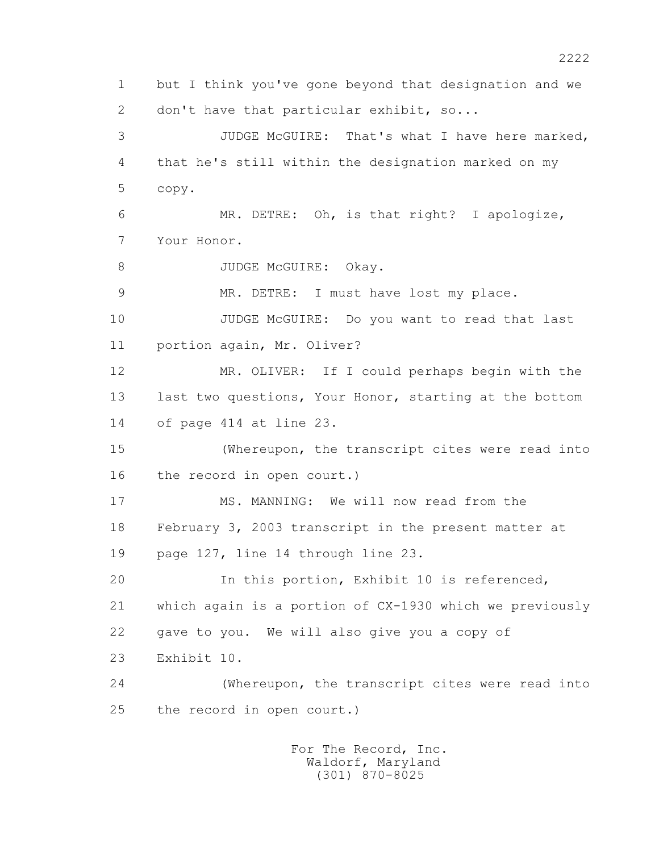1 but I think you've gone beyond that designation and we 2 don't have that particular exhibit, so... 3 JUDGE McGUIRE: That's what I have here marked, 4 that he's still within the designation marked on my 5 copy. 6 MR. DETRE: Oh, is that right? I apologize, 7 Your Honor. 8 JUDGE McGUIRE: Okay. 9 MR. DETRE: I must have lost my place. 10 JUDGE McGUIRE: Do you want to read that last 11 portion again, Mr. Oliver? 12 MR. OLIVER: If I could perhaps begin with the 13 last two questions, Your Honor, starting at the bottom 14 of page 414 at line 23. 15 (Whereupon, the transcript cites were read into 16 the record in open court.) 17 MS. MANNING: We will now read from the 18 February 3, 2003 transcript in the present matter at 19 page 127, line 14 through line 23. 20 In this portion, Exhibit 10 is referenced, 21 which again is a portion of CX-1930 which we previously 22 gave to you. We will also give you a copy of 23 Exhibit 10. 24 (Whereupon, the transcript cites were read into 25 the record in open court.)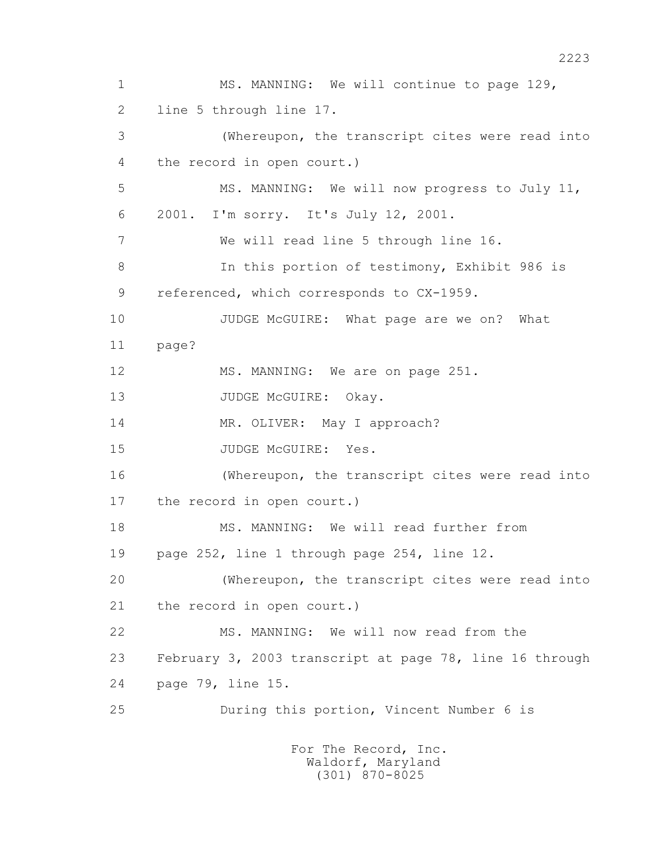1 MS. MANNING: We will continue to page 129, 2 line 5 through line 17. 3 (Whereupon, the transcript cites were read into 4 the record in open court.) 5 MS. MANNING: We will now progress to July 11, 6 2001. I'm sorry. It's July 12, 2001. 7 We will read line 5 through line 16. 8 In this portion of testimony, Exhibit 986 is 9 referenced, which corresponds to CX-1959. 10 JUDGE McGUIRE: What page are we on? What 11 page? 12 MS. MANNING: We are on page 251. 13 JUDGE McGUIRE: Okay. 14 MR. OLIVER: May I approach? 15 JUDGE McGUIRE: Yes. 16 (Whereupon, the transcript cites were read into 17 the record in open court.) 18 MS. MANNING: We will read further from 19 page 252, line 1 through page 254, line 12. 20 (Whereupon, the transcript cites were read into 21 the record in open court.) 22 MS. MANNING: We will now read from the 23 February 3, 2003 transcript at page 78, line 16 through 24 page 79, line 15. 25 During this portion, Vincent Number 6 is For The Record, Inc.

 Waldorf, Maryland (301) 870-8025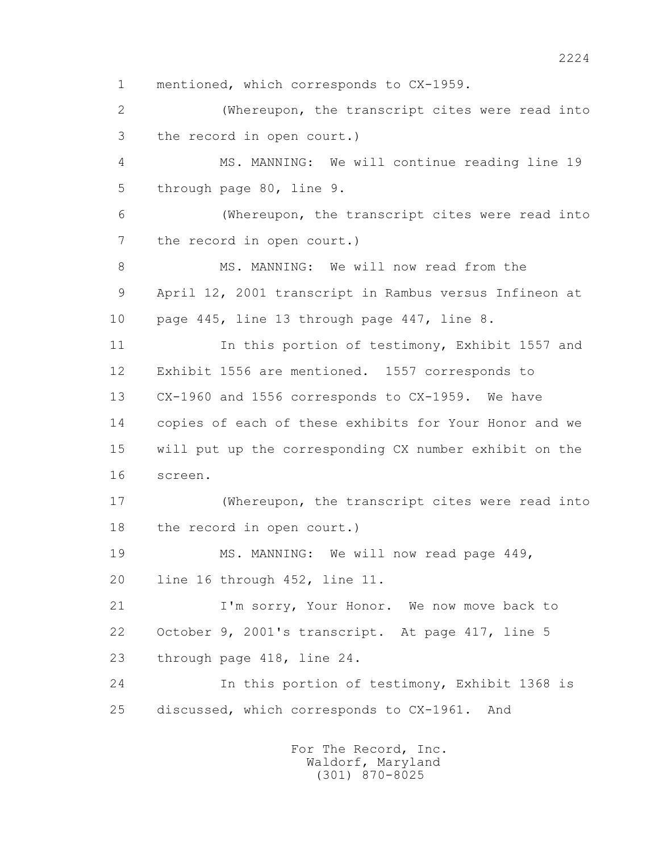1 mentioned, which corresponds to CX-1959. 2 (Whereupon, the transcript cites were read into 3 the record in open court.) 4 MS. MANNING: We will continue reading line 19 5 through page 80, line 9. 6 (Whereupon, the transcript cites were read into 7 the record in open court.) 8 MS. MANNING: We will now read from the 9 April 12, 2001 transcript in Rambus versus Infineon at 10 page 445, line 13 through page 447, line 8. 11 In this portion of testimony, Exhibit 1557 and 12 Exhibit 1556 are mentioned. 1557 corresponds to 13 CX-1960 and 1556 corresponds to CX-1959. We have 14 copies of each of these exhibits for Your Honor and we 15 will put up the corresponding CX number exhibit on the 16 screen. 17 (Whereupon, the transcript cites were read into 18 the record in open court.) 19 MS. MANNING: We will now read page  $449$ , 20 line 16 through 452, line 11. 21 I'm sorry, Your Honor. We now move back to 22 October 9, 2001's transcript. At page 417, line 5 23 through page 418, line 24. 24 In this portion of testimony, Exhibit 1368 is 25 discussed, which corresponds to CX-1961. And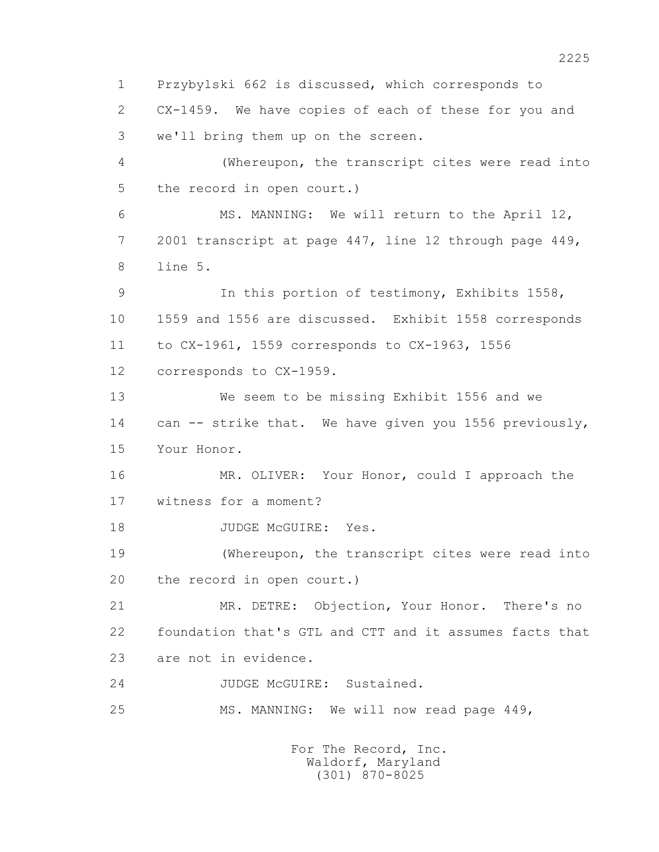1 Przybylski 662 is discussed, which corresponds to 2 CX-1459. We have copies of each of these for you and 3 we'll bring them up on the screen. 4 (Whereupon, the transcript cites were read into 5 the record in open court.) 6 MS. MANNING: We will return to the April 12, 7 2001 transcript at page 447, line 12 through page 449, 8 line 5. 9 In this portion of testimony, Exhibits 1558, 10 1559 and 1556 are discussed. Exhibit 1558 corresponds 11 to CX-1961, 1559 corresponds to CX-1963, 1556 12 corresponds to CX-1959. 13 We seem to be missing Exhibit 1556 and we 14 can -- strike that. We have given you 1556 previously, 15 Your Honor. 16 MR. OLIVER: Your Honor, could I approach the 17 witness for a moment? 18 JUDGE McGUIRE: Yes. 19 (Whereupon, the transcript cites were read into 20 the record in open court.) 21 MR. DETRE: Objection, Your Honor. There's no 22 foundation that's GTL and CTT and it assumes facts that 23 are not in evidence. 24 JUDGE McGUIRE: Sustained. 25 MS. MANNING: We will now read page 449, For The Record, Inc.

 Waldorf, Maryland (301) 870-8025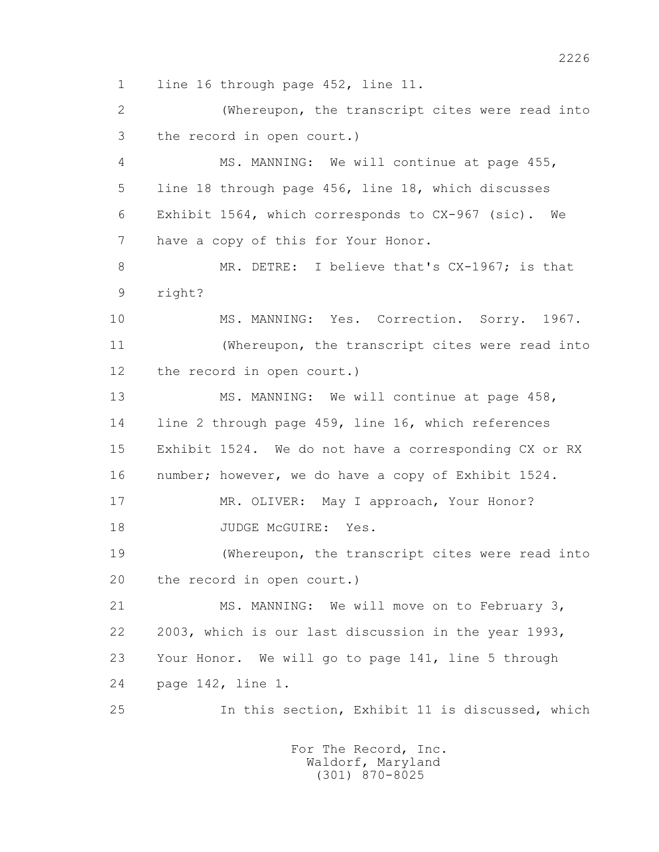1 line 16 through page 452, line 11.

 2 (Whereupon, the transcript cites were read into 3 the record in open court.)

 4 MS. MANNING: We will continue at page 455, 5 line 18 through page 456, line 18, which discusses 6 Exhibit 1564, which corresponds to CX-967 (sic). We 7 have a copy of this for Your Honor.

 8 MR. DETRE: I believe that's CX-1967; is that 9 right?

 10 MS. MANNING: Yes. Correction. Sorry. 1967. 11 (Whereupon, the transcript cites were read into 12 the record in open court.)

13 MS. MANNING: We will continue at page 458, 14 line 2 through page 459, line 16, which references 15 Exhibit 1524. We do not have a corresponding CX or RX 16 number; however, we do have a copy of Exhibit 1524.

 17 MR. OLIVER: May I approach, Your Honor? 18 JUDGE McGUIRE: Yes.

 19 (Whereupon, the transcript cites were read into 20 the record in open court.)

 21 MS. MANNING: We will move on to February 3, 22 2003, which is our last discussion in the year 1993, 23 Your Honor. We will go to page 141, line 5 through 24 page 142, line 1.

25 In this section, Exhibit 11 is discussed, which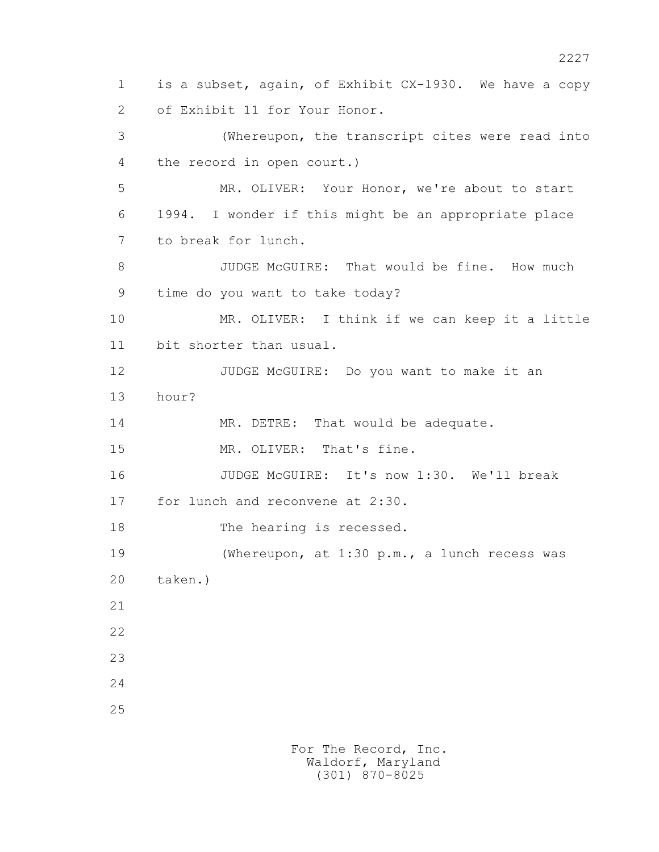1 is a subset, again, of Exhibit CX-1930. We have a copy 2 of Exhibit 11 for Your Honor. 3 (Whereupon, the transcript cites were read into 4 the record in open court.) 5 MR. OLIVER: Your Honor, we're about to start 6 1994. I wonder if this might be an appropriate place 7 to break for lunch. 8 JUDGE McGUIRE: That would be fine. How much 9 time do you want to take today? 10 MR. OLIVER: I think if we can keep it a little 11 bit shorter than usual. 12 JUDGE McGUIRE: Do you want to make it an 13 hour? 14 MR. DETRE: That would be adequate. 15 MR. OLIVER: That's fine. 16 JUDGE McGUIRE: It's now 1:30. We'll break 17 for lunch and reconvene at 2:30. 18 The hearing is recessed. 19 (Whereupon, at 1:30 p.m., a lunch recess was 20 taken.) 21 22 23 24 25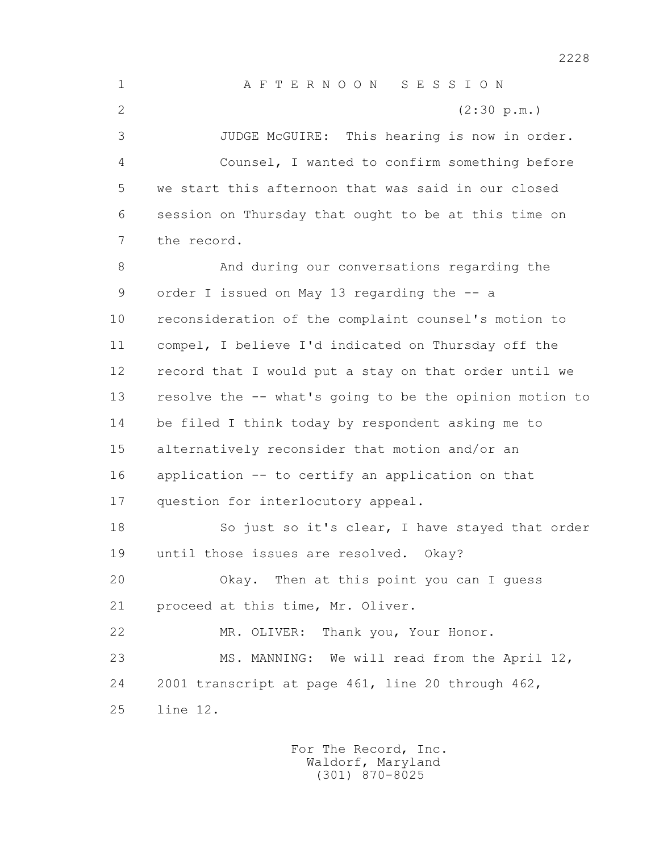1 A F T E R N O O N S E S S I O N 2 (2:30 p.m.) 3 JUDGE McGUIRE: This hearing is now in order. 4 Counsel, I wanted to confirm something before 5 we start this afternoon that was said in our closed 6 session on Thursday that ought to be at this time on 7 the record. 8 And during our conversations regarding the 9 order I issued on May 13 regarding the -- a 10 reconsideration of the complaint counsel's motion to 11 compel, I believe I'd indicated on Thursday off the 12 record that I would put a stay on that order until we 13 resolve the -- what's going to be the opinion motion to 14 be filed I think today by respondent asking me to 15 alternatively reconsider that motion and/or an 16 application -- to certify an application on that 17 question for interlocutory appeal. 18 So just so it's clear, I have stayed that order 19 until those issues are resolved. Okay? 20 Okay. Then at this point you can I guess 21 proceed at this time, Mr. Oliver. 22 MR. OLIVER: Thank you, Your Honor. 23 MS. MANNING: We will read from the April 12, 24 2001 transcript at page 461, line 20 through 462, 25 line 12.

2228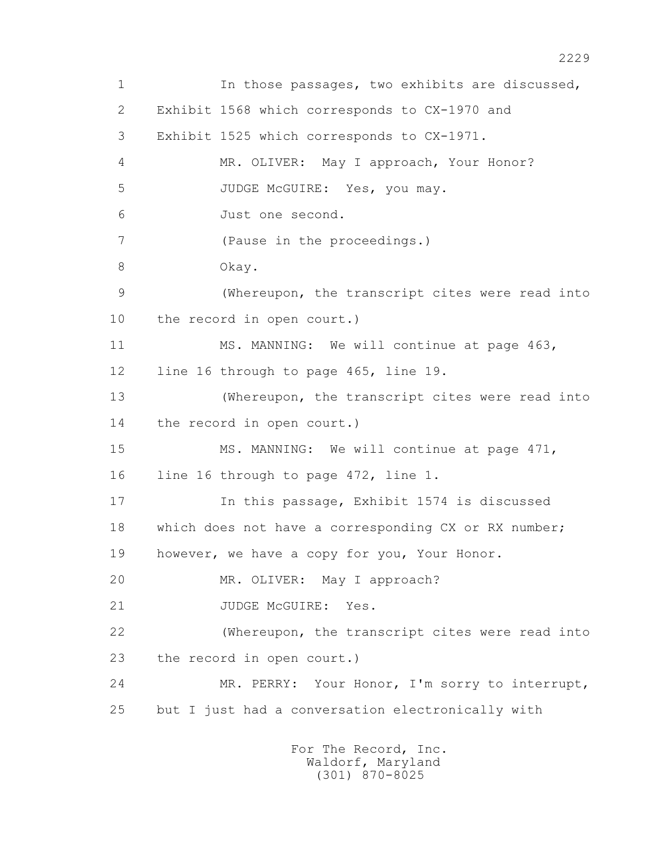1 In those passages, two exhibits are discussed, 2 Exhibit 1568 which corresponds to CX-1970 and 3 Exhibit 1525 which corresponds to CX-1971. 4 MR. OLIVER: May I approach, Your Honor? 5 JUDGE McGUIRE: Yes, you may. 6 Just one second. 7 (Pause in the proceedings.) 8 Okay. 9 (Whereupon, the transcript cites were read into 10 the record in open court.) 11 MS. MANNING: We will continue at page 463, 12 line 16 through to page 465, line 19. 13 (Whereupon, the transcript cites were read into 14 the record in open court.) 15 MS. MANNING: We will continue at page 471, 16 line 16 through to page 472, line 1. 17 In this passage, Exhibit 1574 is discussed 18 which does not have a corresponding CX or RX number; 19 however, we have a copy for you, Your Honor. 20 MR. OLIVER: May I approach? 21 JUDGE McGUIRE: Yes. 22 (Whereupon, the transcript cites were read into 23 the record in open court.) 24 MR. PERRY: Your Honor, I'm sorry to interrupt, 25 but I just had a conversation electronically with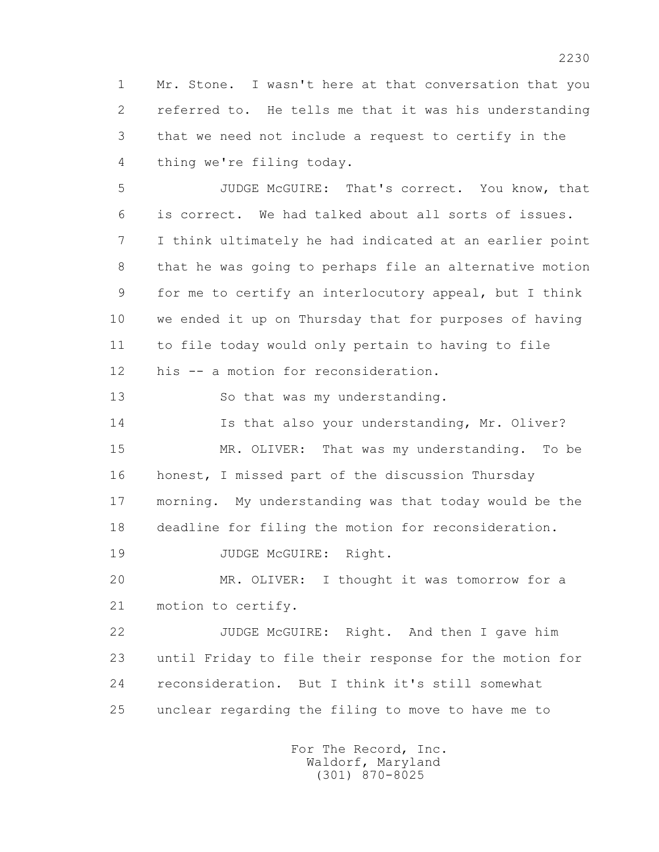1 Mr. Stone. I wasn't here at that conversation that you 2 referred to. He tells me that it was his understanding 3 that we need not include a request to certify in the 4 thing we're filing today.

 5 JUDGE McGUIRE: That's correct. You know, that 6 is correct. We had talked about all sorts of issues. 7 I think ultimately he had indicated at an earlier point 8 that he was going to perhaps file an alternative motion 9 for me to certify an interlocutory appeal, but I think 10 we ended it up on Thursday that for purposes of having 11 to file today would only pertain to having to file 12 his -- a motion for reconsideration.

13 So that was my understanding.

 14 Is that also your understanding, Mr. Oliver? 15 MR. OLIVER: That was my understanding. To be 16 honest, I missed part of the discussion Thursday 17 morning. My understanding was that today would be the 18 deadline for filing the motion for reconsideration.

19 JUDGE McGUIRE: Right.

 20 MR. OLIVER: I thought it was tomorrow for a 21 motion to certify.

 22 JUDGE McGUIRE: Right. And then I gave him 23 until Friday to file their response for the motion for 24 reconsideration. But I think it's still somewhat 25 unclear regarding the filing to move to have me to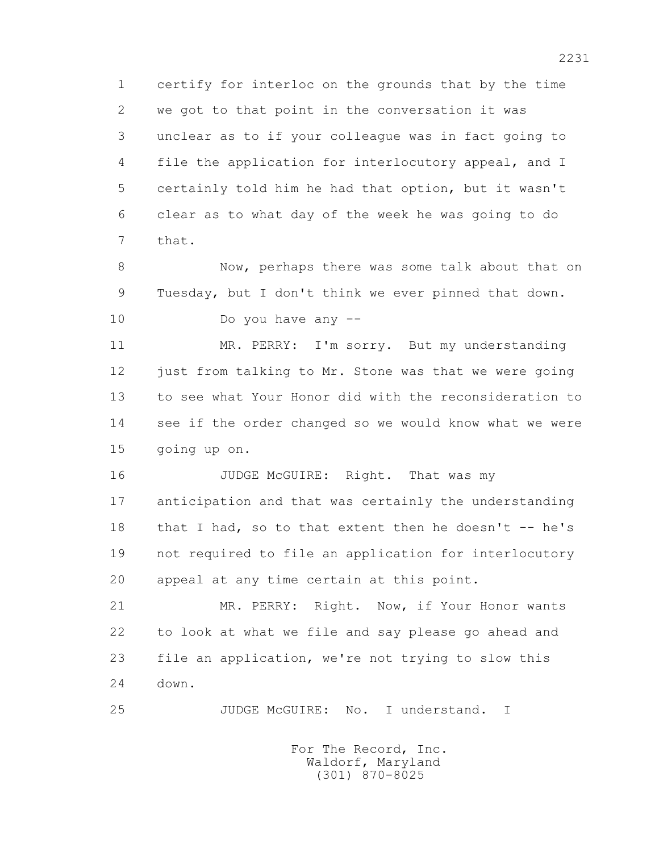1 certify for interloc on the grounds that by the time 2 we got to that point in the conversation it was 3 unclear as to if your colleague was in fact going to 4 file the application for interlocutory appeal, and I 5 certainly told him he had that option, but it wasn't 6 clear as to what day of the week he was going to do 7 that.

 8 Now, perhaps there was some talk about that on 9 Tuesday, but I don't think we ever pinned that down.

10 Do you have any --

 11 MR. PERRY: I'm sorry. But my understanding 12 just from talking to Mr. Stone was that we were going 13 to see what Your Honor did with the reconsideration to 14 see if the order changed so we would know what we were 15 going up on.

16 JUDGE McGUIRE: Right. That was my 17 anticipation and that was certainly the understanding 18 that I had, so to that extent then he doesn't -- he's 19 not required to file an application for interlocutory 20 appeal at any time certain at this point.

 21 MR. PERRY: Right. Now, if Your Honor wants 22 to look at what we file and say please go ahead and 23 file an application, we're not trying to slow this 24 down.

25 JUDGE McGUIRE: No. I understand. I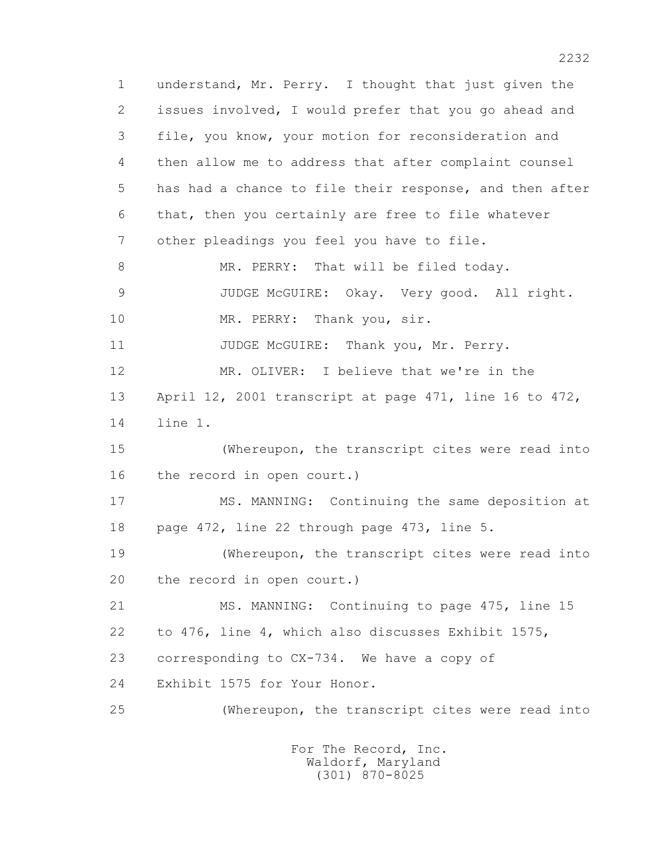1 understand, Mr. Perry. I thought that just given the 2 issues involved, I would prefer that you go ahead and 3 file, you know, your motion for reconsideration and 4 then allow me to address that after complaint counsel 5 has had a chance to file their response, and then after 6 that, then you certainly are free to file whatever 7 other pleadings you feel you have to file. 8 MR. PERRY: That will be filed today. 9 JUDGE McGUIRE: Okay. Very good. All right. 10 MR. PERRY: Thank you, sir. 11 JUDGE McGUIRE: Thank you, Mr. Perry. 12 MR. OLIVER: I believe that we're in the 13 April 12, 2001 transcript at page 471, line 16 to 472, 14 line 1. 15 (Whereupon, the transcript cites were read into 16 the record in open court.) 17 MS. MANNING: Continuing the same deposition at 18 page 472, line 22 through page 473, line 5. 19 (Whereupon, the transcript cites were read into 20 the record in open court.) 21 MS. MANNING: Continuing to page 475, line 15 22 to 476, line 4, which also discusses Exhibit 1575, 23 corresponding to CX-734. We have a copy of 24 Exhibit 1575 for Your Honor. 25 (Whereupon, the transcript cites were read into For The Record, Inc.

 Waldorf, Maryland (301) 870-8025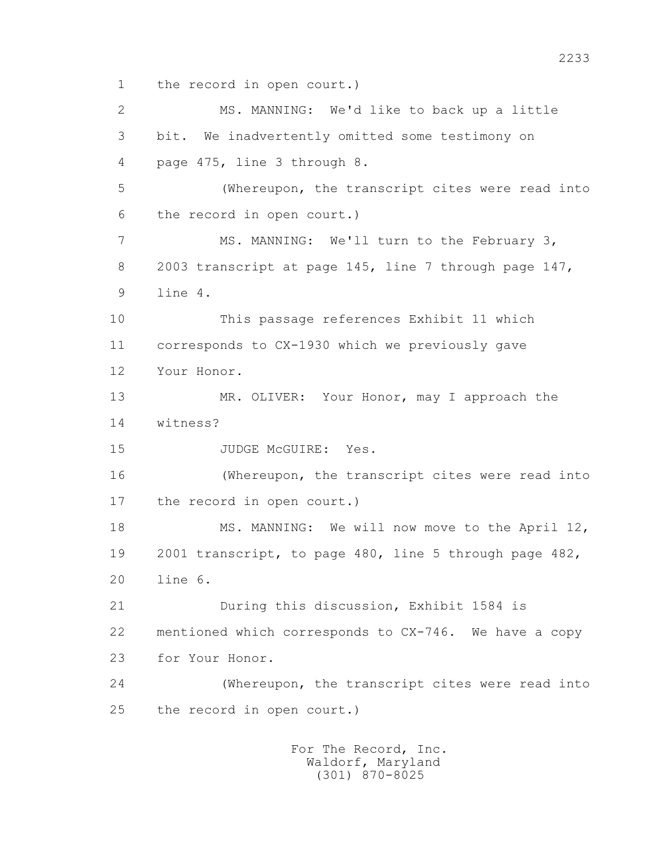1 the record in open court.)

 2 MS. MANNING: We'd like to back up a little 3 bit. We inadvertently omitted some testimony on 4 page 475, line 3 through 8. 5 (Whereupon, the transcript cites were read into 6 the record in open court.) 7 MS. MANNING: We'll turn to the February 3, 8 2003 transcript at page 145, line 7 through page 147, 9 line 4. 10 This passage references Exhibit 11 which 11 corresponds to CX-1930 which we previously gave 12 Your Honor. 13 MR. OLIVER: Your Honor, may I approach the 14 witness? 15 JUDGE McGUIRE: Yes. 16 (Whereupon, the transcript cites were read into 17 the record in open court.) 18 MS. MANNING: We will now move to the April 12, 19 2001 transcript, to page 480, line 5 through page 482, 20 line 6. 21 During this discussion, Exhibit 1584 is 22 mentioned which corresponds to CX-746. We have a copy 23 for Your Honor. 24 (Whereupon, the transcript cites were read into 25 the record in open court.)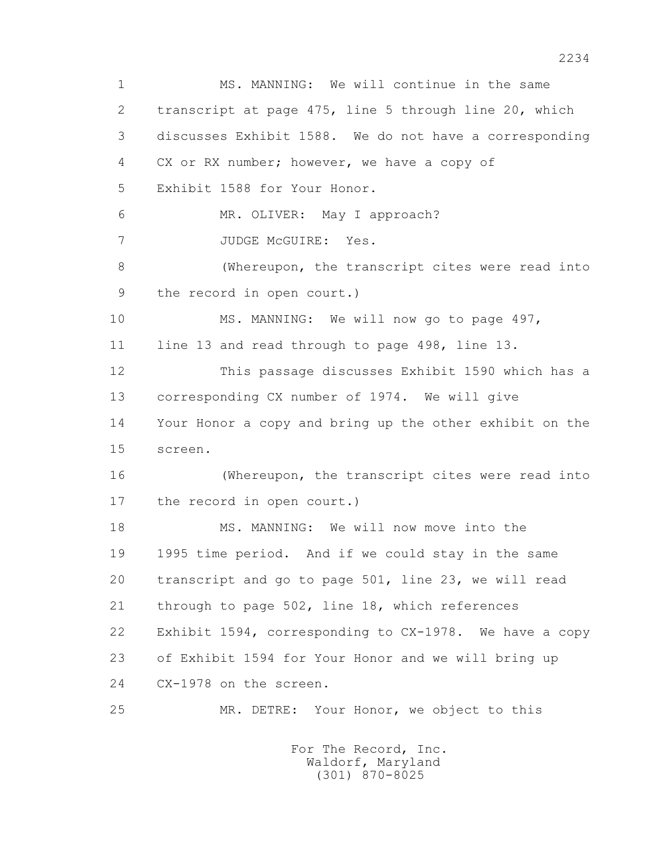1 MS. MANNING: We will continue in the same 2 transcript at page 475, line 5 through line 20, which 3 discusses Exhibit 1588. We do not have a corresponding 4 CX or RX number; however, we have a copy of 5 Exhibit 1588 for Your Honor. 6 MR. OLIVER: May I approach? 7 JUDGE McGUIRE: Yes. 8 (Whereupon, the transcript cites were read into 9 the record in open court.) 10 MS. MANNING: We will now go to page 497, 11 line 13 and read through to page 498, line 13. 12 This passage discusses Exhibit 1590 which has a 13 corresponding CX number of 1974. We will give 14 Your Honor a copy and bring up the other exhibit on the 15 screen. 16 (Whereupon, the transcript cites were read into 17 the record in open court.) 18 MS. MANNING: We will now move into the 19 1995 time period. And if we could stay in the same 20 transcript and go to page 501, line 23, we will read 21 through to page 502, line 18, which references 22 Exhibit 1594, corresponding to CX-1978. We have a copy 23 of Exhibit 1594 for Your Honor and we will bring up 24 CX-1978 on the screen. 25 MR. DETRE: Your Honor, we object to this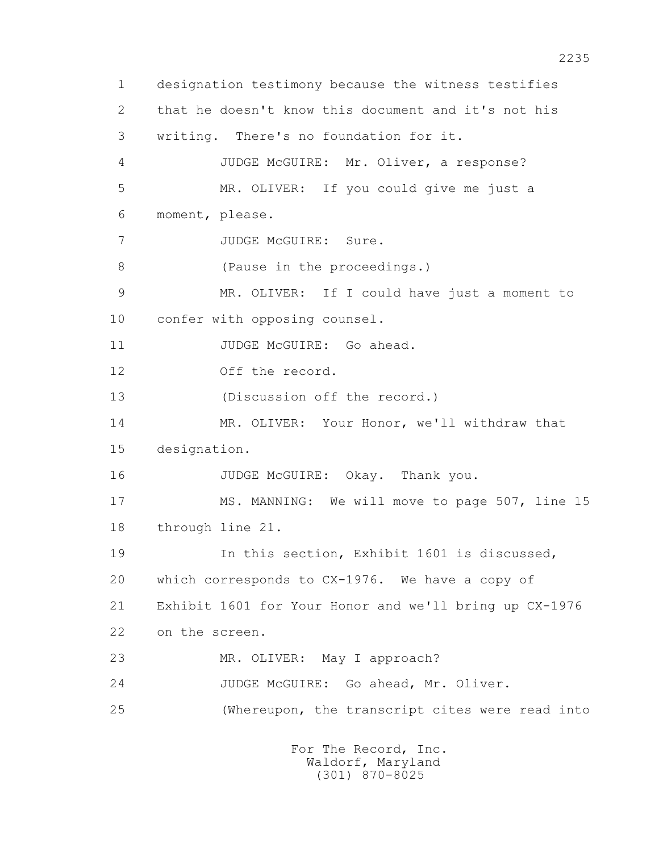1 designation testimony because the witness testifies 2 that he doesn't know this document and it's not his 3 writing. There's no foundation for it. 4 JUDGE McGUIRE: Mr. Oliver, a response? 5 MR. OLIVER: If you could give me just a 6 moment, please. 7 JUDGE McGUIRE: Sure. 8 (Pause in the proceedings.) 9 MR. OLIVER: If I could have just a moment to 10 confer with opposing counsel. 11 JUDGE McGUIRE: Go ahead. 12 Off the record. 13 (Discussion off the record.) 14 MR. OLIVER: Your Honor, we'll withdraw that 15 designation. 16 JUDGE McGUIRE: Okay. Thank you. 17 MS. MANNING: We will move to page 507, line 15 18 through line 21. 19 In this section, Exhibit 1601 is discussed, 20 which corresponds to CX-1976. We have a copy of 21 Exhibit 1601 for Your Honor and we'll bring up CX-1976 22 on the screen. 23 MR. OLIVER: May I approach? 24 JUDGE McGUIRE: Go ahead, Mr. Oliver. 25 (Whereupon, the transcript cites were read into For The Record, Inc.

 Waldorf, Maryland (301) 870-8025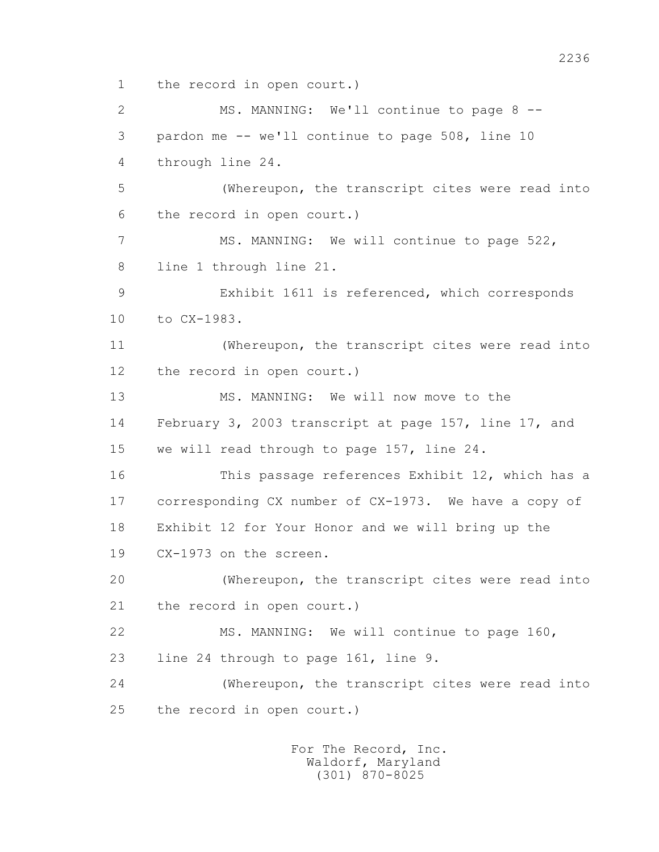1 the record in open court.)

 2 MS. MANNING: We'll continue to page 8 -- 3 pardon me -- we'll continue to page 508, line 10 4 through line 24. 5 (Whereupon, the transcript cites were read into 6 the record in open court.) 7 MS. MANNING: We will continue to page 522, 8 line 1 through line 21. 9 Exhibit 1611 is referenced, which corresponds 10 to CX-1983. 11 (Whereupon, the transcript cites were read into 12 the record in open court.) 13 MS. MANNING: We will now move to the 14 February 3, 2003 transcript at page 157, line 17, and 15 we will read through to page 157, line 24. 16 This passage references Exhibit 12, which has a 17 corresponding CX number of CX-1973. We have a copy of 18 Exhibit 12 for Your Honor and we will bring up the 19 CX-1973 on the screen. 20 (Whereupon, the transcript cites were read into 21 the record in open court.) 22 MS. MANNING: We will continue to page 160, 23 line 24 through to page 161, line 9. 24 (Whereupon, the transcript cites were read into 25 the record in open court.)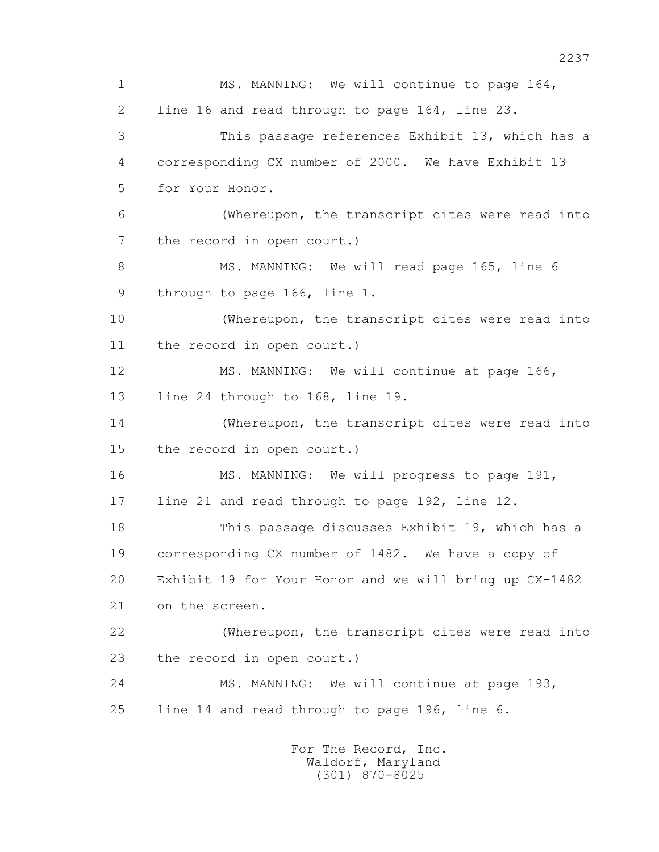1 MS. MANNING: We will continue to page 164, 2 line 16 and read through to page 164, line 23. 3 This passage references Exhibit 13, which has a 4 corresponding CX number of 2000. We have Exhibit 13 5 for Your Honor. 6 (Whereupon, the transcript cites were read into 7 the record in open court.) 8 MS. MANNING: We will read page 165, line 6 9 through to page 166, line 1. 10 (Whereupon, the transcript cites were read into 11 the record in open court.) 12 MS. MANNING: We will continue at page 166, 13 line 24 through to 168, line 19. 14 (Whereupon, the transcript cites were read into 15 the record in open court.) 16 MS. MANNING: We will progress to page 191, 17 line 21 and read through to page 192, line 12. 18 This passage discusses Exhibit 19, which has a 19 corresponding CX number of 1482. We have a copy of 20 Exhibit 19 for Your Honor and we will bring up CX-1482 21 on the screen. 22 (Whereupon, the transcript cites were read into 23 the record in open court.) 24 MS. MANNING: We will continue at page 193, 25 line 14 and read through to page 196, line 6.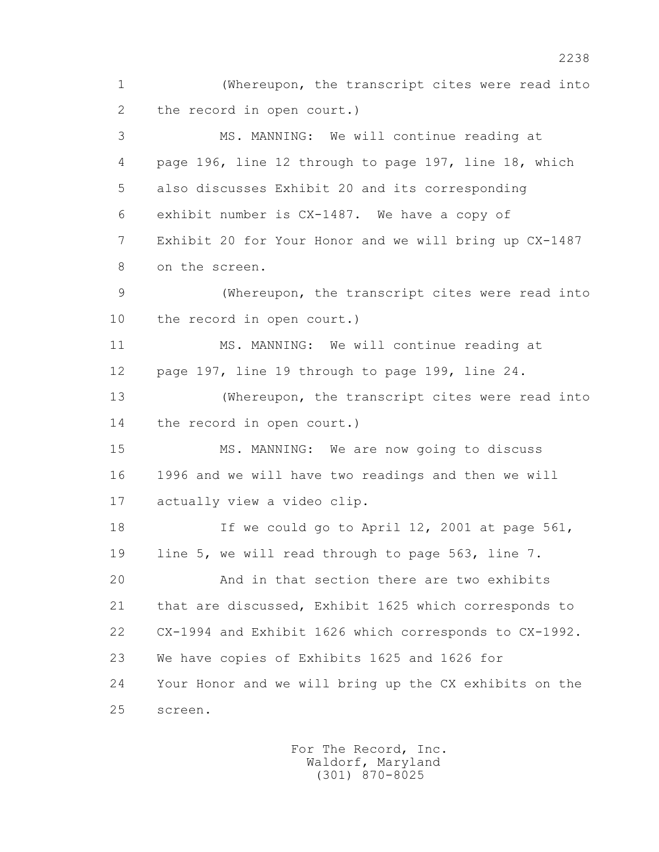1 (Whereupon, the transcript cites were read into 2 the record in open court.) 3 MS. MANNING: We will continue reading at 4 page 196, line 12 through to page 197, line 18, which 5 also discusses Exhibit 20 and its corresponding 6 exhibit number is CX-1487. We have a copy of 7 Exhibit 20 for Your Honor and we will bring up CX-1487 8 on the screen. 9 (Whereupon, the transcript cites were read into 10 the record in open court.) 11 MS. MANNING: We will continue reading at 12 page 197, line 19 through to page 199, line 24. 13 (Whereupon, the transcript cites were read into 14 the record in open court.) 15 MS. MANNING: We are now going to discuss 16 1996 and we will have two readings and then we will 17 actually view a video clip. 18 If we could go to April 12, 2001 at page 561, 19 line 5, we will read through to page 563, line 7. 20 And in that section there are two exhibits 21 that are discussed, Exhibit 1625 which corresponds to 22 CX-1994 and Exhibit 1626 which corresponds to CX-1992. 23 We have copies of Exhibits 1625 and 1626 for 24 Your Honor and we will bring up the CX exhibits on the 25 screen.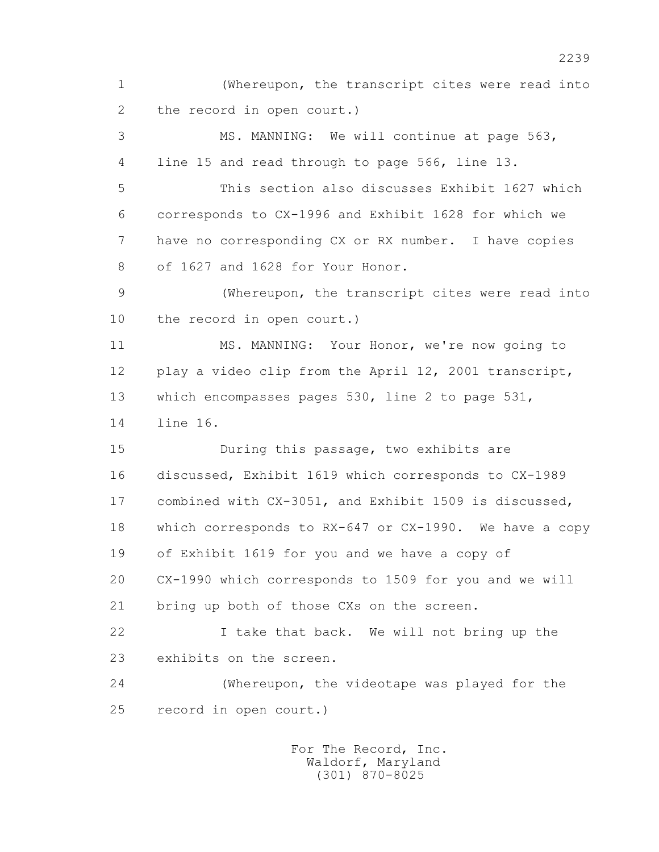1 (Whereupon, the transcript cites were read into 2 the record in open court.) 3 MS. MANNING: We will continue at page 563, 4 line 15 and read through to page 566, line 13. 5 This section also discusses Exhibit 1627 which 6 corresponds to CX-1996 and Exhibit 1628 for which we 7 have no corresponding CX or RX number. I have copies 8 of 1627 and 1628 for Your Honor. 9 (Whereupon, the transcript cites were read into 10 the record in open court.) 11 MS. MANNING: Your Honor, we're now going to 12 play a video clip from the April 12, 2001 transcript, 13 which encompasses pages 530, line 2 to page 531, 14 line 16. 15 During this passage, two exhibits are 16 discussed, Exhibit 1619 which corresponds to CX-1989 17 combined with CX-3051, and Exhibit 1509 is discussed, 18 which corresponds to RX-647 or CX-1990. We have a copy 19 of Exhibit 1619 for you and we have a copy of 20 CX-1990 which corresponds to 1509 for you and we will 21 bring up both of those CXs on the screen. 22 I take that back. We will not bring up the 23 exhibits on the screen. 24 (Whereupon, the videotape was played for the 25 record in open court.)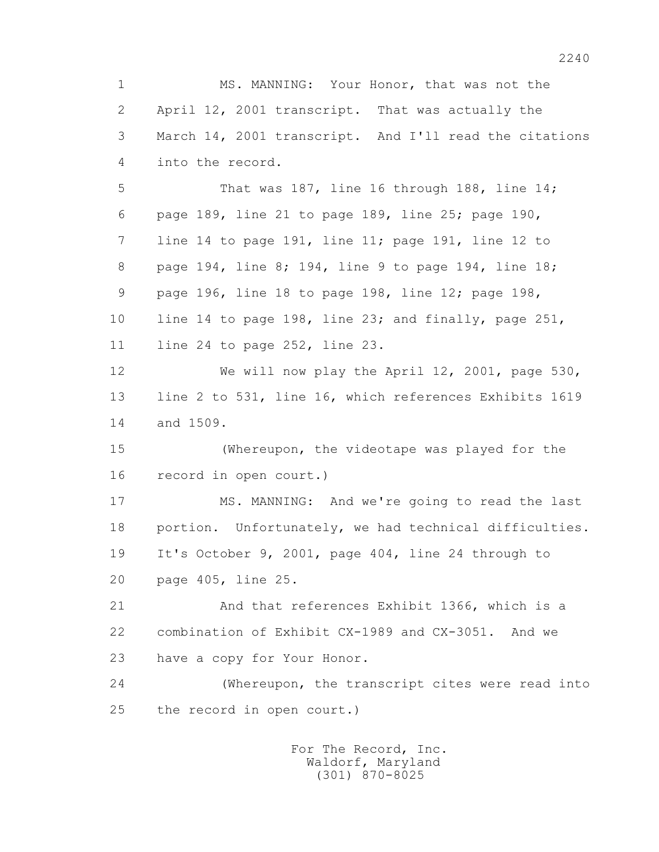1 MS. MANNING: Your Honor, that was not the 2 April 12, 2001 transcript. That was actually the 3 March 14, 2001 transcript. And I'll read the citations 4 into the record.

 5 That was 187, line 16 through 188, line 14; 6 page 189, line 21 to page 189, line 25; page 190, 7 line 14 to page 191, line 11; page 191, line 12 to 8 page 194, line 8; 194, line 9 to page 194, line 18; 9 page 196, line 18 to page 198, line 12; page 198, 10 line 14 to page 198, line 23; and finally, page 251, 11 line 24 to page 252, line 23.

 12 We will now play the April 12, 2001, page 530, 13 line 2 to 531, line 16, which references Exhibits 1619 14 and 1509.

 15 (Whereupon, the videotape was played for the 16 record in open court.)

 17 MS. MANNING: And we're going to read the last 18 portion. Unfortunately, we had technical difficulties. 19 It's October 9, 2001, page 404, line 24 through to 20 page 405, line 25.

 21 And that references Exhibit 1366, which is a 22 combination of Exhibit CX-1989 and CX-3051. And we 23 have a copy for Your Honor.

 24 (Whereupon, the transcript cites were read into 25 the record in open court.)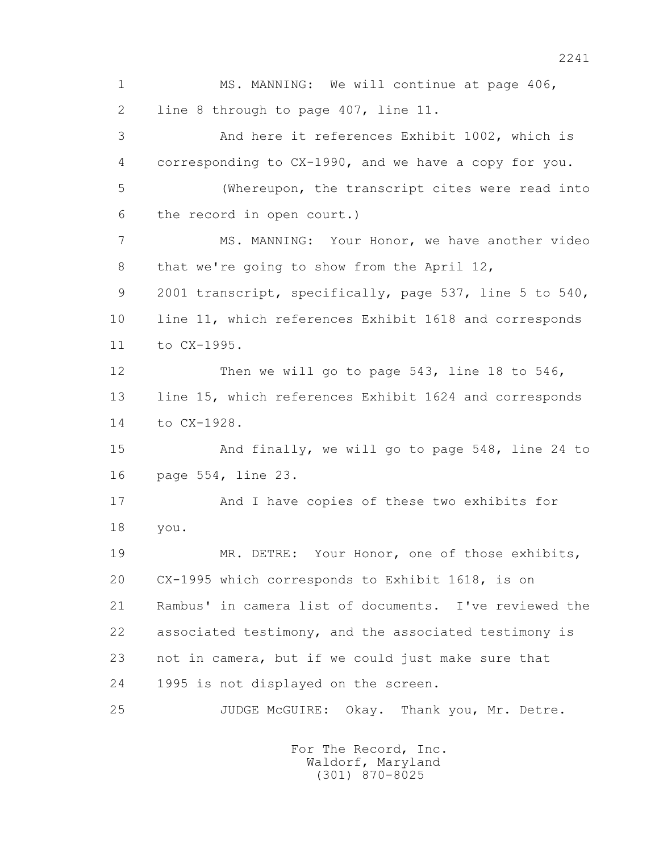1 MS. MANNING: We will continue at page 406, 2 line 8 through to page 407, line 11. 3 And here it references Exhibit 1002, which is 4 corresponding to CX-1990, and we have a copy for you. 5 (Whereupon, the transcript cites were read into 6 the record in open court.) 7 MS. MANNING: Your Honor, we have another video 8 that we're going to show from the April 12, 9 2001 transcript, specifically, page 537, line 5 to 540, 10 line 11, which references Exhibit 1618 and corresponds 11 to CX-1995. 12 Then we will go to page 543, line 18 to 546, 13 line 15, which references Exhibit 1624 and corresponds 14 to CX-1928. 15 And finally, we will go to page 548, line 24 to 16 page 554, line 23. 17 And I have copies of these two exhibits for 18 you. 19 MR. DETRE: Your Honor, one of those exhibits, 20 CX-1995 which corresponds to Exhibit 1618, is on 21 Rambus' in camera list of documents. I've reviewed the 22 associated testimony, and the associated testimony is 23 not in camera, but if we could just make sure that 24 1995 is not displayed on the screen. 25 JUDGE McGUIRE: Okay. Thank you, Mr. Detre.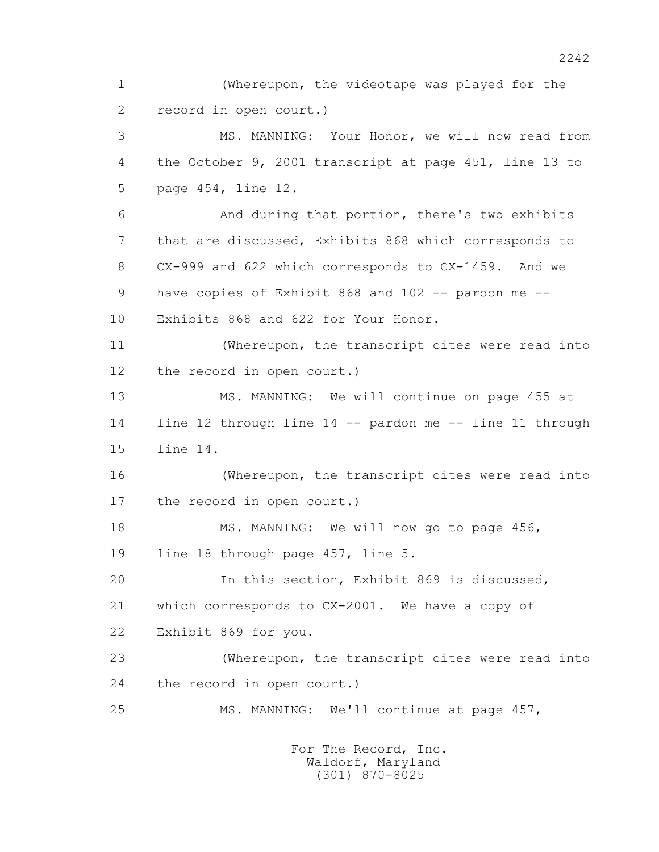1 (Whereupon, the videotape was played for the 2 record in open court.) 3 MS. MANNING: Your Honor, we will now read from 4 the October 9, 2001 transcript at page 451, line 13 to 5 page 454, line 12. 6 And during that portion, there's two exhibits 7 that are discussed, Exhibits 868 which corresponds to 8 CX-999 and 622 which corresponds to CX-1459. And we 9 have copies of Exhibit 868 and 102 -- pardon me -- 10 Exhibits 868 and 622 for Your Honor. 11 (Whereupon, the transcript cites were read into 12 the record in open court.) 13 MS. MANNING: We will continue on page 455 at 14 line 12 through line 14 -- pardon me -- line 11 through 15 line 14. 16 (Whereupon, the transcript cites were read into 17 the record in open court.) 18 MS. MANNING: We will now go to page 456, 19 line 18 through page 457, line 5. 20 In this section, Exhibit 869 is discussed, 21 which corresponds to CX-2001. We have a copy of 22 Exhibit 869 for you. 23 (Whereupon, the transcript cites were read into 24 the record in open court.) 25 MS. MANNING: We'll continue at page 457,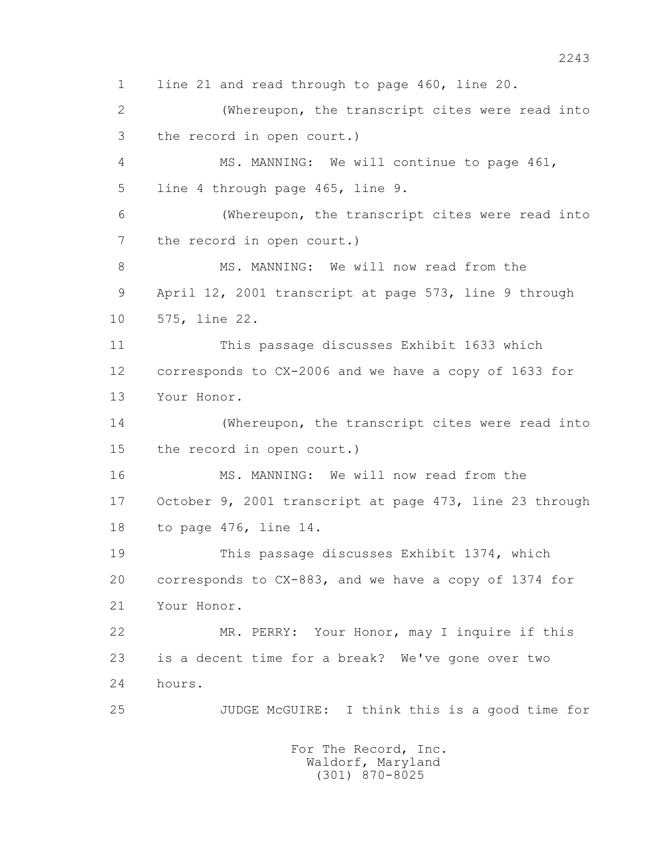1 line 21 and read through to page 460, line 20. 2 (Whereupon, the transcript cites were read into 3 the record in open court.) 4 MS. MANNING: We will continue to page 461, 5 line 4 through page 465, line 9. 6 (Whereupon, the transcript cites were read into 7 the record in open court.) 8 MS. MANNING: We will now read from the 9 April 12, 2001 transcript at page 573, line 9 through 10 575, line 22. 11 This passage discusses Exhibit 1633 which 12 corresponds to CX-2006 and we have a copy of 1633 for 13 Your Honor. 14 (Whereupon, the transcript cites were read into 15 the record in open court.) 16 MS. MANNING: We will now read from the 17 October 9, 2001 transcript at page 473, line 23 through 18 to page 476, line 14. 19 This passage discusses Exhibit 1374, which 20 corresponds to CX-883, and we have a copy of 1374 for 21 Your Honor. 22 MR. PERRY: Your Honor, may I inquire if this 23 is a decent time for a break? We've gone over two 24 hours. 25 JUDGE McGUIRE: I think this is a good time for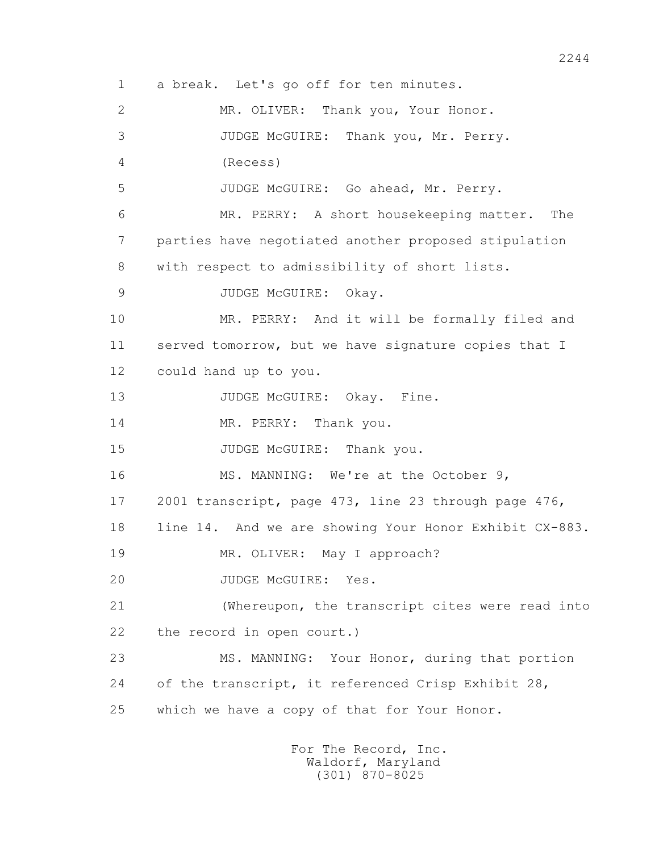1 a break. Let's go off for ten minutes. 2 MR. OLIVER: Thank you, Your Honor. 3 JUDGE McGUIRE: Thank you, Mr. Perry. 4 (Recess) 5 JUDGE McGUIRE: Go ahead, Mr. Perry. 6 MR. PERRY: A short housekeeping matter. The 7 parties have negotiated another proposed stipulation 8 with respect to admissibility of short lists. 9 JUDGE McGUIRE: Okay. 10 MR. PERRY: And it will be formally filed and 11 served tomorrow, but we have signature copies that I 12 could hand up to you. 13 JUDGE McGUIRE: Okay. Fine. 14 MR. PERRY: Thank you. 15 JUDGE McGUIRE: Thank you. 16 MS. MANNING: We're at the October 9, 17 2001 transcript, page 473, line 23 through page 476, 18 line 14. And we are showing Your Honor Exhibit CX-883. 19 MR. OLIVER: May I approach? 20 JUDGE McGUIRE: Yes. 21 (Whereupon, the transcript cites were read into 22 the record in open court.) 23 MS. MANNING: Your Honor, during that portion 24 of the transcript, it referenced Crisp Exhibit 28, 25 which we have a copy of that for Your Honor.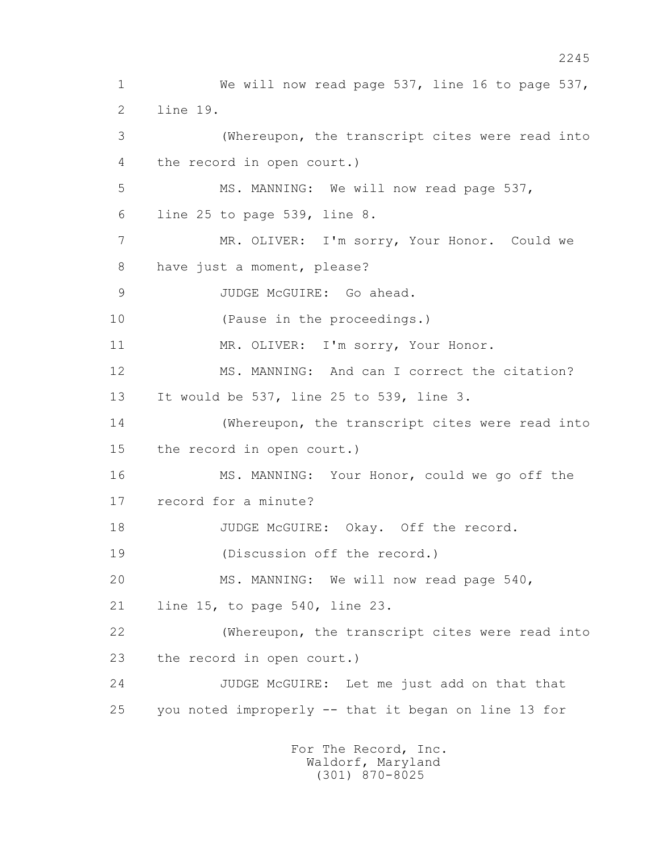1 We will now read page 537, line 16 to page 537, 2 line 19. 3 (Whereupon, the transcript cites were read into 4 the record in open court.) 5 MS. MANNING: We will now read page 537, 6 line 25 to page 539, line 8. 7 MR. OLIVER: I'm sorry, Your Honor. Could we 8 have just a moment, please? 9 JUDGE McGUIRE: Go ahead. 10 (Pause in the proceedings.) 11 MR. OLIVER: I'm sorry, Your Honor. 12 MS. MANNING: And can I correct the citation? 13 It would be 537, line 25 to 539, line 3. 14 (Whereupon, the transcript cites were read into 15 the record in open court.) 16 MS. MANNING: Your Honor, could we go off the 17 record for a minute? 18 JUDGE McGUIRE: Okay. Off the record. 19 (Discussion off the record.) 20 MS. MANNING: We will now read page 540, 21 line 15, to page 540, line 23. 22 (Whereupon, the transcript cites were read into 23 the record in open court.) 24 JUDGE McGUIRE: Let me just add on that that 25 you noted improperly -- that it began on line 13 for For The Record, Inc.

 Waldorf, Maryland (301) 870-8025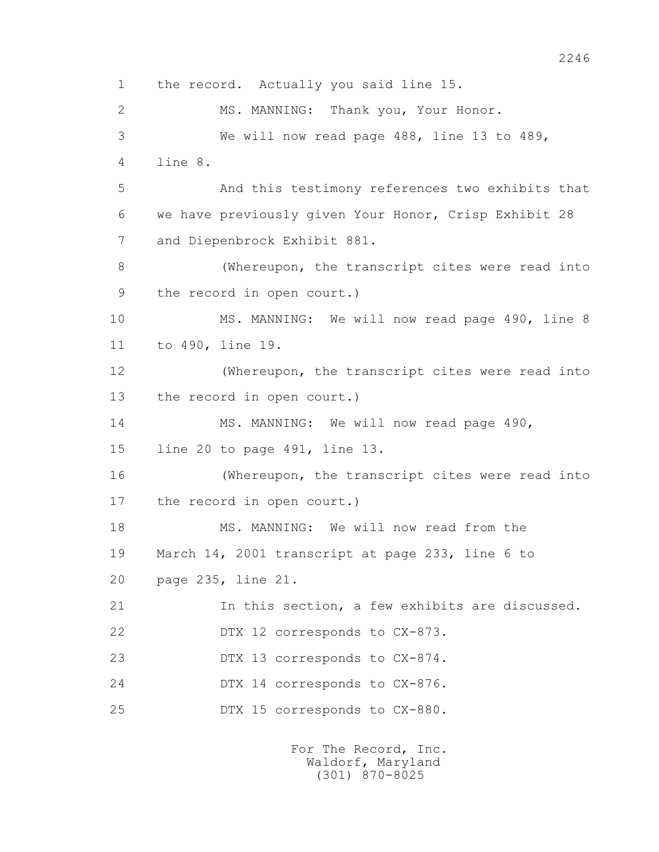1 the record. Actually you said line 15. 2 MS. MANNING: Thank you, Your Honor. 3 We will now read page 488, line 13 to 489, 4 line 8. 5 And this testimony references two exhibits that 6 we have previously given Your Honor, Crisp Exhibit 28 7 and Diepenbrock Exhibit 881. 8 (Whereupon, the transcript cites were read into 9 the record in open court.) 10 MS. MANNING: We will now read page 490, line 8 11 to 490, line 19. 12 (Whereupon, the transcript cites were read into 13 the record in open court.) 14 MS. MANNING: We will now read page 490, 15 line 20 to page 491, line 13. 16 (Whereupon, the transcript cites were read into 17 the record in open court.) 18 MS. MANNING: We will now read from the 19 March 14, 2001 transcript at page 233, line 6 to 20 page 235, line 21. 21 In this section, a few exhibits are discussed. 22 DTX 12 corresponds to CX-873. 23 DTX 13 corresponds to CX-874. 24 DTX 14 corresponds to CX-876. 25 DTX 15 corresponds to CX-880.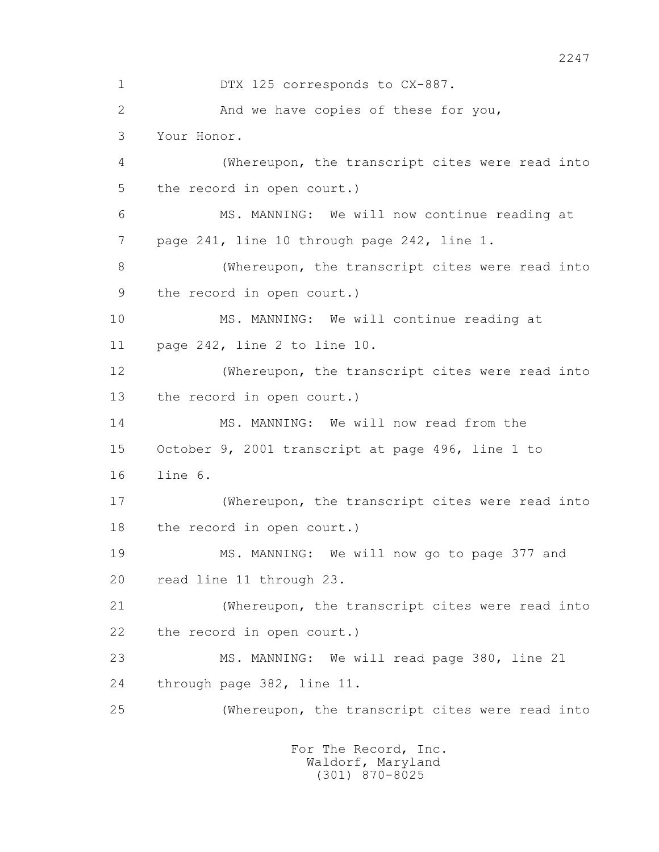1 DTX 125 corresponds to CX-887. 2 And we have copies of these for you, 3 Your Honor. 4 (Whereupon, the transcript cites were read into 5 the record in open court.) 6 MS. MANNING: We will now continue reading at 7 page 241, line 10 through page 242, line 1. 8 (Whereupon, the transcript cites were read into 9 the record in open court.) 10 MS. MANNING: We will continue reading at 11 page 242, line 2 to line 10. 12 (Whereupon, the transcript cites were read into 13 the record in open court.) 14 MS. MANNING: We will now read from the 15 October 9, 2001 transcript at page 496, line 1 to 16 line 6. 17 (Whereupon, the transcript cites were read into 18 the record in open court.) 19 MS. MANNING: We will now go to page 377 and 20 read line 11 through 23. 21 (Whereupon, the transcript cites were read into 22 the record in open court.) 23 MS. MANNING: We will read page 380, line 21 24 through page 382, line 11. 25 (Whereupon, the transcript cites were read into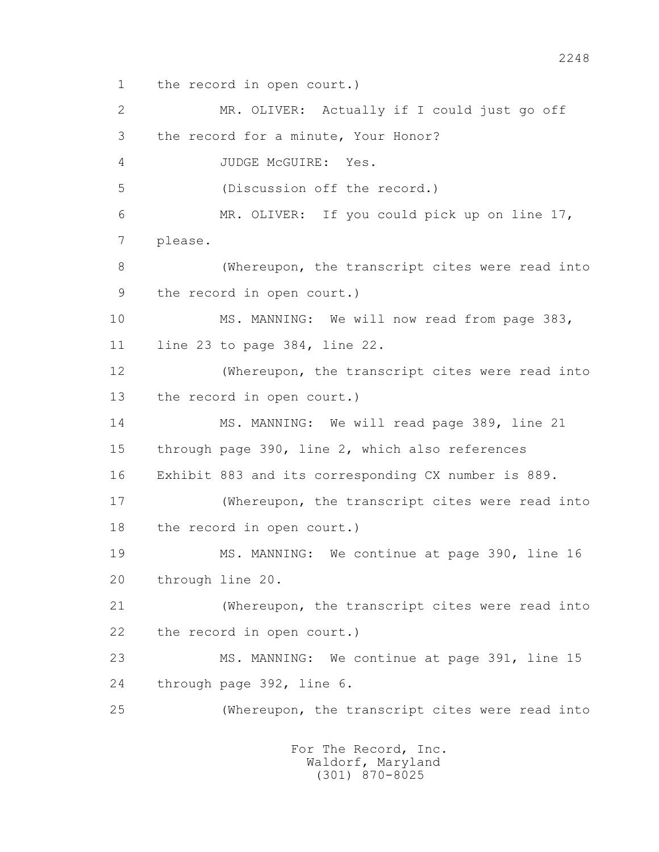1 the record in open court.)

 2 MR. OLIVER: Actually if I could just go off 3 the record for a minute, Your Honor? 4 JUDGE McGUIRE: Yes. 5 (Discussion off the record.) 6 MR. OLIVER: If you could pick up on line 17, 7 please. 8 (Whereupon, the transcript cites were read into 9 the record in open court.) 10 MS. MANNING: We will now read from page 383, 11 line 23 to page 384, line 22. 12 (Whereupon, the transcript cites were read into 13 the record in open court.) 14 MS. MANNING: We will read page 389, line 21 15 through page 390, line 2, which also references 16 Exhibit 883 and its corresponding CX number is 889. 17 (Whereupon, the transcript cites were read into 18 the record in open court.) 19 MS. MANNING: We continue at page 390, line 16 20 through line 20. 21 (Whereupon, the transcript cites were read into 22 the record in open court.) 23 MS. MANNING: We continue at page 391, line 15 24 through page 392, line 6. 25 (Whereupon, the transcript cites were read into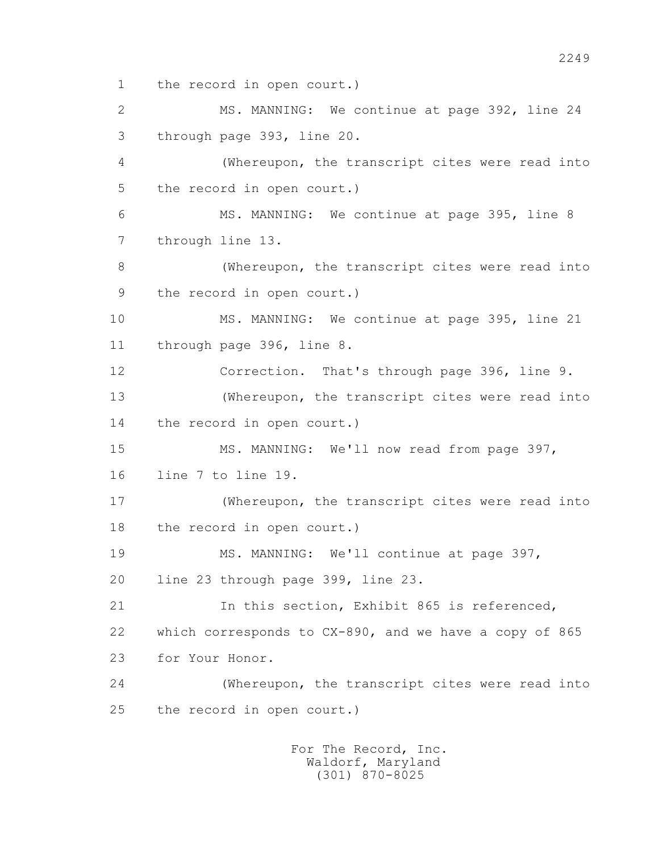1 the record in open court.)

 2 MS. MANNING: We continue at page 392, line 24 3 through page 393, line 20.

 4 (Whereupon, the transcript cites were read into 5 the record in open court.)

 6 MS. MANNING: We continue at page 395, line 8 7 through line 13.

 8 (Whereupon, the transcript cites were read into 9 the record in open court.)

 10 MS. MANNING: We continue at page 395, line 21 11 through page 396, line 8.

 12 Correction. That's through page 396, line 9. 13 (Whereupon, the transcript cites were read into 14 the record in open court.)

 15 MS. MANNING: We'll now read from page 397, 16 line 7 to line 19.

 17 (Whereupon, the transcript cites were read into 18 the record in open court.)

 19 MS. MANNING: We'll continue at page 397, 20 line 23 through page 399, line 23.

 21 In this section, Exhibit 865 is referenced, 22 which corresponds to CX-890, and we have a copy of 865 23 for Your Honor.

 24 (Whereupon, the transcript cites were read into 25 the record in open court.)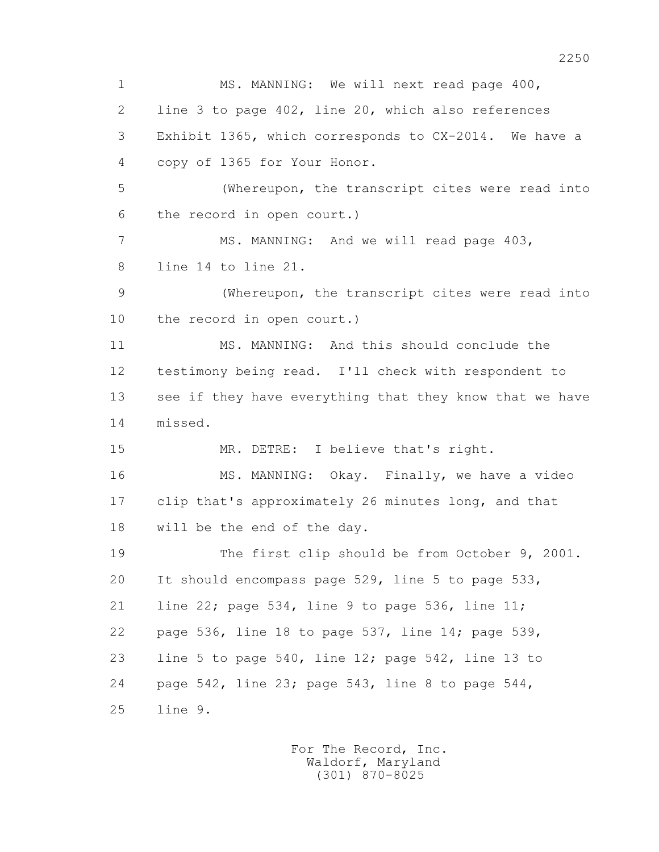1 MS. MANNING: We will next read page 400, 2 line 3 to page 402, line 20, which also references 3 Exhibit 1365, which corresponds to CX-2014. We have a 4 copy of 1365 for Your Honor. 5 (Whereupon, the transcript cites were read into 6 the record in open court.) 7 MS. MANNING: And we will read page 403, 8 line 14 to line 21. 9 (Whereupon, the transcript cites were read into 10 the record in open court.) 11 MS. MANNING: And this should conclude the 12 testimony being read. I'll check with respondent to 13 see if they have everything that they know that we have 14 missed. 15 MR. DETRE: I believe that's right. 16 MS. MANNING: Okay. Finally, we have a video 17 clip that's approximately 26 minutes long, and that 18 will be the end of the day. 19 The first clip should be from October 9, 2001. 20 It should encompass page 529, line 5 to page 533, 21 line 22; page 534, line 9 to page 536, line 11; 22 page 536, line 18 to page 537, line 14; page 539, 23 line 5 to page 540, line 12; page 542, line 13 to 24 page 542, line 23; page 543, line 8 to page 544, 25 line 9.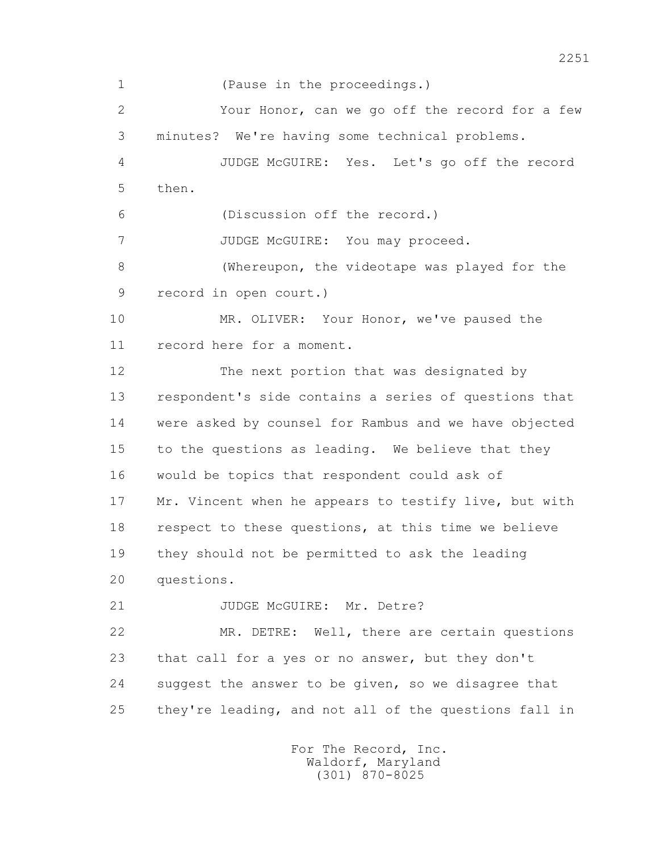1 (Pause in the proceedings.) 2 Your Honor, can we go off the record for a few 3 minutes? We're having some technical problems. 4 JUDGE McGUIRE: Yes. Let's go off the record 5 then. 6 (Discussion off the record.) 7 JUDGE McGUIRE: You may proceed. 8 (Whereupon, the videotape was played for the 9 record in open court.) 10 MR. OLIVER: Your Honor, we've paused the 11 record here for a moment. 12 The next portion that was designated by 13 respondent's side contains a series of questions that 14 were asked by counsel for Rambus and we have objected 15 to the questions as leading. We believe that they 16 would be topics that respondent could ask of 17 Mr. Vincent when he appears to testify live, but with 18 respect to these questions, at this time we believe 19 they should not be permitted to ask the leading 20 questions. 21 JUDGE McGUIRE: Mr. Detre? 22 MR. DETRE: Well, there are certain questions 23 that call for a yes or no answer, but they don't 24 suggest the answer to be given, so we disagree that 25 they're leading, and not all of the questions fall in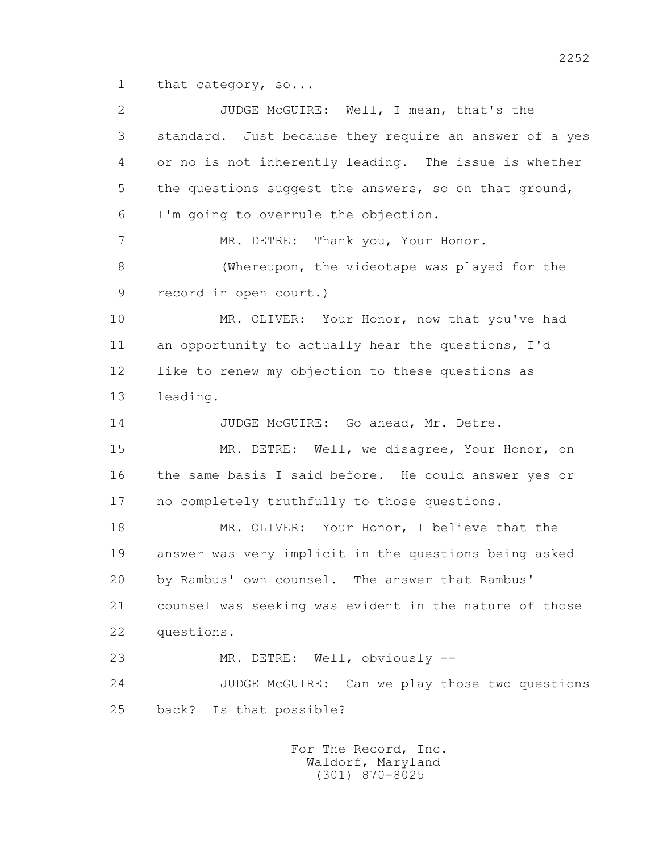1 that category, so...

 2 JUDGE McGUIRE: Well, I mean, that's the 3 standard. Just because they require an answer of a yes 4 or no is not inherently leading. The issue is whether 5 the questions suggest the answers, so on that ground, 6 I'm going to overrule the objection. 7 MR. DETRE: Thank you, Your Honor. 8 (Whereupon, the videotape was played for the 9 record in open court.) 10 MR. OLIVER: Your Honor, now that you've had 11 an opportunity to actually hear the questions, I'd 12 like to renew my objection to these questions as 13 leading. 14 JUDGE McGUIRE: Go ahead, Mr. Detre. 15 MR. DETRE: Well, we disagree, Your Honor, on 16 the same basis I said before. He could answer yes or 17 no completely truthfully to those questions. 18 MR. OLIVER: Your Honor, I believe that the 19 answer was very implicit in the questions being asked 20 by Rambus' own counsel. The answer that Rambus' 21 counsel was seeking was evident in the nature of those 22 questions. 23 MR. DETRE: Well, obviously -- 24 JUDGE McGUIRE: Can we play those two questions 25 back? Is that possible?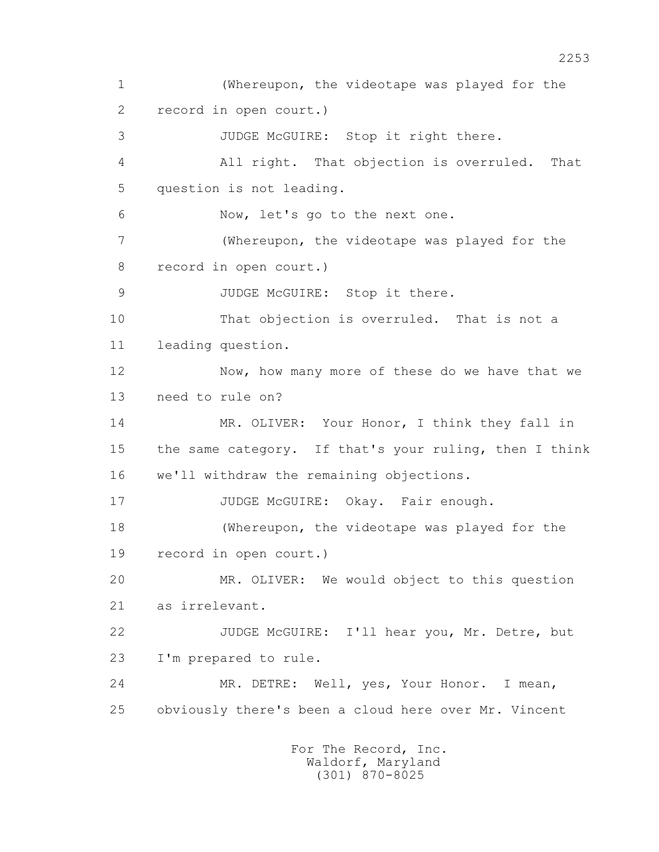1 (Whereupon, the videotape was played for the 2 record in open court.) 3 JUDGE McGUIRE: Stop it right there. 4 All right. That objection is overruled. That 5 question is not leading. 6 Now, let's go to the next one. 7 (Whereupon, the videotape was played for the 8 record in open court.) 9 JUDGE McGUIRE: Stop it there. 10 That objection is overruled. That is not a 11 leading question. 12 Now, how many more of these do we have that we 13 need to rule on? 14 MR. OLIVER: Your Honor, I think they fall in 15 the same category. If that's your ruling, then I think 16 we'll withdraw the remaining objections. 17 JUDGE McGUIRE: Okay. Fair enough. 18 (Whereupon, the videotape was played for the 19 record in open court.) 20 MR. OLIVER: We would object to this question 21 as irrelevant. 22 JUDGE McGUIRE: I'll hear you, Mr. Detre, but 23 I'm prepared to rule. 24 MR. DETRE: Well, yes, Your Honor. I mean, 25 obviously there's been a cloud here over Mr. Vincent For The Record, Inc.

 Waldorf, Maryland (301) 870-8025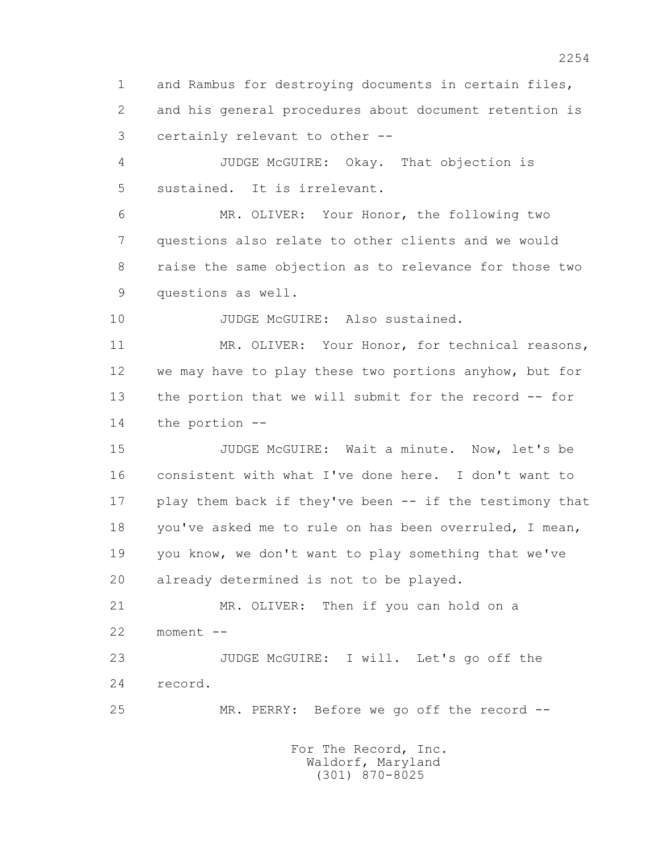1 and Rambus for destroying documents in certain files, 2 and his general procedures about document retention is 3 certainly relevant to other --

 4 JUDGE McGUIRE: Okay. That objection is 5 sustained. It is irrelevant.

 6 MR. OLIVER: Your Honor, the following two 7 questions also relate to other clients and we would 8 raise the same objection as to relevance for those two 9 questions as well.

10 JUDGE McGUIRE: Also sustained.

11 MR. OLIVER: Your Honor, for technical reasons, 12 we may have to play these two portions anyhow, but for 13 the portion that we will submit for the record -- for 14 the portion --

 15 JUDGE McGUIRE: Wait a minute. Now, let's be 16 consistent with what I've done here. I don't want to 17 play them back if they've been -- if the testimony that 18 you've asked me to rule on has been overruled, I mean, 19 you know, we don't want to play something that we've 20 already determined is not to be played.

 21 MR. OLIVER: Then if you can hold on a 22 moment --

 23 JUDGE McGUIRE: I will. Let's go off the 24 record.

25 MR. PERRY: Before we go off the record --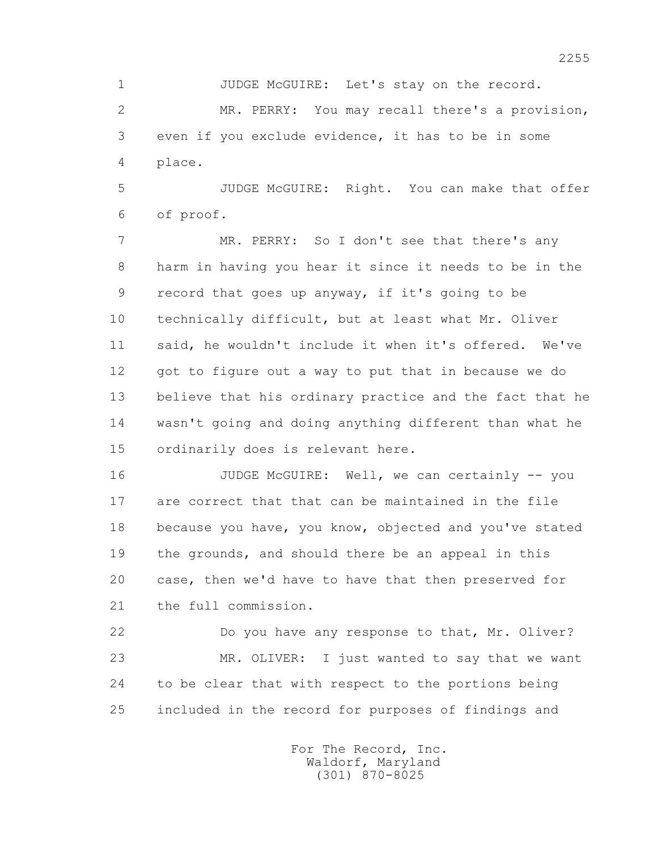1 JUDGE McGUIRE: Let's stay on the record.

 2 MR. PERRY: You may recall there's a provision, 3 even if you exclude evidence, it has to be in some 4 place.

 5 JUDGE McGUIRE: Right. You can make that offer 6 of proof.

 7 MR. PERRY: So I don't see that there's any 8 harm in having you hear it since it needs to be in the 9 record that goes up anyway, if it's going to be 10 technically difficult, but at least what Mr. Oliver 11 said, he wouldn't include it when it's offered. We've 12 got to figure out a way to put that in because we do 13 believe that his ordinary practice and the fact that he 14 wasn't going and doing anything different than what he 15 ordinarily does is relevant here.

 16 JUDGE McGUIRE: Well, we can certainly -- you 17 are correct that that can be maintained in the file 18 because you have, you know, objected and you've stated 19 the grounds, and should there be an appeal in this 20 case, then we'd have to have that then preserved for 21 the full commission.

 22 Do you have any response to that, Mr. Oliver? 23 MR. OLIVER: I just wanted to say that we want 24 to be clear that with respect to the portions being 25 included in the record for purposes of findings and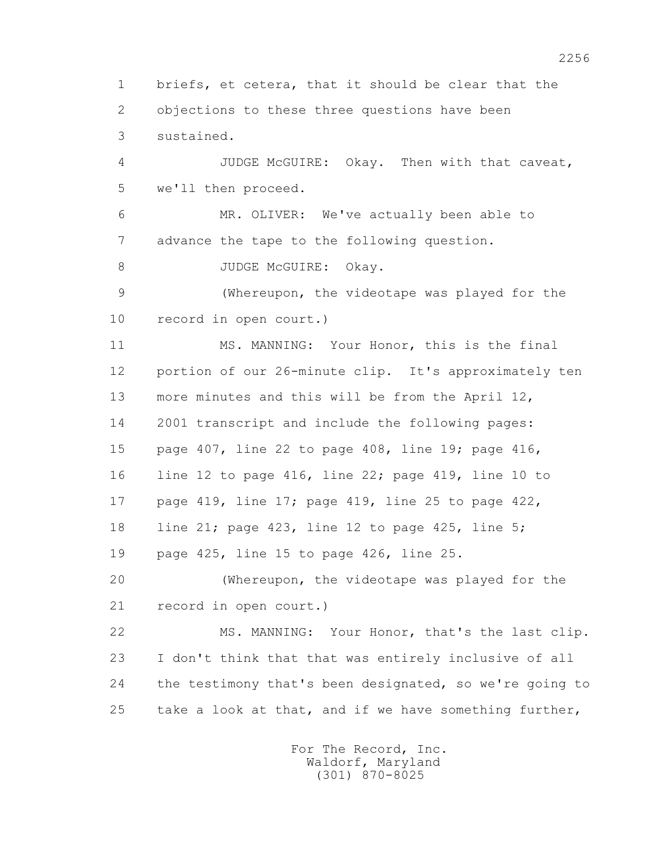1 briefs, et cetera, that it should be clear that the 2 objections to these three questions have been 3 sustained.

 4 JUDGE McGUIRE: Okay. Then with that caveat, 5 we'll then proceed.

 6 MR. OLIVER: We've actually been able to 7 advance the tape to the following question.

8 JUDGE McGUIRE: Okay.

 9 (Whereupon, the videotape was played for the 10 record in open court.)

 11 MS. MANNING: Your Honor, this is the final 12 portion of our 26-minute clip. It's approximately ten 13 more minutes and this will be from the April 12, 14 2001 transcript and include the following pages: 15 page 407, line 22 to page 408, line 19; page 416, 16 line 12 to page 416, line 22; page 419, line 10 to 17 page 419, line 17; page 419, line 25 to page 422, 18 line 21; page 423, line 12 to page 425, line 5; 19 page 425, line 15 to page 426, line 25. 20 (Whereupon, the videotape was played for the

21 record in open court.)

 22 MS. MANNING: Your Honor, that's the last clip. 23 I don't think that that was entirely inclusive of all 24 the testimony that's been designated, so we're going to 25 take a look at that, and if we have something further,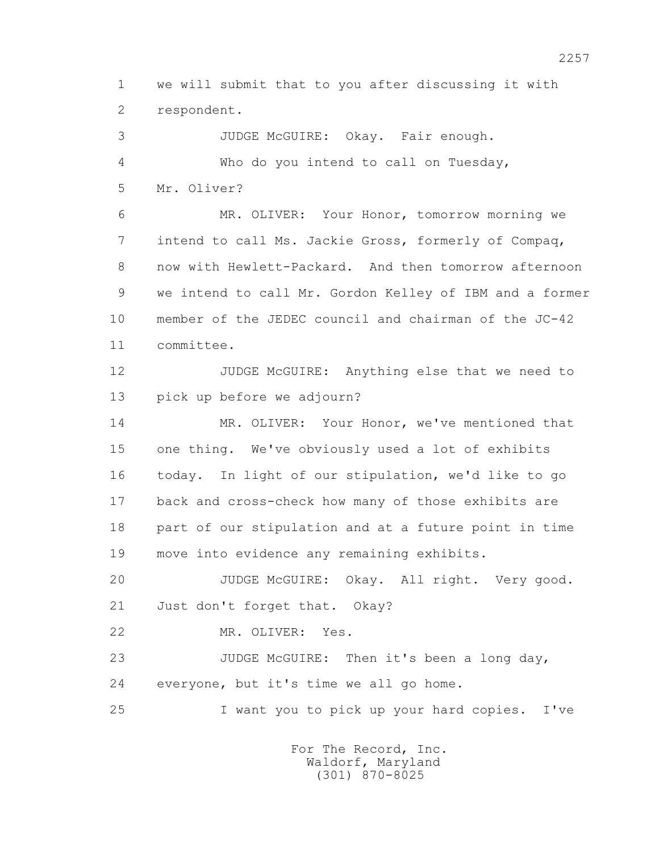1 we will submit that to you after discussing it with 2 respondent.

 3 JUDGE McGUIRE: Okay. Fair enough. 4 Who do you intend to call on Tuesday, 5 Mr. Oliver? 6 MR. OLIVER: Your Honor, tomorrow morning we 7 intend to call Ms. Jackie Gross, formerly of Compaq, 8 now with Hewlett-Packard. And then tomorrow afternoon 9 we intend to call Mr. Gordon Kelley of IBM and a former 10 member of the JEDEC council and chairman of the JC-42 11 committee. 12 JUDGE McGUIRE: Anything else that we need to 13 pick up before we adjourn? 14 MR. OLIVER: Your Honor, we've mentioned that 15 one thing. We've obviously used a lot of exhibits 16 today. In light of our stipulation, we'd like to go 17 back and cross-check how many of those exhibits are 18 part of our stipulation and at a future point in time 19 move into evidence any remaining exhibits. 20 JUDGE McGUIRE: Okay. All right. Very good.

21 Just don't forget that. Okay?

22 MR. OLIVER: Yes.

23 JUDGE McGUIRE: Then it's been a long day, 24 everyone, but it's time we all go home.

25 I want you to pick up your hard copies. I've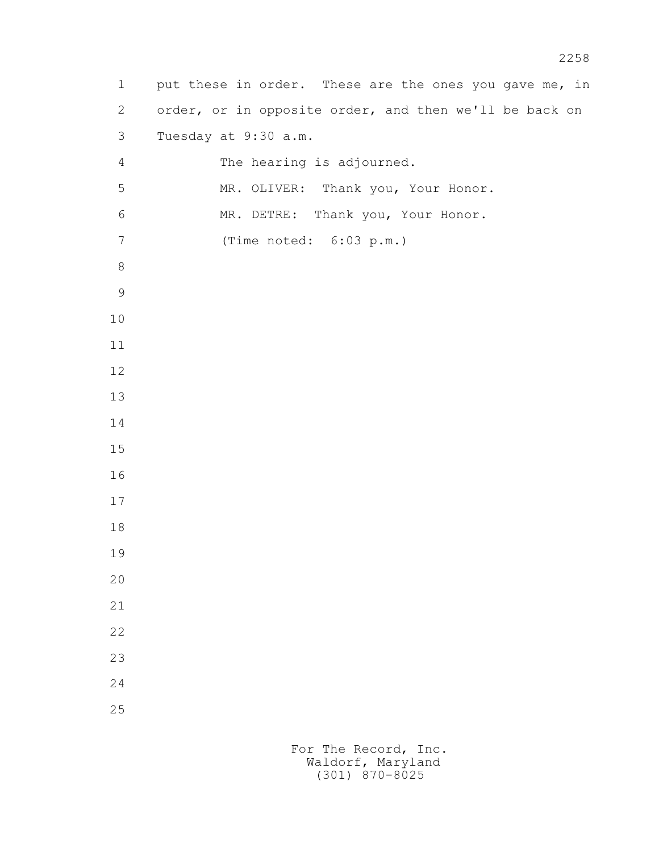1 put these in order. These are the ones you gave me, in 2 order, or in opposite order, and then we'll be back on 3 Tuesday at 9:30 a.m. 4 The hearing is adjourned. 5 MR. OLIVER: Thank you, Your Honor. 6 MR. DETRE: Thank you, Your Honor. 7 (Time noted: 6:03 p.m.)